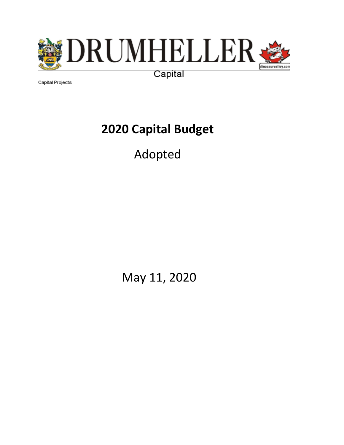

Capital Projects

# **2020 Capital Budget**

# Adopted

May 11, 2020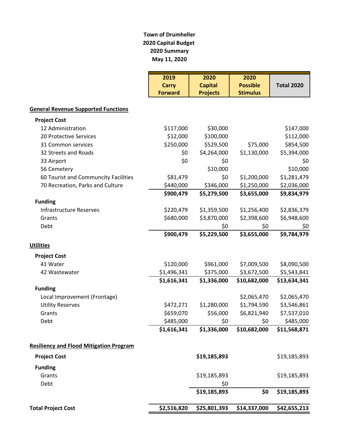#### **Town of Drumheller 2020 Capital Budget 2020 Summary May 11, 2020**

|                                                | 2019           | 2020            | 2020            |                   |
|------------------------------------------------|----------------|-----------------|-----------------|-------------------|
|                                                | <b>Carry</b>   | <b>Capital</b>  | <b>Possible</b> | <b>Total 2020</b> |
|                                                | <b>Forward</b> | <b>Projects</b> | <b>Stimulus</b> |                   |
| <b>General Revenue Supported Functions</b>     |                |                 |                 |                   |
| <b>Project Cost</b>                            |                |                 |                 |                   |
| 12 Administration                              | \$117,000      | \$30,000        |                 | \$147,000         |
| 20 Protective Services                         | \$12,000       | \$100,000       |                 | \$112,000         |
| 31 Common services                             | \$250,000      | \$529,500       | \$75,000        | \$854,500         |
| 32 Streets and Roads                           | \$0            | \$4,264,000     | \$1,130,000     | \$5,394,000       |
| 33 Airport                                     | \$0            | \$0             |                 | \$0               |
| 56 Cemetery                                    |                | \$10,000        |                 | \$10,000          |
| 60 Tourist and Communcity Facilities           | \$81,479       | \$0             | \$1,200,000     | \$1,281,479       |
| 70 Recreation, Parks and Culture               | \$440,000      | \$346,000       | \$1,250,000     | \$2,036,000       |
|                                                | \$900,479      | \$5,279,500     | \$3,655,000     | \$9,834,979       |
| <b>Funding</b>                                 |                |                 |                 |                   |
| <b>Infrastructure Reserves</b>                 | \$220,479      | \$1,359,500     | \$1,256,400     | \$2,836,379       |
| Grants                                         | \$680,000      | \$3,870,000     | \$2,398,600     | \$6,948,600       |
| Debt                                           |                | \$0             | \$0             | \$0               |
|                                                | \$900,479      | \$5,229,500     | \$3,655,000     | \$9,784,979       |
| <b>Utilities</b>                               |                |                 |                 |                   |
| <b>Project Cost</b>                            |                |                 |                 |                   |
| 41 Water                                       | \$120,000      | \$961,000       | \$7,009,500     | \$8,090,500       |
| 42 Wastewater                                  | \$1,496,341    | \$375,000       | \$3,672,500     | \$5,543,841       |
|                                                | \$1,616,341    | \$1,336,000     | \$10,682,000    | \$13,634,341      |
| <b>Funding</b>                                 |                |                 |                 |                   |
| Local Improvement (Frontage)                   |                |                 | \$2,065,470     | \$2,065,470       |
| <b>Utility Reserves</b>                        | \$472,271      | \$1,280,000     | \$1,794,590     | \$3,546,861       |
| Grants                                         | \$659,070      | \$56,000        | \$6,821,940     | \$7,537,010       |
| Debt                                           | \$485,000      | \$0             | \$0             | \$485,000         |
|                                                | \$1,616,341    | \$1,336,000     | \$10,682,000    | \$11,568,871      |
| <b>Resiliency and Flood Mitigation Program</b> |                |                 |                 |                   |
| <b>Project Cost</b>                            |                | \$19,185,893    |                 | \$19,185,893      |
| <b>Funding</b>                                 |                |                 |                 |                   |
| Grants                                         |                | \$19,185,893    |                 | \$19,185,893      |
| Debt                                           |                | \$0             |                 |                   |
|                                                |                | \$19,185,893    | \$0             | \$19,185,893      |
| <b>Total Project Cost</b>                      | \$2,516,820    | \$25,801,393    | \$14,337,000    | \$42,655,213      |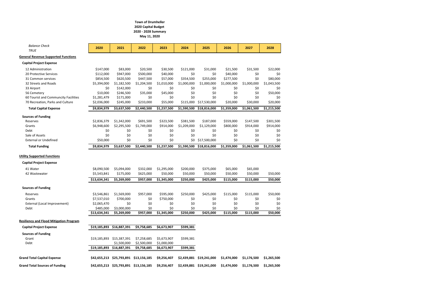| <b>Balance Check</b><br><b>TRUE</b>            | 2020         | 2021                                   | 2022                      | 2023        | 2024        | 2025                     | 2026        | 2027        | 2028        |
|------------------------------------------------|--------------|----------------------------------------|---------------------------|-------------|-------------|--------------------------|-------------|-------------|-------------|
| <b>General Revenue Supported Functions</b>     |              |                                        |                           |             |             |                          |             |             |             |
| <b>Capital Project Expense</b>                 |              |                                        |                           |             |             |                          |             |             |             |
| 12 Administration                              | \$147,000    | \$83,000                               | \$20,500                  | \$30,500    | \$121,000   | \$31,000                 | \$21,500    | \$31,500    | \$22,000    |
| 20 Protective Services                         | \$112,000    | \$947,000                              | \$500,000                 | \$40,000    | \$0         | \$0                      | \$40,000    | \$0         | \$0         |
| 31 Common services                             | \$854,500    | \$620,500                              | \$447,500                 | \$57,000    | \$354,500   | \$255,000                | \$277,500   | \$0         | \$80,000    |
| 32 Streets and Roads                           | \$5,394,000  | \$1,182,500                            | \$1,204,500               | \$1,010,000 | \$1,000,000 | \$1,000,000              | \$1,000,000 | \$1,000,000 | \$1,043,500 |
| 33 Airport                                     | \$0          | \$142,000                              | \$0                       | \$0         | \$0         | \$0                      | \$0         | \$0         | \$0         |
| 56 Cemetery                                    | \$10,000     | \$246,500                              | \$35,000                  | \$45,000    | \$0         | \$0                      | \$0         | \$0         | \$50,000    |
| 60 Tourist and Communcity Facilities           | \$1,281,479  | \$171,000                              | \$0                       | \$0         | \$0         | \$0                      | \$0         | \$0         | \$0         |
| 70 Recreation, Parks and Culture               | \$2,036,000  | \$245,000                              | \$233,000                 | \$55,000    | \$115,000   | \$17,530,000             | \$20,000    | \$30,000    | \$20,000    |
| <b>Total Capital Expense</b>                   | \$9,834,979  | \$3,637,500                            | \$2,440,500               | \$1,237,500 | \$1,590,500 | \$18,816,000             | \$1,359,000 | \$1,061,500 | \$1,215,500 |
| <b>Sources of Funding</b>                      |              |                                        |                           |             |             |                          |             |             |             |
| Reserves                                       | \$2,836,379  | \$1,342,000                            | \$691,500                 | \$323,500   | \$381,500   | \$187,000                | \$559,000   | \$147,500   | \$301,500   |
| Grants                                         | \$6,948,600  | \$2,295,500                            | \$1,749,000               | \$914,000   | \$1,209,000 | \$1,129,000              | \$800,000   | \$914,000   | \$914,000   |
| Debt                                           | \$0          | \$0                                    | \$0                       | \$0         | \$0         | \$0                      | \$0         | \$0         | \$0         |
| Sale of Assets                                 | \$0          | \$0                                    | \$0                       | \$0         | \$0         | \$0                      | \$0         | \$0         | \$0         |
| <b>External or Undefined</b>                   | \$50,000     | \$0                                    | \$0                       | \$0         | \$0         | \$17,500,000             | \$0         | \$0         | \$0         |
| <b>Total Funding</b>                           | \$9,834,979  | \$3,637,500                            | \$2,440,500               | \$1,237,500 | \$1,590,500 | \$18,816,000             | \$1,359,000 | \$1,061,500 | \$1,215,500 |
|                                                |              |                                        |                           |             |             |                          |             |             |             |
| <b>Utility Supported Functions</b>             |              |                                        |                           |             |             |                          |             |             |             |
| <b>Capital Project Expense</b>                 |              |                                        |                           |             |             |                          |             |             |             |
| 41 Water                                       | \$8,090,500  | \$5,094,000                            | \$332,000                 | \$1,295,000 | \$200,000   | \$375,000                | \$65,000    | \$65,000    |             |
| 42 Wastewater                                  | \$5,543,841  | \$175,000                              | \$625,000                 | \$50,000    | \$50,000    | \$50,000                 | \$50,000    | \$50,000    | \$50,000    |
|                                                | \$13,634,341 | \$5,269,000                            | \$957,000                 | \$1,345,000 | \$250,000   | \$425,000                | \$115,000   | \$115,000   | \$50,000    |
| <b>Sources of Funding</b>                      |              |                                        |                           |             |             |                          |             |             |             |
| Reserves                                       | \$3,546,861  | \$1,569,000                            | \$957,000                 | \$595,000   | \$250,000   | \$425,000                | \$115,000   | \$115,000   | \$50,000    |
| Grants                                         | \$7,537,010  | \$700,000                              | \$0                       | \$750,000   | \$0         | \$0                      | \$0         | \$0         | \$0         |
| External (Local Improvement)                   | \$2,065,470  | \$0                                    | \$0                       | \$0         | \$0         | \$0                      | \$0         | \$0         | \$0         |
| Debt                                           | \$485,000    | \$3,000,000                            | \$0                       | \$0         | \$0         | \$0                      | \$0         | \$0         | \$0         |
|                                                | \$13,634,341 | \$5,269,000                            | \$957,000                 | \$1,345,000 | \$250,000   | \$425,000                | \$115,000   | \$115,000   | \$50,000    |
| <b>Resiliency and Flood Mitigation Program</b> |              |                                        |                           |             |             |                          |             |             |             |
| <b>Capital Project Expense</b>                 |              | \$19,185,893 \$16,887,391              | \$9,758,685               | \$6,673,907 | \$599,381   |                          |             |             |             |
| <b>Sources of Funding</b>                      |              |                                        |                           |             |             |                          |             |             |             |
| Grant                                          | \$19,185,893 | \$15,387,391                           | \$7,258,685               | \$5,673,907 | \$599,381   |                          |             |             |             |
| Debt                                           |              | \$1,500,000                            | \$2,500,000               | \$1,000,000 |             |                          |             |             |             |
|                                                | \$19,185,893 | \$16,887,391                           | \$9,758,685               | \$6,673,907 | \$599,381   |                          |             |             |             |
| <b>Grand Total Capital Expense</b>             |              |                                        | \$25,793,891 \$13,156,185 | \$9,256,407 |             | \$2,439,881 \$19,241,000 | \$1,474,000 | \$1,176,500 | \$1,265,500 |
|                                                | \$42,655,213 |                                        |                           |             |             |                          |             |             |             |
| <b>Grand Total Sources of Funding</b>          |              | \$42,655,213 \$25,793,891 \$13,156,185 |                           | \$9,256,407 |             | \$2,439,881 \$19,241,000 | \$1,474,000 | \$1,176,500 | \$1,265,500 |

# **Town of Drumheller 2020 Capital Budget 2020 - 2028 Summary**

**May 11, 2020**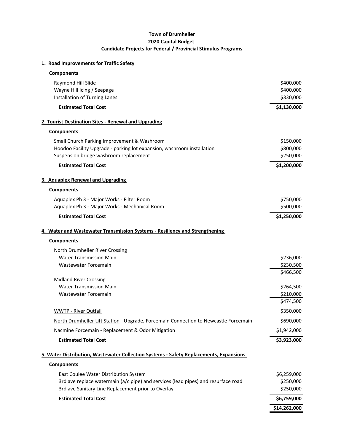#### **Town of Drumheller 2020 Capital Budget Candidate Projects for Federal / Provincial Stimulus Programs**

#### **1. Road Improvements for Traffic Safety**

| <b>Components</b>                                                                      |              |
|----------------------------------------------------------------------------------------|--------------|
| Raymond Hill Slide                                                                     | \$400,000    |
| Wayne Hill Icing / Seepage                                                             | \$400,000    |
| Installation of Turning Lanes                                                          | \$330,000    |
| <b>Estimated Total Cost</b>                                                            | \$1,130,000  |
| 2. Tourist Destination Sites - Renewal and Upgrading                                   |              |
| <b>Components</b>                                                                      |              |
| Small Church Parking Improvement & Washroom                                            | \$150,000    |
| Hoodoo Facility Upgrade - parking lot expansion, washroom installation                 | \$800,000    |
| Suspension bridge washroom replacement                                                 | \$250,000    |
| <b>Estimated Total Cost</b>                                                            | \$1,200,000  |
| 3. Aquaplex Renewal and Upgrading                                                      |              |
| <b>Components</b>                                                                      |              |
| Aquaplex Ph 3 - Major Works - Filter Room                                              | \$750,000    |
| Aquaplex Ph 3 - Major Works - Mechanical Room                                          | \$500,000    |
| <b>Estimated Total Cost</b>                                                            | \$1,250,000  |
| 4. Water and Wastewater Transmission Systems - Resiliency and Strengthening            |              |
| <b>Components</b>                                                                      |              |
| North Drumheller River Crossing                                                        |              |
| <b>Water Transmission Main</b>                                                         | \$236,000    |
| <b>Wastewater Forcemain</b>                                                            | \$230,500    |
|                                                                                        | \$466,500    |
| <b>Midland River Crossing</b>                                                          |              |
| <b>Water Transmission Main</b>                                                         | \$264,500    |
| <b>Wastewater Forcemain</b>                                                            | \$210,000    |
|                                                                                        | \$474,500    |
| <b>WWTP - River Outfall</b>                                                            | \$350,000    |
| North Drumheller Lift Station - Upgrade, Forcemain Connection to Newcastle Forcemain   | \$690,000    |
| Nacmine Forcemain - Replacement & Odor Mitigation                                      | \$1,942,000  |
| <b>Estimated Total Cost</b>                                                            | \$3,923,000  |
| 5. Water Distribution, Wastewater Collection Systems - Safety Replacements, Expansions |              |
| <b>Components</b>                                                                      |              |
| East Coulee Water Distribution System                                                  | \$6,259,000  |
| 3rd ave replace watermain (a/c pipe) and services (lead pipes) and resurface road      | \$250,000    |
| 3rd ave Sanitary Line Replacement prior to Overlay                                     | \$250,000    |
| <b>Estimated Total Cost</b>                                                            | \$6,759,000  |
|                                                                                        | \$14,262,000 |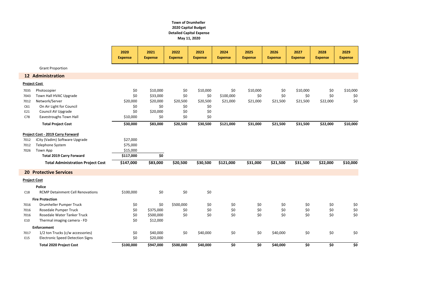|                 |                                          | 2020<br><b>Expense</b> | 2021<br><b>Expense</b> | 2022<br><b>Expense</b> | 2023<br><b>Expense</b> | 2024<br><b>Expense</b> | 2025<br><b>Expense</b> | 2026<br><b>Expense</b> | 2027<br><b>Expense</b> | 2028<br><b>Expense</b> | 2029<br><b>Expense</b> |
|-----------------|------------------------------------------|------------------------|------------------------|------------------------|------------------------|------------------------|------------------------|------------------------|------------------------|------------------------|------------------------|
|                 | <b>Grant Proportion</b>                  |                        |                        |                        |                        |                        |                        |                        |                        |                        |                        |
|                 | <b>12 Administration</b>                 |                        |                        |                        |                        |                        |                        |                        |                        |                        |                        |
|                 | <b>Project Cost</b>                      |                        |                        |                        |                        |                        |                        |                        |                        |                        |                        |
| 7035            | Photocopier                              | \$0                    | \$10,000               | \$0                    | \$10,000               | \$0                    | \$10,000               | \$0                    | \$10,000               | \$0                    | \$10,000               |
| 7043            | Town Hall HVAC Upgrade                   | \$0                    | \$33,000               | \$0                    | \$0                    | \$100,000              | \$0                    | \$0                    | \$0                    | \$0                    | \$0                    |
| 7012            | Network/Server                           | \$20,000               | \$20,000               | \$20,500               | \$20,500               | \$21,000               | \$21,000               | \$21,500               | \$21,500               | \$22,000               | \$0                    |
| C61             | On Air Light for Council                 | \$0                    | \$0                    | \$0                    | \$0                    |                        |                        |                        |                        |                        |                        |
| E21             | Council AV Upgrade                       | \$0                    | \$20,000               | \$0                    | \$0                    |                        |                        |                        |                        |                        |                        |
| C78             | Eavestroughs Town Hall                   | \$10,000               | \$0                    | \$0                    | \$0                    |                        |                        |                        |                        |                        |                        |
|                 | <b>Total Project Cost</b>                | \$30,000               | \$83,000               | \$20,500               | \$30,500               | \$121,000              | \$31,000               | \$21,500               | \$31,500               | \$22,000               | \$10,000               |
|                 | Project Cost - 2019 Carry Forward        |                        |                        |                        |                        |                        |                        |                        |                        |                        |                        |
| 7012            | iCity (Vadim) Software Upgrade           | \$27,000               |                        |                        |                        |                        |                        |                        |                        |                        |                        |
| 7012            | Telephone System                         | \$75,000               |                        |                        |                        |                        |                        |                        |                        |                        |                        |
| 7026            | Town App                                 | \$15,000               |                        |                        |                        |                        |                        |                        |                        |                        |                        |
|                 | <b>Total 2019 Carry Forward</b>          | \$117,000              | \$0                    |                        |                        |                        |                        |                        |                        |                        |                        |
|                 | <b>Total Administration Project Cost</b> | \$147,000              | \$83,000               | \$20,500               | \$30,500               | \$121,000              | \$31,000               | \$21,500               | \$31,500               | \$22,000               | \$10,000               |
| 20 <sup>°</sup> | <b>Protective Services</b>               |                        |                        |                        |                        |                        |                        |                        |                        |                        |                        |
|                 | <b>Project Cost</b>                      |                        |                        |                        |                        |                        |                        |                        |                        |                        |                        |
|                 | <b>Police</b>                            |                        |                        |                        |                        |                        |                        |                        |                        |                        |                        |
| C18             | <b>RCMP Detainment Cell Renovations</b>  | \$100,000              | \$0                    | \$0                    | \$0                    |                        |                        |                        |                        |                        |                        |
|                 | <b>Fire Protection</b>                   |                        |                        |                        |                        |                        |                        |                        |                        |                        |                        |
| 7016            | Drumheller Pumper Truck                  | \$0                    | \$0                    | \$500,000              | \$0                    | \$0                    | \$0                    | \$0                    | \$0                    | \$0                    | \$0                    |
| 7016            | Rosedale Pumper Truck                    | \$0                    | \$375,000              | \$0                    | \$0                    | \$0                    | \$0                    | \$0                    | \$0                    | \$0                    | \$0                    |
| 7016            | Rosedale Water Tanker Truck              | \$0                    | \$500,000              | \$0                    | \$0                    | \$0                    | \$0                    | \$0                    | \$0                    | \$0                    | $$0$$                  |
| E10             | Thermal imaging camera - FD              | \$0                    | \$12,000               |                        |                        |                        |                        |                        |                        |                        |                        |
|                 | <b>Enforcement</b>                       |                        |                        |                        |                        |                        |                        |                        |                        |                        |                        |
| 7017            | 1/2 ton Trucks (c/w accessories)         | \$0                    | \$40,000               | \$0                    | \$40,000               | \$0                    | \$0                    | \$40,000               | \$0                    | $$0$$                  | \$0                    |
| E15             | <b>Electronic Speed Detection Signs</b>  | \$0                    | \$20,000               |                        |                        |                        |                        |                        |                        |                        |                        |
|                 | <b>Total 2020 Project Cost</b>           | \$100,000              | \$947,000              | \$500,000              | \$40,000               | \$0                    | \$0                    | \$40,000               | \$0                    | \$0                    | \$0                    |

# **Town of Drumheller 2020 Capital Budget Detailed Capital Expense May 11, 2020**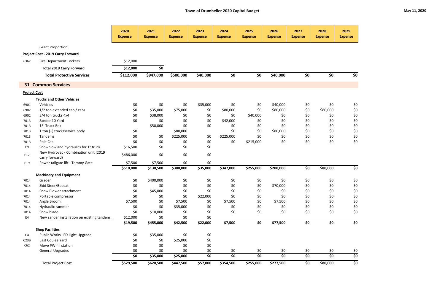|                     |                                                         | 2020<br><b>Expense</b> | 2021<br><b>Expense</b> | 2022<br><b>Expense</b> | 2023<br><b>Expense</b> | 2024<br><b>Expense</b> | 2025<br><b>Expense</b> | 2026<br><b>Expense</b> | 2027<br><b>Expense</b> | 2028<br><b>Expense</b> | 2029<br><b>Expense</b> |
|---------------------|---------------------------------------------------------|------------------------|------------------------|------------------------|------------------------|------------------------|------------------------|------------------------|------------------------|------------------------|------------------------|
|                     | <b>Grant Proportion</b>                                 |                        |                        |                        |                        |                        |                        |                        |                        |                        |                        |
|                     | Project Cost - 2019 Carry Forward                       |                        |                        |                        |                        |                        |                        |                        |                        |                        |                        |
| 6362                | <b>Fire Department Lockers</b>                          | \$12,000               |                        |                        |                        |                        |                        |                        |                        |                        |                        |
|                     | <b>Total 2019 Carry Forward</b>                         | \$12,000               | \$0                    |                        |                        |                        |                        |                        |                        |                        |                        |
|                     |                                                         |                        |                        |                        |                        |                        |                        |                        |                        |                        |                        |
|                     | <b>Total Protective Services</b>                        | \$112,000              | \$947,000              | \$500,000              | \$40,000               | \$0                    | \$0                    | \$40,000               | \$0                    | \$0                    | \$0                    |
|                     | <b>31 Common Services</b>                               |                        |                        |                        |                        |                        |                        |                        |                        |                        |                        |
| <b>Project Cost</b> |                                                         |                        |                        |                        |                        |                        |                        |                        |                        |                        |                        |
|                     | <b>Trucks and Other Vehicles</b>                        |                        |                        |                        |                        |                        |                        |                        |                        |                        |                        |
| 6901                | Vehicles                                                | \$0                    | \$0                    | \$0                    | \$35,000               | \$0                    | \$0                    | \$40,000               | \$0                    | \$0                    | \$0                    |
| 6902                | 1/2 ton extended cab / cabs                             | \$0                    | \$35,000               | \$75,000               | \$0                    | \$80,000               | \$0                    | \$80,000               | \$0                    | \$80,000               | $$0$$                  |
| 6902                | 3/4 ton trucks 4x4                                      | \$0                    | \$38,000               | \$0                    | \$0                    | \$0                    | \$40,000               | \$0                    | \$0                    | \$0                    | \$0                    |
| 7013                | Sander 10 Yard                                          | \$0                    | \$0                    | \$0                    | \$0                    | \$42,000               | \$0                    | \$0                    | \$0                    | \$0                    | \$0                    |
| 7013                | 15' Truck Box                                           |                        | \$50,000               | \$0                    | \$0                    | \$0                    | \$0                    | \$0                    | \$0                    | \$0                    | $$0$$                  |
| 7013                | 1 ton (+) truck/service body                            | \$0                    |                        | \$80,000               |                        | \$0                    | \$0                    | \$80,000               | \$0                    | \$0                    | \$0                    |
| 7013                | Tandems                                                 | \$0                    | \$0                    | \$225,000              | \$0                    | \$225,000              | \$0                    | \$0                    | \$0                    | \$0                    | \$0                    |
| 7013                | Pole Cat                                                | \$0                    | \$0                    | \$0                    | \$0                    | \$0                    | \$215,000              | \$0                    | \$0                    | \$0                    | \$0                    |
| E9                  | Snowplow and hydraulics for 1t truck                    | \$16,500               | \$0                    | \$0                    | \$0                    |                        |                        |                        |                        |                        |                        |
| E17                 | New Hydrovac - Combination unit (2019<br>carry forward) | \$486,000              | \$0                    | \$0                    | \$0                    |                        |                        |                        |                        |                        |                        |
| E19                 | Power tailgate lift - Tommy Gate                        | \$7,500                | \$7,500                | \$0                    | \$0                    |                        |                        |                        |                        |                        |                        |
|                     |                                                         | \$510,000              | \$130,500              | \$380,000              | \$35,000               | \$347,000              | \$255,000              | \$200,000              | \$0                    | \$80,000               | \$0                    |
|                     | <b>Machinery and Equipment</b>                          |                        |                        |                        |                        |                        |                        |                        |                        |                        |                        |
| 7014                | Grader                                                  | \$0\$                  | \$400,000              | \$0                    | \$0                    | \$0                    | \$0                    | \$0                    | \$0                    | \$0                    | \$0                    |
| 7014                | Skid Steer/Bobcat                                       | \$0                    | \$0                    | \$0                    | \$0                    | \$0                    | \$0                    | \$70,000               | \$0                    | \$0                    | $$0$$                  |
| 7014                | Snow Blower attachment                                  | \$0                    | \$45,000               | \$0                    | \$0                    | \$0                    | \$0                    | \$0                    | \$0                    | \$0                    | \$0                    |
| 7014                | Portable compressor                                     | \$0                    | \$0                    | \$0                    | \$22,000               | \$0                    | \$0                    | \$0                    | \$0                    | \$0                    | $$0$$                  |
| 7014                | Angle Broom                                             | \$7,500                | \$0                    | \$7,500                | \$0                    | \$7,500                | \$0                    | \$7,500                | \$0                    | \$0                    | \$0                    |
| 7014                | Hydraulic rammer                                        | \$0                    | \$0                    | \$35,000               | \$0                    | \$0                    | \$0                    | \$0                    | \$0                    | \$0                    | $$0$$                  |
| 7014                | Snow blade                                              | \$0                    | \$10,000               | \$0                    | \$0                    | \$0                    | \$0                    | \$0                    | \$0                    | \$0                    | $$0$$                  |
| E4                  | New sander installation on existing tandem              | \$12,000               | \$0                    | \$0                    | \$0                    |                        |                        |                        |                        |                        |                        |
|                     |                                                         | \$19,500               | \$455,000              | \$42,500               | \$22,000               | \$7,500                | \$0                    | \$77,500               | \$0                    | \$0                    | \$0                    |
|                     | <b>Shop Facilities</b>                                  |                        |                        |                        |                        |                        |                        |                        |                        |                        |                        |
| C4                  | Public Works LED Light Upgrade                          | \$0                    | \$35,000               | \$0                    | \$0                    |                        |                        |                        |                        |                        |                        |
| C23B                | East Coulee Yard                                        | \$0                    | \$0                    | \$25,000               | \$0                    |                        |                        |                        |                        |                        |                        |
| C62                 | Move PW fill station                                    | \$0                    | \$0                    | \$0                    | \$0                    |                        |                        |                        |                        |                        |                        |
|                     | <b>General Upgrades</b>                                 | \$0                    | \$0                    | \$0                    | \$0                    | \$0                    | \$0                    | \$0                    | \$0                    | \$0                    | $\frac{$0$}{$0}$       |
|                     |                                                         | \$0                    | \$35,000               | \$25,000               | \$0                    | \$0                    | \$0                    | \$0                    | \$0                    | \$0                    |                        |
|                     | <b>Total Project Cost</b>                               | \$529,500              | \$620,500              | \$447,500              | \$57,000               | \$354,500              | \$255,000              | \$277,500              | \$0                    | \$80,000               | \$0                    |

| May 11, 2020 |  |  |
|--------------|--|--|
|--------------|--|--|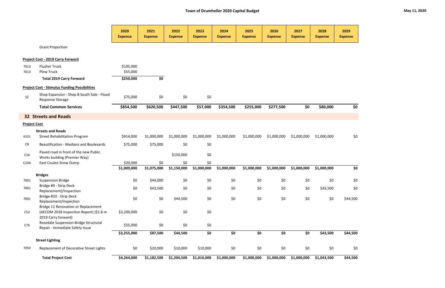|                     |                                                                                                       | 2020<br><b>Expense</b> | 2021<br><b>Expense</b> | 2022<br><b>Expense</b> | 2023<br><b>Expense</b> | 2024<br><b>Expense</b> | 2025<br><b>Expense</b> | 2026<br><b>Expense</b> | 2027<br><b>Expense</b> | 2028<br><b>Expense</b> | 2029<br><b>Expense</b> |
|---------------------|-------------------------------------------------------------------------------------------------------|------------------------|------------------------|------------------------|------------------------|------------------------|------------------------|------------------------|------------------------|------------------------|------------------------|
|                     | <b>Grant Proportion</b>                                                                               |                        |                        |                        |                        |                        |                        |                        |                        |                        |                        |
|                     | Project Cost - 2019 Carry Forward                                                                     |                        |                        |                        |                        |                        |                        |                        |                        |                        |                        |
| 7013<br>7013        | <b>Flusher Truck</b><br><b>Plow Truck</b>                                                             | \$195,000<br>\$55,000  |                        |                        |                        |                        |                        |                        |                        |                        |                        |
|                     | <b>Total 2019 Carry Forward</b>                                                                       | \$250,000              | \$0                    |                        |                        |                        |                        |                        |                        |                        |                        |
|                     | <b>Project Cost - Stimulus Funding Possibilities</b>                                                  |                        |                        |                        |                        |                        |                        |                        |                        |                        |                        |
| S <sub>2</sub>      | Shop Expansion - Shop B South Side - Flood<br><b>Response Storage</b>                                 | \$75,000               | \$0                    | \$0                    | \$0                    |                        |                        |                        |                        |                        |                        |
|                     | <b>Total Common Services</b>                                                                          | \$854,500              | \$620,500              | \$447,500              | \$57,000               | \$354,500              | \$255,000              | \$277,500              | \$0                    | \$80,000               | \$0                    |
|                     | <b>32 Streets and Roads</b>                                                                           |                        |                        |                        |                        |                        |                        |                        |                        |                        |                        |
| <b>Project Cost</b> |                                                                                                       |                        |                        |                        |                        |                        |                        |                        |                        |                        |                        |
|                     | <b>Streets and Roads</b>                                                                              |                        |                        |                        |                        |                        |                        |                        |                        |                        |                        |
| 6101                | <b>Street Rehabilitation Program</b>                                                                  | \$914,000              | \$1,000,000            | \$1,000,000            | \$1,000,000            | \$1,000,000            | \$1,000,000            | \$1,000,000            | \$1,000,000            | \$1,000,000            | \$0                    |
| C8                  | <b>Beautification - Medians and Boulevards</b>                                                        | \$75,000               | \$75,000               | \$0                    | \$0                    |                        |                        |                        |                        |                        |                        |
| C16                 | Paved road in front of the new Public<br>Works building (Premier Way)                                 |                        |                        | \$150,000              | \$0                    |                        |                        |                        |                        |                        |                        |
| C <sub>23A</sub>    | East Coulee Snow Dump                                                                                 | \$20,000               | \$0                    | \$0                    | \$0                    |                        |                        |                        |                        |                        |                        |
|                     |                                                                                                       | \$1,009,000            | \$1,075,000            | \$1,150,000            | \$1,000,000            | \$1,000,000            | \$1,000,000            | \$1,000,000            | \$1,000,000            | \$1,000,000            | \$0                    |
| 7001                | <b>Bridges</b><br><b>Suspension Bridge</b>                                                            | \$0                    | \$44,000               | \$0                    | \$0                    | \$0                    | \$0                    | \$0                    | \$0                    | \$0                    | \$0                    |
| 7001                | Bridge #9 - Strip Deck                                                                                | \$0                    | \$43,500               | \$0                    | \$0                    | \$0                    | \$0                    | \$0                    | \$0                    | \$43,500               | \$0                    |
| 7001                | Replacement)/Inspection<br>Bridge #10 - Strip Deck<br>Replacement/Inspection                          | \$0                    | \$0                    | \$44,500               | $$0$$                  | \$0                    | $$0$$                  | \$0                    | \$0                    | \$0                    | \$44,500               |
| C52                 | Bridge 11 Renovation or Replacement<br>(AECOM 2018 Inspection Report) (\$1.6 m<br>2019 Carry forward) | \$3,200,000            | \$0                    | \$0                    | $$0$$                  |                        |                        |                        |                        |                        |                        |
| C76                 | Rosedale Suspension Bridge Structural<br>Repair - Immediate Safety Issue                              | \$55,000               | \$0                    | \$0                    | \$0                    |                        |                        |                        |                        |                        |                        |
|                     |                                                                                                       | \$3,255,000            | \$87,500               | \$44,500               | \$0                    | \$0                    | \$0                    | \$0                    | \$0                    | \$43,500               | \$44,500               |
|                     | <b>Street Lighting</b>                                                                                |                        |                        |                        |                        |                        |                        |                        |                        |                        |                        |
| 7050                | Replacement of Decorative Street Lights                                                               | \$0                    | \$20,000               | \$10,000               | \$10,000               | \$0                    | $$0$$                  | \$0                    | \$0                    | $$0$$                  | \$0                    |
|                     | <b>Total Project Cost</b>                                                                             | \$4,264,000            | \$1,182,500            | \$1,204,500            | \$1,010,000            | \$1,000,000            | \$1,000,000            | \$1,000,000            | \$1,000,000            | \$1,043,500            | \$44,500               |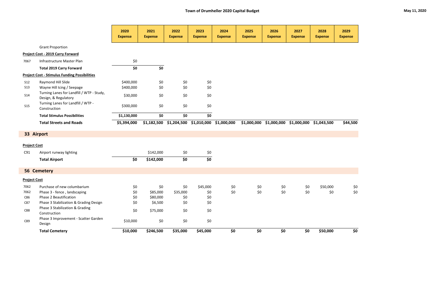|                     |                                                                   | 2020<br><b>Expense</b> | 2021<br><b>Expense</b> | 2022<br><b>Expense</b> | 2023<br><b>Expense</b> | 2024<br><b>Expense</b> | 2025<br><b>Expense</b> | 2026<br><b>Expense</b>                              | 2027<br><b>Expense</b> | 2028<br><b>Expense</b> | 2029<br><b>Expense</b> |
|---------------------|-------------------------------------------------------------------|------------------------|------------------------|------------------------|------------------------|------------------------|------------------------|-----------------------------------------------------|------------------------|------------------------|------------------------|
|                     | <b>Grant Proportion</b>                                           |                        |                        |                        |                        |                        |                        |                                                     |                        |                        |                        |
|                     | <b>Project Cost - 2019 Carry Forward</b>                          |                        |                        |                        |                        |                        |                        |                                                     |                        |                        |                        |
| 7067                | Infrastructure Master Plan                                        | \$0                    |                        |                        |                        |                        |                        |                                                     |                        |                        |                        |
|                     | <b>Total 2019 Carry Forward</b>                                   | \$0                    | \$0                    |                        |                        |                        |                        |                                                     |                        |                        |                        |
|                     | <b>Project Cost - Stimulus Funding Possibilities</b>              |                        |                        |                        |                        |                        |                        |                                                     |                        |                        |                        |
| <b>S12</b>          | Raymond Hill Slide                                                | \$400,000              | \$0                    | \$0                    | \$0                    |                        |                        |                                                     |                        |                        |                        |
| S13                 | Wayne Hill Icing / Seepage                                        | \$400,000              | \$0                    | \$0                    | \$0                    |                        |                        |                                                     |                        |                        |                        |
| <b>S14</b>          | Turning Lanes for Landfill / WTP - Study,<br>Design, & Regulatory | \$30,000               | \$0                    | \$0\$                  | \$0                    |                        |                        |                                                     |                        |                        |                        |
| S <sub>15</sub>     | Turning Lanes for Landfill / WTP -<br>Construction                | \$300,000              | \$0                    | \$0\$                  | \$0                    |                        |                        |                                                     |                        |                        |                        |
|                     | <b>Total Stimulus Possibilities</b>                               | \$1,130,000            | \$0                    | \$0                    | \$0                    |                        |                        |                                                     |                        |                        |                        |
|                     | <b>Total Streets and Roads</b>                                    | \$5,394,000            | \$1,182,500            | \$1,204,500            | \$1,010,000            | \$1,000,000            |                        | $$1,000,000$ $$1,000,000$ $$1,000,000$ $$1,043,500$ |                        |                        | \$44,500               |
| 33 Airport          |                                                                   |                        |                        |                        |                        |                        |                        |                                                     |                        |                        |                        |
| <b>Project Cost</b> |                                                                   |                        |                        |                        |                        |                        |                        |                                                     |                        |                        |                        |
| C91                 | Airport runway lighting                                           |                        | \$142,000              | \$0\$                  | \$0                    |                        |                        |                                                     |                        |                        |                        |
|                     | <b>Total Airport</b>                                              | \$0                    | \$142,000              | \$0                    | \$0                    |                        |                        |                                                     |                        |                        |                        |
|                     | <b>56 Cemetery</b>                                                |                        |                        |                        |                        |                        |                        |                                                     |                        |                        |                        |
|                     |                                                                   |                        |                        |                        |                        |                        |                        |                                                     |                        |                        |                        |
| <b>Project Cost</b> |                                                                   |                        |                        |                        |                        |                        |                        |                                                     |                        |                        |                        |
| 7062                | Purchase of new columbarium                                       | \$0                    | \$0                    | \$0                    | \$45,000               | \$0                    | \$0                    | \$0                                                 | Ş0                     | \$50,000               | Ş0                     |
| 7062                | Phase 3 - fence, landscaping                                      | \$0                    | \$85,000               | \$35,000               | \$0                    | \$0                    | \$0                    | \$0                                                 | \$0                    | \$0                    | \$0\$                  |
| C86                 | Phase 2 Beautification                                            | \$0                    | \$80,000               | \$0                    | \$0                    |                        |                        |                                                     |                        |                        |                        |
| C87                 | Phase 3 Stabilization & Grading Design                            | \$0                    | \$6,500                | \$0                    | \$0                    |                        |                        |                                                     |                        |                        |                        |
| C88                 | Phase 3 Stabilization & Grading<br>Construction                   | \$0                    | \$75,000               | \$0                    | \$0                    |                        |                        |                                                     |                        |                        |                        |
| C89                 | Phase 3 Improvement - Scatter Garden<br>Design                    | \$10,000               | \$0                    | \$0                    | \$0                    |                        |                        |                                                     |                        |                        |                        |

**Total Cemetery \$10,000 \$246,500 \$35,000 \$45,000 \$0 \$0 \$0 \$0 \$50,000 \$0**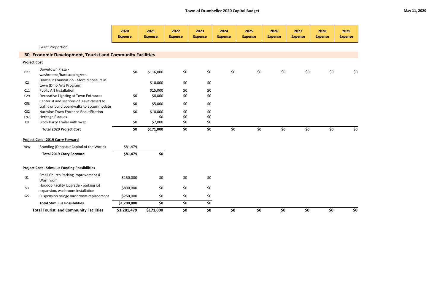|                     |                                                                                         | 2020<br><b>Expense</b> | 2021<br><b>Expense</b> | 2022<br><b>Expense</b> | 2023<br><b>Expense</b>            | 2024<br><b>Expense</b> | 2025<br><b>Expense</b> | 2026<br><b>Expense</b> | 2027<br><b>Expense</b> | 2028<br><b>Expense</b> | 2029<br><b>Expense</b> |
|---------------------|-----------------------------------------------------------------------------------------|------------------------|------------------------|------------------------|-----------------------------------|------------------------|------------------------|------------------------|------------------------|------------------------|------------------------|
|                     | <b>Grant Proportion</b>                                                                 |                        |                        |                        |                                   |                        |                        |                        |                        |                        |                        |
|                     | 60 Economic Development, Tourist and Community Facilities                               |                        |                        |                        |                                   |                        |                        |                        |                        |                        |                        |
| <b>Project Cost</b> |                                                                                         |                        |                        |                        |                                   |                        |                        |                        |                        |                        |                        |
| 7111                | Downtown Plaza -<br>washrooms/hardscaping/etc.                                          | \$0                    | \$116,000              | \$0                    | \$0                               | \$0                    | \$0                    | \$0                    | \$0                    | \$0                    | \$0                    |
| C <sub>2</sub>      | Dinosaur Foundation - More dinosaurs in<br>town (Dino Arts Program)                     |                        | \$10,000               | \$0                    | \$0                               |                        |                        |                        |                        |                        |                        |
| C11                 | <b>Public Art Installation</b>                                                          |                        | \$15,000               | \$0                    | \$0                               |                        |                        |                        |                        |                        |                        |
| C <sub>29</sub>     | Decorative Lighting at Town Entrances                                                   | \$0                    | \$8,000                | \$0                    | \$0                               |                        |                        |                        |                        |                        |                        |
| C58                 | Center st and sections of 3 ave closed to<br>traffic or build boardwalks to accommodate | \$0                    | \$5,000                | \$0                    | \$0                               |                        |                        |                        |                        |                        |                        |
| C82                 | Nacmine Town Entrance Beautification                                                    | \$0                    | \$10,000               | \$0                    | \$0                               |                        |                        |                        |                        |                        |                        |
| C97                 | <b>Heritage Plaques</b>                                                                 |                        | \$0                    | \$0                    | $$0$$                             |                        |                        |                        |                        |                        |                        |
| E <sub>3</sub>      | <b>Block Party Trailer with wrap</b>                                                    | \$0                    | \$7,000                | \$0                    | \$0                               |                        |                        |                        |                        |                        |                        |
|                     | <b>Total 2020 Project Cost</b>                                                          | \$0\$                  | \$171,000              | \$0                    | $\overline{\boldsymbol{\zeta_0}}$ | \$0                    | \$0                    | \$0                    | \$0                    | \$0                    | \$0\$                  |
|                     | <b>Project Cost - 2019 Carry Forward</b>                                                |                        |                        |                        |                                   |                        |                        |                        |                        |                        |                        |
| 7092                | Branding (Dinosaur Capital of the World)                                                | \$81,479               |                        |                        |                                   |                        |                        |                        |                        |                        |                        |
|                     | <b>Total 2019 Carry Forward</b>                                                         | \$81,479               | \$0                    |                        |                                   |                        |                        |                        |                        |                        |                        |
|                     | <b>Project Cost - Stimulus Funding Possibilities</b>                                    |                        |                        |                        |                                   |                        |                        |                        |                        |                        |                        |
| S <sub>1</sub>      | Small Church Parking Improvement &<br>Washroom                                          | \$150,000              | \$0                    | \$0\$                  | \$0                               |                        |                        |                        |                        |                        |                        |
| S <sub>3</sub>      | Hoodoo Facility Upgrade - parking lot<br>expansion, washroom installation               | \$800,000              | \$0                    | \$0                    | \$0                               |                        |                        |                        |                        |                        |                        |
| <b>S22</b>          | Suspension bridge washroom replacement                                                  | \$250,000              | \$0                    | \$0                    | \$0                               |                        |                        |                        |                        |                        |                        |
|                     | <b>Total Stimulus Possibilities</b>                                                     | \$1,200,000            | \$0                    | \$0                    | $\overline{\xi_0}$                |                        |                        |                        |                        |                        |                        |
|                     | <b>Total Tourist and Community Facilities</b>                                           | \$1,281,479            | \$171,000              | \$0                    | \$0                               | \$0                    | \$0                    | \$0                    | \$0                    | \$0                    | \$0                    |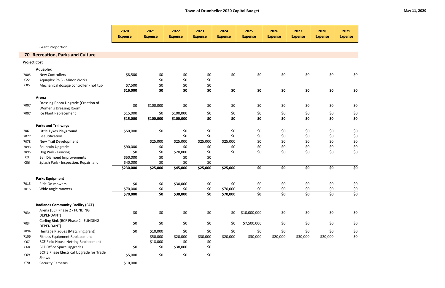|                     |                                                                     | 2020<br><b>Expense</b> | 2021<br><b>Expense</b> | 2022<br><b>Expense</b> | 2023<br><b>Expense</b>            | 2024<br><b>Expense</b> | 2025<br><b>Expense</b> | 2026<br><b>Expense</b>                             | 2027<br><b>Expense</b>            | 2028<br><b>Expense</b> | 2029<br><b>Expense</b> |
|---------------------|---------------------------------------------------------------------|------------------------|------------------------|------------------------|-----------------------------------|------------------------|------------------------|----------------------------------------------------|-----------------------------------|------------------------|------------------------|
|                     | <b>Grant Proportion</b>                                             |                        |                        |                        |                                   |                        |                        |                                                    |                                   |                        |                        |
|                     | <b>70 Recreation, Parks and Culture</b>                             |                        |                        |                        |                                   |                        |                        |                                                    |                                   |                        |                        |
| <b>Project Cost</b> |                                                                     |                        |                        |                        |                                   |                        |                        |                                                    |                                   |                        |                        |
|                     | <b>Aquaplex</b>                                                     |                        |                        |                        |                                   |                        |                        |                                                    |                                   |                        |                        |
| 7005                | <b>New Controllers</b>                                              | \$8,500                | \$0                    | \$0                    | \$0                               | \$0                    | \$0                    | \$0                                                | \$0                               | $$0$$                  | \$0                    |
| C <sub>22</sub>     | Aquaplex Ph 3 - Minor Works                                         |                        | \$0                    | \$0                    | \$0                               |                        |                        |                                                    |                                   |                        |                        |
| C85                 | Mechanical dosage controller - hot tub                              | \$7,500                | \$0                    | \$0                    | \$0                               |                        |                        |                                                    |                                   |                        |                        |
|                     |                                                                     | \$16,000               | \$0                    | \$0                    | \$0                               | \$0                    | \$0                    | \$0                                                | \$0                               | \$0                    | \$0                    |
|                     | Arena                                                               |                        |                        |                        |                                   |                        |                        |                                                    |                                   |                        |                        |
| 7007                | Dressing Room Upgrade (Creation of<br><b>Women's Dressing Room)</b> | \$0                    | \$100,000              | \$0                    | \$0                               | \$0                    | \$0                    | \$0                                                | \$0                               | $$0$$                  | \$0                    |
| 7007                | Ice Plant Replacement                                               | \$15,000               | \$0                    | \$100,000              | \$0                               | \$0                    | \$0                    | \$0                                                | \$0                               | \$0                    |                        |
|                     |                                                                     | \$15,000               | \$100,000              | \$100,000              | $\overline{\boldsymbol{\zeta_0}}$ | $\overline{\xi}$       | \$0                    | $\overline{\boldsymbol{\mathsf{S}}\boldsymbol{0}}$ | $\overline{\boldsymbol{\zeta_0}}$ | $\overline{\xi}$       | $\frac{$0}{$0}$        |
|                     | <b>Parks and Trailways</b>                                          |                        |                        |                        |                                   |                        |                        |                                                    |                                   |                        |                        |
| 7061                | Little Tykes Playground                                             | \$50,000               | \$0                    | \$0                    | \$0                               | \$0                    | \$0                    | \$0                                                | \$0                               | \$0                    | \$0                    |
| 7077                | Beautification                                                      |                        |                        | \$0                    | \$0                               | \$0                    | \$0                    | \$0                                                | \$0                               | \$0                    | $$0$$                  |
| 7078                | New Trail Development                                               |                        | \$25,000               | \$25,000               | \$25,000                          | \$25,000               | \$0                    | \$0                                                | \$0                               | \$0                    | $$0$$                  |
| 7093                | Fountain Upgrade                                                    | \$90,000               | \$0                    | \$0                    | \$0                               | \$0                    | \$0                    | \$0                                                | \$0                               | \$0                    | $$0\,$                 |
| 7095                | Dog Park - Fencing                                                  | \$0                    | \$0                    | \$20,000               | \$0                               | \$0                    | \$0                    | \$0                                                | \$0                               | \$0                    | \$0                    |
| C <sub>3</sub>      | <b>Ball Diamond Improvements</b>                                    | \$50,000               | \$0                    | \$0                    | \$0                               |                        |                        |                                                    |                                   |                        |                        |
| C56                 | Splash Park - Inspection, Repair, and                               | \$40,000               | \$0                    | \$0                    | \$0                               |                        |                        |                                                    |                                   |                        |                        |
|                     |                                                                     | \$230,000              | \$25,000               | \$45,000               | \$25,000                          | \$25,000               | \$0                    | \$0                                                | \$0                               | \$0                    | \$0                    |
|                     | <b>Parks Equipment</b>                                              |                        |                        |                        |                                   |                        |                        |                                                    |                                   |                        |                        |
| 7015                | Ride On mowers                                                      | \$0                    | \$0                    | \$30,000               | \$0                               | \$0                    | \$0                    | \$0                                                | \$0                               | \$0                    | \$0                    |
| 7015                | Wide angle mowers                                                   | \$70,000               | \$0                    | \$0                    | \$0                               | \$70,000               | \$0                    | \$0                                                | \$0                               | \$0                    | \$0                    |
|                     |                                                                     | \$70,000               | \$0                    | \$30,000               | \$0                               | \$70,000               | \$0                    | \$0                                                | \$0                               | \$0                    | $\overline{\xi_0}$     |
|                     | <b>Badlands Community Facility (BCF)</b>                            |                        |                        |                        |                                   |                        |                        |                                                    |                                   |                        |                        |
| 7034                | Arena (BCF Phase 2 - FUNDING<br>DEPENDANT)                          | \$0                    | \$0                    | \$0                    | $$0$$                             | \$0                    | \$10,000,000           | \$0                                                | \$0                               | $$0$$                  | \$0                    |
| 7034                | Curling Rink (BCF Phase 2 - FUNDING<br>DEPENDANT)                   | \$0                    | \$0                    | \$0                    | \$0                               | \$0                    | \$7,500,000            | \$0                                                | \$0                               | \$0                    | \$0                    |
| 7094                | Heritage Plaques (Matching grant)                                   | \$0\$                  | \$10,000               | \$0                    | \$0                               | $$0$$                  | \$0                    | \$0                                                | \$0                               | \$0                    | \$0                    |
| 7106                | <b>Fitness Equipment Replacement</b>                                |                        | \$50,000               | \$20,000               | \$30,000                          | \$20,000               | \$30,000               | \$20,000                                           | \$30,000                          | \$20,000               | \$0                    |
| C67                 | <b>BCF Field House Netting Replacement</b>                          |                        | \$18,000               | \$0                    | \$0                               |                        |                        |                                                    |                                   |                        |                        |
| C68                 | <b>BCF Office Space Upgrades</b>                                    | \$0                    | \$0                    | \$38,000               | \$0                               |                        |                        |                                                    |                                   |                        |                        |
| C69                 | BCF 3 Phase Electrical Upgrade for Trade<br>Shows                   | \$5,000                | \$0                    | \$0                    | $$0$$                             |                        |                        |                                                    |                                   |                        |                        |
| C70                 | <b>Security Cameras</b>                                             | \$10,000               |                        |                        |                                   |                        |                        |                                                    |                                   |                        |                        |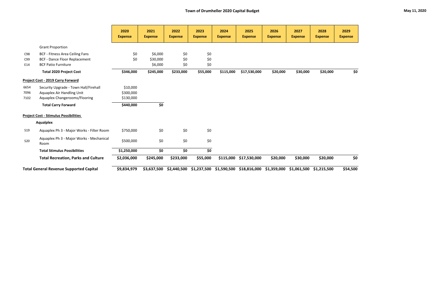|            |                                                  | 2020<br><b>Expense</b> | 2021<br><b>Expense</b> | 2022<br><b>Expense</b> | 2023<br><b>Expense</b>            | 2024<br><b>Expense</b> | 2025<br><b>Expense</b> | 2026<br><b>Expense</b> | 2027<br><b>Expense</b> | 2028<br><b>Expense</b> | 2029<br><b>Expense</b> |
|------------|--------------------------------------------------|------------------------|------------------------|------------------------|-----------------------------------|------------------------|------------------------|------------------------|------------------------|------------------------|------------------------|
|            | <b>Grant Proportion</b>                          |                        |                        |                        |                                   |                        |                        |                        |                        |                        |                        |
| C98        | <b>BCF - Fitness Area Ceiling Fans</b>           | \$0                    | \$6,000                | \$0                    | \$0                               |                        |                        |                        |                        |                        |                        |
| C99        | <b>BCF - Dance Floor Replacement</b>             | \$0                    | \$30,000               | \$0                    | \$0                               |                        |                        |                        |                        |                        |                        |
| E14        | <b>BCF Patio Furniture</b>                       |                        | \$6,000                | \$0                    | \$0                               |                        |                        |                        |                        |                        |                        |
|            | <b>Total 2020 Project Cost</b>                   | \$346,000              | \$245,000              | \$233,000              | \$55,000                          | \$115,000              | \$17,530,000           | \$20,000               | \$30,000               | \$20,000               | \$0                    |
|            | <b>Project Cost - 2019 Carry Forward</b>         |                        |                        |                        |                                   |                        |                        |                        |                        |                        |                        |
| 6654       | Security Upgrade - Town Hall/Firehall            | \$10,000               |                        |                        |                                   |                        |                        |                        |                        |                        |                        |
| 7096       | Aquaplex Air Handling Unit                       | \$300,000              |                        |                        |                                   |                        |                        |                        |                        |                        |                        |
| 7102       | Aquaplex Changerooms/Flooring                    | \$130,000              |                        |                        |                                   |                        |                        |                        |                        |                        |                        |
|            | <b>Total Carry Forward</b>                       | \$440,000              | \$0                    |                        |                                   |                        |                        |                        |                        |                        |                        |
|            | <b>Project Cost - Stimulus Possibilities</b>     |                        |                        |                        |                                   |                        |                        |                        |                        |                        |                        |
|            | <b>Aqualplex</b>                                 |                        |                        |                        |                                   |                        |                        |                        |                        |                        |                        |
| S19        | Aquaplex Ph 3 - Major Works - Filter Room        | \$750,000              | \$0                    | \$0                    | \$0                               |                        |                        |                        |                        |                        |                        |
| <b>S20</b> | Aquaplex Ph 3 - Major Works - Mechanical<br>Room | \$500,000              | \$0                    | \$0                    | \$0                               |                        |                        |                        |                        |                        |                        |
|            | <b>Total Stimulus Possibilities</b>              | \$1,250,000            | \$0                    | \$0                    | $\overline{\boldsymbol{\zeta_0}}$ |                        |                        |                        |                        |                        |                        |
|            | <b>Total Recreation, Parks and Culture</b>       | \$2,036,000            | \$245,000              | \$233,000              | \$55,000                          | \$115,000              | \$17,530,000           | \$20,000               | \$30,000               | \$20,000               | \$0\$                  |
|            | <b>Total General Revenue Supported Capital</b>   | \$9,834,979            | \$3,637,500            | \$2,440,500            | \$1,237,500                       | \$1,590,500            | \$18,816,000           | \$1,359,000            | \$1,061,500            | \$1,215,500            | \$54,500               |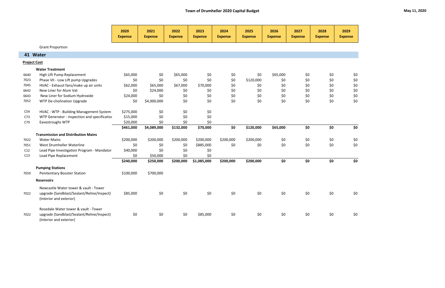|                     |                                                                       | 2020<br><b>Expense</b> | 2021<br><b>Expense</b> | 2022<br><b>Expense</b> | 2023<br><b>Expense</b> | 2024<br><b>Expense</b> | 2025<br><b>Expense</b> | 2026<br><b>Expense</b> | 2027<br><b>Expense</b> | 2028<br><b>Expense</b> | 2029<br><b>Expense</b> |
|---------------------|-----------------------------------------------------------------------|------------------------|------------------------|------------------------|------------------------|------------------------|------------------------|------------------------|------------------------|------------------------|------------------------|
|                     | <b>Grant Proportion</b>                                               |                        |                        |                        |                        |                        |                        |                        |                        |                        |                        |
|                     | 41 Water                                                              |                        |                        |                        |                        |                        |                        |                        |                        |                        |                        |
| <b>Project Cost</b> |                                                                       |                        |                        |                        |                        |                        |                        |                        |                        |                        |                        |
|                     | <b>Water Treatment</b>                                                |                        |                        |                        |                        |                        |                        |                        |                        |                        |                        |
| 6640                | High Lift Pump Replacement                                            | \$65,000               | \$0                    | \$65,000               | \$0                    | \$0                    | \$0                    | \$65,000               | \$0                    | \$0                    | \$0                    |
| 7023                | Phase VII - Low Lift pump Upgrades                                    | \$0                    | \$0                    | \$0                    | \$0                    | \$0                    | \$120,000              | \$0                    | \$0                    | \$0                    | \$0                    |
| 7045                | HVAC - Exhaust fans/make up air units                                 | \$62,000               | \$65,000               | \$67,000               | \$70,000               | \$0                    | \$0                    | \$0                    | \$0                    | \$0                    | \$0                    |
| 6642                | New Liner for Alum Vat                                                | \$0                    | \$24,000               | \$0                    | \$0                    | \$0                    | \$0                    | \$0                    | \$0                    | \$0                    | \$0                    |
| 6643                | New Liner for Sodium Hydroxide                                        | \$24,000               | \$0                    | \$0                    | \$0                    | \$0                    | \$0                    | \$0                    | \$0                    | \$0                    | \$0                    |
| 7052                | WTP De-cholination Upgrade                                            | \$0                    | \$4,000,000            | \$0                    | \$0                    | \$0                    | \$0                    | \$0                    | \$0                    | \$0                    | \$0                    |
| C59                 | HVAC - WTP - Building Management System                               | \$275,000              | \$0                    | \$0                    | \$0                    |                        |                        |                        |                        |                        |                        |
| C73                 | WTP Generator - inspection and specification                          | \$15,000               | \$0                    | \$0                    | \$0                    |                        |                        |                        |                        |                        |                        |
| C79                 | Eavestroughs WTP                                                      | \$20,000               | \$0                    | \$0                    | \$0                    |                        |                        |                        |                        |                        |                        |
|                     |                                                                       | \$461,000              | \$4,089,000            | \$132,000              | \$70,000               | \$0                    | \$120,000              | \$65,000               | \$0                    | \$0                    | \$0                    |
|                     | <b>Transmission and Distribution Mains</b>                            |                        |                        |                        |                        |                        |                        |                        |                        |                        |                        |
| 7022                | <b>Water Mains</b>                                                    | \$200,000              | \$200,000              | \$200,000              | \$200,000              | \$200,000              | \$200,000              | \$0                    | \$0                    | \$0                    | \$0                    |
| 7051                | West Drumheller Waterline                                             | \$0                    | \$0                    | \$0                    | \$885,000              | \$0                    | \$0                    | \$0                    | \$0                    | \$0                    | \$0                    |
| C12                 | Lead Pipe Investigation Program - Mandator                            | \$40,000               | \$0                    | \$0                    | \$0                    |                        |                        |                        |                        |                        |                        |
| C13                 | Lead Pipe Replacement                                                 | \$0                    | \$50,000               | \$0                    | \$0                    |                        |                        |                        |                        |                        |                        |
|                     |                                                                       | \$240,000              | \$250,000              | \$200,000              | \$1,085,000            | \$200,000              | \$200,000              | \$0                    | \$0                    | \$0                    | \$0                    |
|                     | <b>Pumping Stations</b>                                               |                        |                        |                        |                        |                        |                        |                        |                        |                        |                        |
| 7059                | <b>Penitentiary Booster Station</b>                                   | \$100,000              | \$700,000              |                        |                        |                        |                        |                        |                        |                        |                        |
|                     | <b>Reservoirs</b>                                                     |                        |                        |                        |                        |                        |                        |                        |                        |                        |                        |
|                     | Newcastle Water tower & vault - Tower                                 |                        |                        |                        |                        |                        |                        |                        |                        |                        |                        |
| 7022                | upgrade (Sandblast/Sealant/Reline/Inspect)<br>(Interior and exterior) | \$85,000               | \$0                    | \$0                    | \$0                    | \$0                    | \$0                    | \$0                    | \$0\$                  | \$0                    | \$0                    |
|                     | Rosedale Water tower & vault - Tower                                  |                        |                        |                        |                        |                        |                        |                        |                        |                        |                        |
| 7022                | upgrade (Sandblast/Sealant/Reline/Inspect)<br>(Interior and exterior) | \$0                    | \$0                    | \$0                    | \$85,000               | \$0                    | \$0                    | \$0                    | \$0                    | \$0                    | \$0                    |

|  |  | May 11, 2020 |
|--|--|--------------|
|--|--|--------------|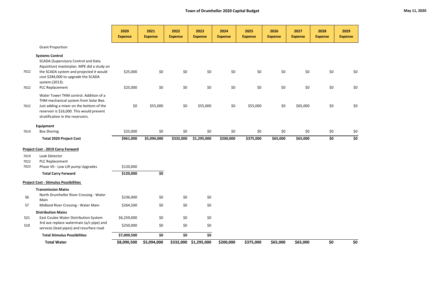| e | 2029<br><b>Expense</b> |
|---|------------------------|
|   |                        |

| \$0 | \$0 |
|-----|-----|
| \$0 | \$0 |
| \$0 | \$0 |
| \$0 | \$0 |

|            |                                                                                                                                                                          | 2020<br><b>Expense</b> | 2021<br><b>Expense</b> | 2022<br><b>Expense</b> | 2023<br><b>Expense</b> | 2024<br><b>Expense</b> | 2025<br><b>Expense</b> | 2026<br><b>Expense</b> | 2027<br><b>Expense</b> | 2028<br><b>Expense</b> | 2029<br><b>Expense</b> |
|------------|--------------------------------------------------------------------------------------------------------------------------------------------------------------------------|------------------------|------------------------|------------------------|------------------------|------------------------|------------------------|------------------------|------------------------|------------------------|------------------------|
|            | <b>Grant Proportion</b>                                                                                                                                                  |                        |                        |                        |                        |                        |                        |                        |                        |                        |                        |
|            | <b>Systems Control</b><br>SCADA (Supervisory Control and Data<br>Aquisition) masterplan. MPE did a study on                                                              |                        |                        |                        |                        |                        |                        |                        |                        |                        |                        |
| 7022       | the SCADA system and projected it would<br>cost \$284,000 to upgrade the SCADA<br>system.(2013).                                                                         | \$25,000               | \$0                    | $$0$$                  | \$0                    | \$0                    | \$0                    | $$0$$                  | \$0                    | \$0                    | \$Ο                    |
| 7022       | PLC Replacement                                                                                                                                                          | \$25,000               | \$0                    | $$0$$                  | $$0$$                  | \$0                    | \$0                    | $$0$$                  | $$0$$                  | \$0                    | \$Ο                    |
| 7022       | Water Tower THM control. Addition of a<br>THM mechanical system from Solar Bee.<br>Just adding a mixer on the bottom of the<br>reservoir is \$16,000. This would prevent | \$0                    | \$55,000               | \$0                    | \$55,000               | \$0                    | \$55,000               | \$0                    | \$65,000               | \$0                    | \$Ο                    |
|            | stratification in the reservoirs.                                                                                                                                        |                        |                        |                        |                        |                        |                        |                        |                        |                        |                        |
|            | Equipment                                                                                                                                                                |                        |                        |                        |                        |                        |                        |                        |                        |                        |                        |
| 7019       | <b>Box Shoring</b>                                                                                                                                                       | \$25,000               | \$0                    | \$0                    | \$0                    | \$0                    | \$0                    | \$0                    | \$0                    | \$0                    | \$0                    |
|            | <b>Total 2020 Project Cost</b>                                                                                                                                           | \$961,000              | \$5,094,000            | \$332,000              | \$1,295,000            | \$200,000              | \$375,000              | \$65,000               | \$65,000               | \$0                    | \$0                    |
|            | <b>Project Cost - 2019 Carry Forward</b>                                                                                                                                 |                        |                        |                        |                        |                        |                        |                        |                        |                        |                        |
| 7019       | Leak Detector                                                                                                                                                            |                        |                        |                        |                        |                        |                        |                        |                        |                        |                        |
| 7022       | PLC Replacement                                                                                                                                                          |                        |                        |                        |                        |                        |                        |                        |                        |                        |                        |
| 7023       | Phase VII - Low Lift pump Upgrades                                                                                                                                       | \$120,000              |                        |                        |                        |                        |                        |                        |                        |                        |                        |
|            | <b>Total Carry Forward</b>                                                                                                                                               | \$120,000              | \$0                    |                        |                        |                        |                        |                        |                        |                        |                        |
|            | <b>Project Cost - Stimulus Possibilities</b>                                                                                                                             |                        |                        |                        |                        |                        |                        |                        |                        |                        |                        |
|            | <b>Transmission Mains</b>                                                                                                                                                |                        |                        |                        |                        |                        |                        |                        |                        |                        |                        |
| <b>S6</b>  | North Drumheller River Crossing - Water<br>Main                                                                                                                          | \$236,000              | \$0                    | \$0                    | \$0                    |                        |                        |                        |                        |                        |                        |
| S7         | Midland River Crossing - Water Main                                                                                                                                      | \$264,500              | \$0                    | \$0                    | \$0                    |                        |                        |                        |                        |                        |                        |
|            | <b>Distribution Mains</b>                                                                                                                                                |                        |                        |                        |                        |                        |                        |                        |                        |                        |                        |
| S21        | East Coulee Water Distribution System                                                                                                                                    | \$6,259,000            | \$0                    | \$0                    | \$0                    |                        |                        |                        |                        |                        |                        |
| <b>S10</b> | 3rd ave replace watermain (a/c pipe) and<br>services (lead pipes) and resurface road                                                                                     | \$250,000              | \$0                    | \$0                    | \$0                    |                        |                        |                        |                        |                        |                        |
|            | <b>Total Stimulus Possibilities</b>                                                                                                                                      | \$7,009,500            | \$0                    | \$0                    | \$0                    |                        |                        |                        |                        |                        |                        |
|            | <b>Total Water</b>                                                                                                                                                       | \$8,090,500            | \$5,094,000            | \$332,000              | \$1,295,000            | \$200,000              | \$375,000              | \$65,000               | \$65,000               | \$0                    | \$0                    |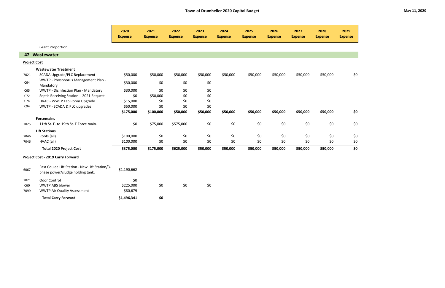|                     |                                                                                    | 2020           | 2021           | 2022           | 2023           | 2024           | 2025           | 2026           | 2027           | 2028           | 2029                              |
|---------------------|------------------------------------------------------------------------------------|----------------|----------------|----------------|----------------|----------------|----------------|----------------|----------------|----------------|-----------------------------------|
|                     |                                                                                    | <b>Expense</b> | <b>Expense</b> | <b>Expense</b> | <b>Expense</b> | <b>Expense</b> | <b>Expense</b> | <b>Expense</b> | <b>Expense</b> | <b>Expense</b> | <b>Expense</b>                    |
|                     | <b>Grant Proportion</b>                                                            |                |                |                |                |                |                |                |                |                |                                   |
|                     | 42 Wastewater                                                                      |                |                |                |                |                |                |                |                |                |                                   |
| <b>Project Cost</b> |                                                                                    |                |                |                |                |                |                |                |                |                |                                   |
|                     | <b>Wastewater Treatment</b>                                                        |                |                |                |                |                |                |                |                |                |                                   |
| 7021                | <b>SCADA Upgrade/PLC Replacement</b>                                               | \$50,000       | \$50,000       | \$50,000       | \$50,000       | \$50,000       | \$50,000       | \$50,000       | \$50,000       | \$50,000       | \$0                               |
| C64                 | WWTP - Phosphorus Management Plan -<br>Mandatory                                   | \$30,000       | \$0\$          | \$0            | \$0            |                |                |                |                |                |                                   |
| C65                 | WWTP - Disinfection Plan - Mandatory                                               | \$30,000       | \$0            | \$0            | \$0            |                |                |                |                |                |                                   |
| C72                 | Septic Receiving Station - 2021 Request                                            | \$0            | \$50,000       | \$0            | $$0$$          |                |                |                |                |                |                                   |
| C74                 | HVAC - WWTP Lab Room Upgrade                                                       | \$15,000       | \$0            | \$0            | \$0            |                |                |                |                |                |                                   |
| C94                 | WWTP - SCADA & PLC upgrades                                                        | \$50,000       | \$0            | \$0            | \$0            |                |                |                |                |                |                                   |
|                     |                                                                                    | \$175,000      | \$100,000      | \$50,000       | \$50,000       | \$50,000       | \$50,000       | \$50,000       | \$50,000       | \$50,000       | \$0                               |
|                     | <b>Forcemains</b>                                                                  |                |                |                |                |                |                |                |                |                |                                   |
| 7025                | 11th St. E. to 19th St. E Force main.                                              | \$0            | \$75,000       | \$575,000      | \$0            | \$0            | \$0            | \$0            | \$0            | \$0            | \$0                               |
|                     | <b>Lift Stations</b>                                                               |                |                |                |                |                |                |                |                |                |                                   |
| 7046                | Roofs (all)                                                                        | \$100,000      | \$0            | \$0            | \$0            | \$0            | \$0            | \$0            | \$0            | \$0            | \$0                               |
| 7046                | HVAC (all)                                                                         | \$100,000      | \$0            | \$0            | \$0            | \$0            | \$0            | \$0\$          | \$0            | \$0            | \$0                               |
|                     | <b>Total 2020 Project Cost</b>                                                     | \$375,000      | \$175,000      | \$625,000      | \$50,000       | \$50,000       | \$50,000       | \$50,000       | \$50,000       | \$50,000       | $\overline{\boldsymbol{\zeta_0}}$ |
|                     | <b>Project Cost - 2019 Carry Forward</b>                                           |                |                |                |                |                |                |                |                |                |                                   |
| 6067                | East Coulee Lift Station - New Lift Station/3-<br>phase power/sludge holding tank. | \$1,190,662    |                |                |                |                |                |                |                |                |                                   |
| 7021                | <b>Odor Control</b>                                                                | \$0            |                |                |                |                |                |                |                |                |                                   |
| C60                 | <b>WWTP ABS blower</b>                                                             | \$225,000      | \$0            | \$0            | \$0            |                |                |                |                |                |                                   |
| 7099                | <b>WWTP Air Quality Assessment</b>                                                 | \$80,679       |                |                |                |                |                |                |                |                |                                   |
|                     | <b>Total Carry Forward</b>                                                         | \$1,496,341    | \$0            |                |                |                |                |                |                |                |                                   |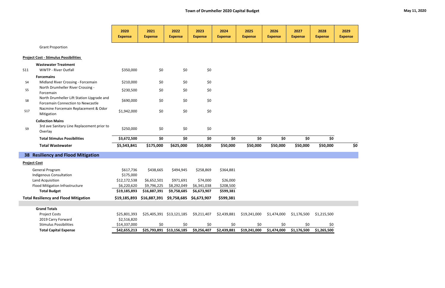|                     |                                                                                | 2020<br><b>Expense</b> | 2021<br><b>Expense</b>                            | 2022<br><b>Expense</b>    | 2023<br><b>Expense</b> | 2024<br><b>Expense</b> | 2025<br><b>Expense</b> | 2026<br><b>Expense</b> | 2027<br><b>Expense</b> | 2028<br><b>Expense</b> | 2029<br><b>Expense</b> |
|---------------------|--------------------------------------------------------------------------------|------------------------|---------------------------------------------------|---------------------------|------------------------|------------------------|------------------------|------------------------|------------------------|------------------------|------------------------|
|                     | <b>Grant Proportion</b>                                                        |                        |                                                   |                           |                        |                        |                        |                        |                        |                        |                        |
|                     | <b>Project Cost - Stimulus Possibilities</b>                                   |                        |                                                   |                           |                        |                        |                        |                        |                        |                        |                        |
|                     | <b>Wastewater Treatment</b>                                                    |                        |                                                   |                           |                        |                        |                        |                        |                        |                        |                        |
| <b>S11</b>          | <b>WWTP - River Outfall</b>                                                    | \$350,000              | \$0                                               | \$0                       | \$0                    |                        |                        |                        |                        |                        |                        |
|                     | <b>Forcemains</b>                                                              |                        |                                                   |                           |                        |                        |                        |                        |                        |                        |                        |
| <b>S4</b>           | Midland River Crossing - Forcemain                                             | \$210,000              | \$0                                               | \$0                       | \$0                    |                        |                        |                        |                        |                        |                        |
| S <sub>5</sub>      | North Drumheller River Crossing -<br>Forcemain                                 | \$230,500              | \$0                                               | \$0                       | \$0                    |                        |                        |                        |                        |                        |                        |
| S8                  | North Drumheller Lift Station Upgrade and<br>Forcemain Connection to Newcastle | \$690,000              | \$0                                               | \$0                       | \$0                    |                        |                        |                        |                        |                        |                        |
| <b>S17</b>          | Nacmine Forcemain Replacement & Odor<br>Mitigation                             | \$1,942,000            | \$0                                               | \$0                       | \$0                    |                        |                        |                        |                        |                        |                        |
|                     | <b>Collection Mains</b>                                                        |                        |                                                   |                           |                        |                        |                        |                        |                        |                        |                        |
| S9                  | 3rd ave Sanitary Line Replacement prior to<br>Overlay                          | \$250,000              | \$0                                               | \$0                       | \$0                    |                        |                        |                        |                        |                        |                        |
|                     | <b>Total Stimulus Possibilities</b>                                            | \$3,672,500            | \$0                                               | \$0                       | \$0                    | \$0                    | \$0                    | \$0                    | \$0                    | \$0                    |                        |
|                     | <b>Total Wastewater</b>                                                        | \$5,543,841            | \$175,000                                         | \$625,000                 | \$50,000               | \$50,000               | \$50,000               | \$50,000               | \$50,000               | \$50,000               | \$0                    |
|                     | 38 Resiliency and Flood Mitigation                                             |                        |                                                   |                           |                        |                        |                        |                        |                        |                        |                        |
| <b>Project Cost</b> |                                                                                |                        |                                                   |                           |                        |                        |                        |                        |                        |                        |                        |
|                     | General Program                                                                | \$617,736              | \$438,665                                         | \$494,945                 | \$258,869              | \$364,881              |                        |                        |                        |                        |                        |
|                     | Indigenous Consultation                                                        | \$175,000              |                                                   |                           |                        |                        |                        |                        |                        |                        |                        |
|                     | Land Acquisition                                                               | \$12,172,538           | \$6,652,501                                       | \$971,691                 | \$74,000               | \$26,000               |                        |                        |                        |                        |                        |
|                     | Flood Mitigation Infrastructure                                                | \$6,220,620            | \$9,796,225                                       | \$8,292,049               | \$6,341,038            | \$208,500              |                        |                        |                        |                        |                        |
|                     | <b>Total Budget</b>                                                            | \$19,185,893           | \$16,887,391                                      | \$9,758,685               | \$6,673,907            | \$599,381              |                        |                        |                        |                        |                        |
|                     | <b>Total Resiliency and Flood Mitigation</b>                                   |                        | \$19,185,893 \$16,887,391 \$9,758,685 \$6,673,907 |                           |                        | \$599,381              |                        |                        |                        |                        |                        |
|                     |                                                                                |                        |                                                   |                           |                        |                        |                        |                        |                        |                        |                        |
|                     | <b>Grand Totals</b>                                                            |                        |                                                   |                           |                        |                        |                        |                        |                        |                        |                        |
|                     | <b>Project Costs</b>                                                           | \$25,801,393           |                                                   | \$25,405,391 \$13,121,185 | \$9,211,407            | \$2,439,881            | \$19,241,000           | \$1,474,000            | \$1,176,500            | \$1,215,500            |                        |
|                     | 2019 Carry Forward                                                             | \$2,516,820            |                                                   |                           |                        |                        |                        |                        |                        |                        |                        |
|                     | <b>Stimulus Possibilities</b>                                                  | \$14,337,000           | \$0                                               | \$0                       | \$0                    | \$0                    | \$0                    | \$0                    | \$0                    | \$0                    |                        |
|                     | <b>Total Capital Expense</b>                                                   | \$42,655,213           |                                                   | \$25,793,891 \$13,156,185 | \$9,256,407            | \$2,439,881            | \$19,241,000           | \$1,474,000            | \$1,176,500            | \$1,265,500            |                        |

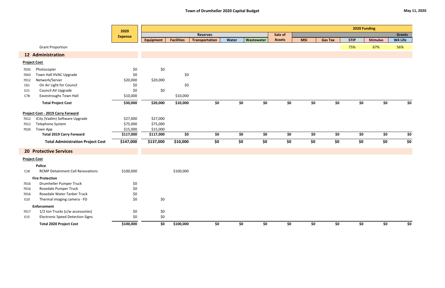# **Town of Drumheller 2020 Capital Budget May 11, 2020**

|      |                                          | 2020           | 2020 Funding     |                   |                       |       |            |               |            |                |             |                 |               |
|------|------------------------------------------|----------------|------------------|-------------------|-----------------------|-------|------------|---------------|------------|----------------|-------------|-----------------|---------------|
|      |                                          | <b>Expense</b> |                  |                   | <b>Reserves</b>       |       |            | Sale of       |            |                |             |                 | <b>Grants</b> |
|      |                                          |                | <b>Equipment</b> | <b>Facilities</b> | <b>Transportation</b> | Water | Wastewater | <b>Assets</b> | <b>MSI</b> | <b>Gas Tax</b> | <b>STIP</b> | <b>Stimulus</b> | W4 Life       |
|      | <b>Grant Proportion</b>                  |                |                  |                   |                       |       |            |               |            |                | 75%         | 67%             | 56%           |
|      | <b>12 Administration</b>                 |                |                  |                   |                       |       |            |               |            |                |             |                 |               |
|      | <b>Project Cost</b>                      |                |                  |                   |                       |       |            |               |            |                |             |                 |               |
| 7035 | Photocopier                              | \$0            | \$0              |                   |                       |       |            |               |            |                |             |                 |               |
| 7043 | Town Hall HVAC Upgrade                   | \$0            |                  | \$0               |                       |       |            |               |            |                |             |                 |               |
| 7012 | Network/Server                           | \$20,000       | \$20,000         |                   |                       |       |            |               |            |                |             |                 |               |
| C61  | On Air Light for Council                 | \$0            |                  | \$0               |                       |       |            |               |            |                |             |                 |               |
| E21  | Council AV Upgrade                       | \$0            | \$0              |                   |                       |       |            |               |            |                |             |                 |               |
| C78  | Eavestroughs Town Hall                   | \$10,000       |                  | \$10,000          |                       |       |            |               |            |                |             |                 |               |
|      | <b>Total Project Cost</b>                | \$30,000       | \$20,000         | \$10,000          | \$0                   | \$0   | \$0        | \$0           | \$0        | \$0            | \$0         | \$0             | \$0           |
|      | Project Cost - 2019 Carry Forward        |                |                  |                   |                       |       |            |               |            |                |             |                 |               |
| 7012 | iCity (Vadim) Software Upgrade           | \$27,000       | \$27,000         |                   |                       |       |            |               |            |                |             |                 |               |
| 7012 | Telephone System                         | \$75,000       | \$75,000         |                   |                       |       |            |               |            |                |             |                 |               |
| 7026 | Town App                                 | \$15,000       | \$15,000         |                   |                       |       |            |               |            |                |             |                 |               |
|      | <b>Total 2019 Carry Forward</b>          | \$117,000      | \$117,000        | \$0               | \$0                   | \$0   | \$0        | \$0           | \$0        | \$0            | \$0         | \$0             | \$0           |
|      | <b>Total Administration Project Cost</b> | \$147,000      | \$137,000        | \$10,000          | \$0                   | \$0   | \$0        | \$0           | \$0        | \$0            | \$0         | \$0             | \$0           |
|      | <b>20 Protective Services</b>            |                |                  |                   |                       |       |            |               |            |                |             |                 |               |
|      | <b>Project Cost</b>                      |                |                  |                   |                       |       |            |               |            |                |             |                 |               |
|      | <b>Police</b>                            |                |                  |                   |                       |       |            |               |            |                |             |                 |               |
| C18  | <b>RCMP Detainment Cell Renovations</b>  | \$100,000      |                  | \$100,000         |                       |       |            |               |            |                |             |                 |               |
|      | <b>Fire Protection</b>                   |                |                  |                   |                       |       |            |               |            |                |             |                 |               |
| 7016 | Drumheller Pumper Truck                  | \$0            |                  |                   |                       |       |            |               |            |                |             |                 |               |
| 7016 | Rosedale Pumper Truck                    | \$0            |                  |                   |                       |       |            |               |            |                |             |                 |               |
| 7016 | Rosedale Water Tanker Truck              | \$0            |                  |                   |                       |       |            |               |            |                |             |                 |               |
| E10  | Thermal imaging camera - FD              | \$0            | \$0              |                   |                       |       |            |               |            |                |             |                 |               |
|      | <b>Enforcement</b>                       |                |                  |                   |                       |       |            |               |            |                |             |                 |               |
| 7017 | 1/2 ton Trucks (c/w accessories)         | \$0            | \$0              |                   |                       |       |            |               |            |                |             |                 |               |
| E15  | <b>Electronic Speed Detection Signs</b>  | \$0            | \$0              |                   |                       |       |            |               |            |                |             |                 |               |
|      | <b>Total 2020 Project Cost</b>           | \$100,000      | \$0              | \$100,000         | \$0                   | \$0   | \$0        | \$0           | \$0        | \$0            | \$0         | \$0             | \$0           |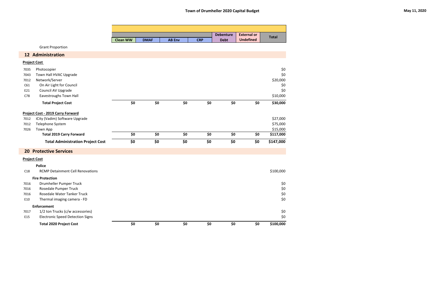|                     |                                          |                 |             |               |            | <b>Debenture</b> | <b>External or</b> |              |
|---------------------|------------------------------------------|-----------------|-------------|---------------|------------|------------------|--------------------|--------------|
|                     |                                          | <b>Clean WW</b> | <b>DMAF</b> | <b>AB Env</b> | <b>CRP</b> | <b>Debt</b>      | <b>Undefined</b>   | <b>Total</b> |
|                     | <b>Grant Proportion</b>                  |                 |             |               |            |                  |                    |              |
|                     | 12 Administration                        |                 |             |               |            |                  |                    |              |
| <b>Project Cost</b> |                                          |                 |             |               |            |                  |                    |              |
| 7035                | Photocopier                              |                 |             |               |            |                  |                    | \$0          |
| 7043                | Town Hall HVAC Upgrade                   |                 |             |               |            |                  |                    | \$0          |
| 7012                | Network/Server                           |                 |             |               |            |                  |                    | \$20,000     |
| C61                 | On Air Light for Council                 |                 |             |               |            |                  |                    | \$0          |
| E21                 | Council AV Upgrade                       |                 |             |               |            |                  |                    | \$0          |
| C78                 | Eavestroughs Town Hall                   |                 |             |               |            |                  |                    | \$10,000     |
|                     | <b>Total Project Cost</b>                | \$0             | \$0         | \$0           | \$0        | \$0              | \$0                | \$30,000     |
|                     | <b>Project Cost - 2019 Carry Forward</b> |                 |             |               |            |                  |                    |              |
| 7012                | iCity (Vadim) Software Upgrade           |                 |             |               |            |                  |                    | \$27,000     |
| 7012                | Telephone System                         |                 |             |               |            |                  |                    | \$75,000     |
| 7026                | <b>Town App</b>                          |                 |             |               |            |                  |                    | \$15,000     |
|                     | <b>Total 2019 Carry Forward</b>          | \$0             | \$0         | \$0           | \$0        | \$0              | \$0                | \$117,000    |
|                     | <b>Total Administration Project Cost</b> | \$0             | \$0         | \$0           | \$0        | \$0              | \$0                | \$147,000    |
|                     | <b>20 Protective Services</b>            |                 |             |               |            |                  |                    |              |
| <b>Project Cost</b> |                                          |                 |             |               |            |                  |                    |              |
|                     | <b>Police</b>                            |                 |             |               |            |                  |                    |              |
| C18                 | <b>RCMP Detainment Cell Renovations</b>  |                 |             |               |            |                  |                    | \$100,000    |
|                     | <b>Fire Protection</b>                   |                 |             |               |            |                  |                    |              |
| 7016                | Drumheller Pumper Truck                  |                 |             |               |            |                  |                    | \$0          |
| 7016                | Rosedale Pumper Truck                    |                 |             |               |            |                  |                    | \$0          |
| 7016                | Rosedale Water Tanker Truck              |                 |             |               |            |                  |                    | $$0$$        |
| E10                 | Thermal imaging camera - FD              |                 |             |               |            |                  |                    | \$0          |
|                     | <b>Enforcement</b>                       |                 |             |               |            |                  |                    |              |
| 7017                | 1/2 ton Trucks (c/w accessories)         |                 |             |               |            |                  |                    | \$0          |
| E15                 | <b>Electronic Speed Detection Signs</b>  |                 |             |               |            |                  |                    | \$0          |
|                     | <b>Total 2020 Project Cost</b>           | \$0             | \$0         | \$0           | \$0        | \$0              | \$0                | \$100,000    |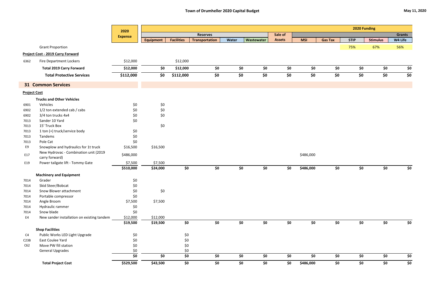|                     |                                                         | 2020                              |                  |                   |                       |       | 2020 Funding |               |            |                |             |                 |               |
|---------------------|---------------------------------------------------------|-----------------------------------|------------------|-------------------|-----------------------|-------|--------------|---------------|------------|----------------|-------------|-----------------|---------------|
|                     |                                                         | <b>Expense</b>                    |                  |                   | <b>Reserves</b>       |       |              | Sale of       |            |                |             |                 | <b>Grants</b> |
|                     |                                                         |                                   | <b>Equipment</b> | <b>Facilities</b> | <b>Transportation</b> | Water | Wastewater   | <b>Assets</b> | <b>MSI</b> | <b>Gas Tax</b> | <b>STIP</b> | <b>Stimulus</b> | W4 Life       |
|                     | <b>Grant Proportion</b>                                 |                                   |                  |                   |                       |       |              |               |            |                | 75%         | 67%             | 56%           |
|                     | <b>Project Cost - 2019 Carry Forward</b>                |                                   |                  |                   |                       |       |              |               |            |                |             |                 |               |
| 6362                | <b>Fire Department Lockers</b>                          | \$12,000                          |                  | \$12,000          |                       |       |              |               |            |                |             |                 |               |
|                     | <b>Total 2019 Carry Forward</b>                         | \$12,000                          | \$0              | \$12,000          | \$0                   | \$0   | \$0          | \$0           | \$0        | \$0            | \$0         | \$0             | \$0           |
|                     | <b>Total Protective Services</b>                        | \$112,000                         | \$0              | \$112,000         | \$0                   | \$0   | \$0          | \$0           | \$0        | \$0            | \$0         | \$0             | \$0           |
|                     | <b>31 Common Services</b>                               |                                   |                  |                   |                       |       |              |               |            |                |             |                 |               |
| <b>Project Cost</b> |                                                         |                                   |                  |                   |                       |       |              |               |            |                |             |                 |               |
|                     | <b>Trucks and Other Vehicles</b>                        |                                   |                  |                   |                       |       |              |               |            |                |             |                 |               |
| 6901                | Vehicles                                                | \$0                               | \$0              |                   |                       |       |              |               |            |                |             |                 |               |
| 6902                | 1/2 ton extended cab / cabs                             | \$0                               | \$0              |                   |                       |       |              |               |            |                |             |                 |               |
| 6902                | 3/4 ton trucks 4x4                                      | \$0                               | \$0              |                   |                       |       |              |               |            |                |             |                 |               |
| 7013                | Sander 10 Yard                                          | \$0                               |                  |                   |                       |       |              |               |            |                |             |                 |               |
| 7013                | 15' Truck Box                                           |                                   | \$0              |                   |                       |       |              |               |            |                |             |                 |               |
| 7013                | 1 ton (+) truck/service body                            | \$0                               |                  |                   |                       |       |              |               |            |                |             |                 |               |
| 7013                | Tandems                                                 | $$0$$                             |                  |                   |                       |       |              |               |            |                |             |                 |               |
| 7013                | Pole Cat                                                | \$0                               |                  |                   |                       |       |              |               |            |                |             |                 |               |
| E9                  | Snowplow and hydraulics for 1t truck                    | \$16,500                          | \$16,500         |                   |                       |       |              |               |            |                |             |                 |               |
| E17                 | New Hydrovac - Combination unit (2019<br>carry forward) | \$486,000                         |                  |                   |                       |       |              |               | \$486,000  |                |             |                 |               |
| E19                 | Power tailgate lift - Tommy Gate                        | \$7,500                           | \$7,500          |                   |                       |       |              |               |            |                |             |                 |               |
|                     |                                                         | \$510,000                         | \$24,000         | \$0               | \$0                   | \$0   | \$0          | \$0           | \$486,000  | \$0            | \$0         | \$0             | \$0           |
|                     | <b>Machinery and Equipment</b>                          |                                   |                  |                   |                       |       |              |               |            |                |             |                 |               |
| 7014                | Grader                                                  | \$0                               |                  |                   |                       |       |              |               |            |                |             |                 |               |
| 7014                | Skid Steer/Bobcat                                       | \$0                               |                  |                   |                       |       |              |               |            |                |             |                 |               |
| 7014                | Snow Blower attachment                                  | \$0                               | \$0              |                   |                       |       |              |               |            |                |             |                 |               |
| 7014                | Portable compressor                                     | \$0                               |                  |                   |                       |       |              |               |            |                |             |                 |               |
| 7014                | Angle Broom                                             | \$7,500                           | \$7,500          |                   |                       |       |              |               |            |                |             |                 |               |
| 7014                | Hydraulic rammer                                        | \$0                               |                  |                   |                       |       |              |               |            |                |             |                 |               |
| 7014                | Snow blade                                              | \$0                               |                  |                   |                       |       |              |               |            |                |             |                 |               |
| E4                  | New sander installation on existing tandem              | \$12,000                          | \$12,000         |                   |                       |       |              |               |            |                |             |                 |               |
|                     |                                                         | \$19,500                          | \$19,500         | \$0               | \$0                   | \$0   | \$0          | \$0           | \$0        | \$0            | \$0         | \$0             | \$0           |
|                     | <b>Shop Facilities</b>                                  |                                   |                  |                   |                       |       |              |               |            |                |             |                 |               |
| C4                  | Public Works LED Light Upgrade                          | \$0                               |                  | \$0               |                       |       |              |               |            |                |             |                 |               |
| C23B                | East Coulee Yard                                        | \$0                               |                  | \$0               |                       |       |              |               |            |                |             |                 |               |
| C62                 | Move PW fill station                                    | \$0                               |                  | \$0               |                       |       |              |               |            |                |             |                 |               |
|                     | <b>General Upgrades</b>                                 | \$0                               |                  | \$0               |                       |       |              |               |            |                |             |                 |               |
|                     |                                                         | $\overline{\boldsymbol{\zeta_0}}$ | \$0\$            | \$0               | \$0                   | \$0   | \$0          | \$0           | \$0        | \$0            | \$0         | \$0             | \$0           |
|                     | <b>Total Project Cost</b>                               | \$529,500                         | \$43,500         | \$0               | \$0                   | \$0   | \$0          | \$0           | \$486,000  | \$0            | \$0         | \$0             | \$0           |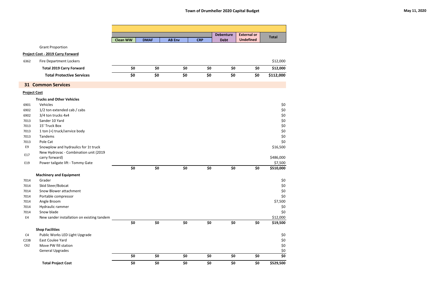|                     |                                            |                 |             |               |            | <b>Debenture</b> | <b>External or</b> |              |
|---------------------|--------------------------------------------|-----------------|-------------|---------------|------------|------------------|--------------------|--------------|
|                     |                                            | <b>Clean WW</b> | <b>DMAF</b> | <b>AB Env</b> | <b>CRP</b> | <b>Debt</b>      | <b>Undefined</b>   | <b>Total</b> |
|                     | <b>Grant Proportion</b>                    |                 |             |               |            |                  |                    |              |
|                     | <b>Project Cost - 2019 Carry Forward</b>   |                 |             |               |            |                  |                    |              |
| 6362                | <b>Fire Department Lockers</b>             |                 |             |               |            |                  |                    | \$12,000     |
|                     | <b>Total 2019 Carry Forward</b>            | \$0             | \$0         | \$0           | \$0        | \$0              | \$0                | \$12,000     |
|                     |                                            |                 |             |               |            |                  |                    |              |
|                     | <b>Total Protective Services</b>           | \$0             | \$0         | \$0           | \$0        | \$0              | \$0                | \$112,000    |
|                     | <b>31 Common Services</b>                  |                 |             |               |            |                  |                    |              |
| <b>Project Cost</b> |                                            |                 |             |               |            |                  |                    |              |
|                     | <b>Trucks and Other Vehicles</b>           |                 |             |               |            |                  |                    |              |
| 6901                | Vehicles                                   |                 |             |               |            |                  |                    | \$0          |
| 6902                | 1/2 ton extended cab / cabs                |                 |             |               |            |                  |                    | $$0$$        |
| 6902                | 3/4 ton trucks 4x4                         |                 |             |               |            |                  |                    | $$0$$        |
| 7013                | Sander 10 Yard                             |                 |             |               |            |                  |                    | $$0$$        |
| 7013                | 15' Truck Box                              |                 |             |               |            |                  |                    | $$0$$        |
| 7013                | 1 ton (+) truck/service body               |                 |             |               |            |                  |                    | $$0$$        |
| 7013                | Tandems                                    |                 |             |               |            |                  |                    | $$0$$        |
| 7013                | Pole Cat                                   |                 |             |               |            |                  |                    | \$0          |
| E9                  | Snowplow and hydraulics for 1t truck       |                 |             |               |            |                  |                    | \$16,500     |
|                     | New Hydrovac - Combination unit (2019      |                 |             |               |            |                  |                    |              |
| E17                 | carry forward)                             |                 |             |               |            |                  |                    | \$486,000    |
| E19                 | Power tailgate lift - Tommy Gate           |                 |             |               |            |                  |                    | \$7,500      |
|                     |                                            | \$0             | \$0         | \$0           | \$0        | \$0              | \$0                | \$510,000    |
|                     | <b>Machinery and Equipment</b>             |                 |             |               |            |                  |                    |              |
| 7014                | Grader                                     |                 |             |               |            |                  |                    | \$0          |
| 7014                | Skid Steer/Bobcat                          |                 |             |               |            |                  |                    | \$0          |
| 7014                | Snow Blower attachment                     |                 |             |               |            |                  |                    | \$0          |
| 7014                | Portable compressor                        |                 |             |               |            |                  |                    | \$0          |
| 7014                | Angle Broom                                |                 |             |               |            |                  |                    | \$7,500      |
| 7014                | Hydraulic rammer                           |                 |             |               |            |                  |                    | \$0          |
| 7014                | Snow blade                                 |                 |             |               |            |                  |                    | \$0          |
| E4                  | New sander installation on existing tandem |                 |             |               |            |                  |                    | \$12,000     |
|                     |                                            | \$0             | \$0         | \$0           | \$0        | \$0              | \$0                | \$19,500     |
|                     | <b>Shop Facilities</b>                     |                 |             |               |            |                  |                    |              |
| C <sub>4</sub>      | Public Works LED Light Upgrade             |                 |             |               |            |                  |                    | \$0          |
| C23B                | East Coulee Yard                           |                 |             |               |            |                  |                    | \$0          |
| C62                 | Move PW fill station                       |                 |             |               |            |                  |                    | \$0          |
|                     | <b>General Upgrades</b>                    |                 |             |               |            |                  |                    | \$0          |
|                     |                                            | \$0             | \$0         | \$0           | \$0        | \$0              | \$0                | \$0          |
|                     | <b>Total Project Cost</b>                  | \$0             | \$0         | \$0           | \$0        | \$0              | \$0                | \$529,500    |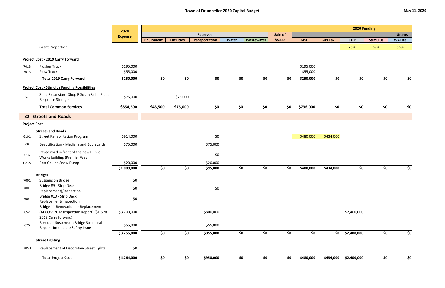|                     |                                                                          | 2020           | 2020 Funding     |                   |                       |       |            |               |            |                |             |                 |               |
|---------------------|--------------------------------------------------------------------------|----------------|------------------|-------------------|-----------------------|-------|------------|---------------|------------|----------------|-------------|-----------------|---------------|
|                     |                                                                          | <b>Expense</b> |                  |                   | <b>Reserves</b>       |       |            | Sale of       |            |                |             |                 | <b>Grants</b> |
|                     |                                                                          |                | <b>Equipment</b> | <b>Facilities</b> | <b>Transportation</b> | Water | Wastewater | <b>Assets</b> | <b>MSI</b> | <b>Gas Tax</b> | <b>STIP</b> | <b>Stimulus</b> | W4 Life       |
|                     | <b>Grant Proportion</b>                                                  |                |                  |                   |                       |       |            |               |            |                | 75%         | 67%             | 56%           |
|                     | <b>Project Cost - 2019 Carry Forward</b>                                 |                |                  |                   |                       |       |            |               |            |                |             |                 |               |
| 7013                | <b>Flusher Truck</b>                                                     | \$195,000      |                  |                   |                       |       |            |               | \$195,000  |                |             |                 |               |
| 7013                | <b>Plow Truck</b>                                                        | \$55,000       |                  |                   |                       |       |            |               | \$55,000   |                |             |                 |               |
|                     | <b>Total 2019 Carry Forward</b>                                          | \$250,000      | \$0              | \$0               | \$0                   | \$0   | \$0        | \$0           | \$250,000  | \$0            | \$0         | \$0             | \$0           |
|                     | <b>Project Cost - Stimulus Funding Possibilities</b>                     |                |                  |                   |                       |       |            |               |            |                |             |                 |               |
| S <sub>2</sub>      | Shop Expansion - Shop B South Side - Flood<br>Response Storage           | \$75,000       |                  | \$75,000          |                       |       |            |               |            |                |             |                 |               |
|                     | <b>Total Common Services</b>                                             | \$854,500      | \$43,500         | \$75,000          | \$0                   | \$0   | \$0        | \$0           | \$736,000  | \$0            | \$0         | \$0             | \$0           |
|                     | <b>32 Streets and Roads</b>                                              |                |                  |                   |                       |       |            |               |            |                |             |                 |               |
| <b>Project Cost</b> |                                                                          |                |                  |                   |                       |       |            |               |            |                |             |                 |               |
|                     | <b>Streets and Roads</b>                                                 |                |                  |                   |                       |       |            |               |            |                |             |                 |               |
| 6101                | <b>Street Rehabilitation Program</b>                                     | \$914,000      |                  |                   | \$0                   |       |            |               | \$480,000  | \$434,000      |             |                 |               |
| C8                  | <b>Beautification - Medians and Boulevards</b>                           | \$75,000       |                  |                   | \$75,000              |       |            |               |            |                |             |                 |               |
| C16                 | Paved road in front of the new Public                                    |                |                  |                   | \$0                   |       |            |               |            |                |             |                 |               |
| C <sub>23A</sub>    | Works building (Premier Way)<br><b>East Coulee Snow Dump</b>             | \$20,000       |                  |                   | \$20,000              |       |            |               |            |                |             |                 |               |
|                     |                                                                          | \$1,009,000    | \$0              | \$0               | \$95,000              | \$0   | \$0        | \$0           | \$480,000  | \$434,000      | \$0         | \$0             | \$0           |
|                     | <b>Bridges</b>                                                           |                |                  |                   |                       |       |            |               |            |                |             |                 |               |
| 7001                | <b>Suspension Bridge</b>                                                 | \$0            |                  |                   |                       |       |            |               |            |                |             |                 |               |
| 7001                | Bridge #9 - Strip Deck<br>Replacement)/Inspection                        | \$0            |                  |                   | \$0                   |       |            |               |            |                |             |                 |               |
| 7001                | Bridge #10 - Strip Deck                                                  | \$0            |                  |                   |                       |       |            |               |            |                |             |                 |               |
|                     | Replacement/Inspection<br>Bridge 11 Renovation or Replacement            |                |                  |                   |                       |       |            |               |            |                |             |                 |               |
| C52                 | (AECOM 2018 Inspection Report) (\$1.6 m<br>2019 Carry forward)           | \$3,200,000    |                  |                   | \$800,000             |       |            |               |            |                | \$2,400,000 |                 |               |
| C76                 | Rosedale Suspension Bridge Structural<br>Repair - Immediate Safety Issue | \$55,000       |                  |                   | \$55,000              |       |            |               |            |                |             |                 |               |
|                     |                                                                          | \$3,255,000    | \$0              | \$0               | \$855,000             | \$0   | \$0        | \$0           | \$0        | \$0            | \$2,400,000 | \$0             | \$0           |
|                     | <b>Street Lighting</b>                                                   |                |                  |                   |                       |       |            |               |            |                |             |                 |               |
| 7050                | Replacement of Decorative Street Lights                                  | \$0            |                  |                   |                       |       |            |               |            |                |             |                 |               |
|                     | <b>Total Project Cost</b>                                                | \$4,264,000    | \$0              | \$0               | \$950,000             | \$0   | \$0        | \$0           | \$480,000  | \$434,000      | \$2,400,000 | \$0             | \$0           |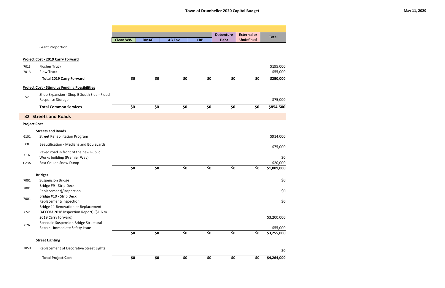|                         |                                                                                                       |                 |             |               |            | <b>Debenture</b> | <b>External or</b> |                       |
|-------------------------|-------------------------------------------------------------------------------------------------------|-----------------|-------------|---------------|------------|------------------|--------------------|-----------------------|
|                         |                                                                                                       | <b>Clean WW</b> | <b>DMAF</b> | <b>AB Env</b> | <b>CRP</b> | <b>Debt</b>      | <b>Undefined</b>   | <b>Total</b>          |
|                         | <b>Grant Proportion</b>                                                                               |                 |             |               |            |                  |                    |                       |
|                         | <b>Project Cost - 2019 Carry Forward</b>                                                              |                 |             |               |            |                  |                    |                       |
| 7013<br>7013            | <b>Flusher Truck</b><br><b>Plow Truck</b>                                                             |                 |             |               |            |                  |                    | \$195,000<br>\$55,000 |
|                         | <b>Total 2019 Carry Forward</b>                                                                       | \$0             | \$0         | \$0           | \$0        | \$0              | \$0                | \$250,000             |
|                         | <b>Project Cost - Stimulus Funding Possibilities</b>                                                  |                 |             |               |            |                  |                    |                       |
| S <sub>2</sub>          | Shop Expansion - Shop B South Side - Flood<br><b>Response Storage</b>                                 |                 |             |               |            |                  |                    | \$75,000              |
|                         | <b>Total Common Services</b>                                                                          | \$0             | \$0         | \$0           | \$0        | \$0              | \$0                | \$854,500             |
|                         | <b>32 Streets and Roads</b>                                                                           |                 |             |               |            |                  |                    |                       |
| <b>Project Cost</b>     |                                                                                                       |                 |             |               |            |                  |                    |                       |
| 6101                    | <b>Streets and Roads</b><br><b>Street Rehabilitation Program</b>                                      |                 |             |               |            |                  |                    | \$914,000             |
| C8                      | <b>Beautification - Medians and Boulevards</b>                                                        |                 |             |               |            |                  |                    | \$75,000              |
| C16<br>C <sub>23A</sub> | Paved road in front of the new Public<br>Works building (Premier Way)<br><b>East Coulee Snow Dump</b> |                 |             |               |            |                  |                    | \$0<br>\$20,000       |
|                         |                                                                                                       | \$0             | \$0         | \$0           | \$0        | \$0              | \$0                | \$1,009,000           |
| 7001                    | <b>Bridges</b><br><b>Suspension Bridge</b>                                                            |                 |             |               |            |                  |                    | \$0                   |
| 7001                    | Bridge #9 - Strip Deck<br>Replacement)/Inspection                                                     |                 |             |               |            |                  |                    | \$0                   |
| 7001                    | Bridge #10 - Strip Deck<br>Replacement/Inspection<br>Bridge 11 Renovation or Replacement              |                 |             |               |            |                  |                    | \$0                   |
| C52                     | (AECOM 2018 Inspection Report) (\$1.6 m<br>2019 Carry forward)                                        |                 |             |               |            |                  |                    | \$3,200,000           |
| C76                     | Rosedale Suspension Bridge Structural<br>Repair - Immediate Safety Issue                              |                 |             |               |            |                  |                    | \$55,000              |
|                         |                                                                                                       | \$0             | \$0         | \$0           | \$0        | \$0              | \$0                | \$3,255,000           |
|                         | <b>Street Lighting</b>                                                                                |                 |             |               |            |                  |                    |                       |
| 7050                    | Replacement of Decorative Street Lights                                                               |                 |             |               |            |                  |                    | \$0                   |
|                         | <b>Total Project Cost</b>                                                                             | \$0             | \$0         | \$0           | \$0        | \$0              | \$0                | \$4,264,000           |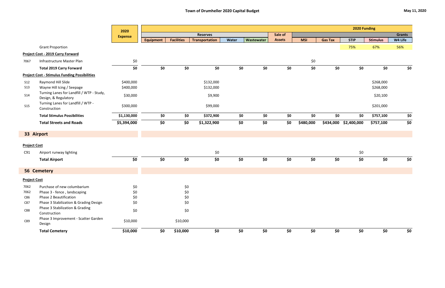|                     |                                                                   |                |                  |                   |                       |       |            |               |            |                | 2020 Funding |                 |               |
|---------------------|-------------------------------------------------------------------|----------------|------------------|-------------------|-----------------------|-------|------------|---------------|------------|----------------|--------------|-----------------|---------------|
|                     |                                                                   | 2020           |                  |                   | <b>Reserves</b>       |       |            | Sale of       |            |                |              |                 | <b>Grants</b> |
|                     |                                                                   | <b>Expense</b> | <b>Equipment</b> | <b>Facilities</b> | <b>Transportation</b> | Water | Wastewater | <b>Assets</b> | <b>MSI</b> | <b>Gas Tax</b> | <b>STIP</b>  | <b>Stimulus</b> | W4 Life       |
|                     | <b>Grant Proportion</b>                                           |                |                  |                   |                       |       |            |               |            |                | 75%          | 67%             | 56%           |
|                     | <b>Project Cost - 2019 Carry Forward</b>                          |                |                  |                   |                       |       |            |               |            |                |              |                 |               |
| 7067                | Infrastructure Master Plan                                        | \$0            |                  |                   |                       |       |            |               | \$0        |                |              |                 |               |
|                     | <b>Total 2019 Carry Forward</b>                                   | \$0            | \$0              | \$0               | \$0                   | \$0   | \$0        | \$0           | \$0        | \$0            | \$0          | \$0             | \$0           |
|                     | <b>Project Cost - Stimulus Funding Possibilities</b>              |                |                  |                   |                       |       |            |               |            |                |              |                 |               |
| <b>S12</b>          | Raymond Hill Slide                                                | \$400,000      |                  |                   | \$132,000             |       |            |               |            |                |              | \$268,000       |               |
| <b>S13</b>          | Wayne Hill Icing / Seepage                                        | \$400,000      |                  |                   | \$132,000             |       |            |               |            |                |              | \$268,000       |               |
| <b>S14</b>          | Turning Lanes for Landfill / WTP - Study,<br>Design, & Regulatory | \$30,000       |                  |                   | \$9,900               |       |            |               |            |                |              | \$20,100        |               |
| S15                 | Turning Lanes for Landfill / WTP -<br>Construction                | \$300,000      |                  |                   | \$99,000              |       |            |               |            |                |              | \$201,000       |               |
|                     | <b>Total Stimulus Possibilities</b>                               | \$1,130,000    | \$0              | \$0               | \$372,900             | \$0   | \$0        | \$0           | \$0        | \$0            | \$0          | \$757,100       | \$0           |
|                     | <b>Total Streets and Roads</b>                                    | \$5,394,000    | \$0              | \$0               | \$1,322,900           | \$0   | \$0        | \$0           | \$480,000  | \$434,000      | \$2,400,000  | \$757,100       | \$0           |
|                     | 33 Airport                                                        |                |                  |                   |                       |       |            |               |            |                |              |                 |               |
| <b>Project Cost</b> |                                                                   |                |                  |                   |                       |       |            |               |            |                |              |                 |               |
| C91                 | Airport runway lighting                                           |                |                  |                   | \$0                   |       |            |               |            |                | \$0\$        |                 |               |
|                     | <b>Total Airport</b>                                              | \$0            | \$0              | \$0               | \$0                   | \$0   | \$0        | \$0           | \$0        | \$0            | \$0          | \$0             | \$0           |
|                     | 56 Cemetery                                                       |                |                  |                   |                       |       |            |               |            |                |              |                 |               |
| <b>Project Cost</b> |                                                                   |                |                  |                   |                       |       |            |               |            |                |              |                 |               |
|                     | Purchase of new columbarium                                       |                |                  |                   |                       |       |            |               |            |                |              |                 |               |
| 7062<br>7062        | Phase 3 - fence, landscaping                                      | \$0<br>\$0     |                  | \$0<br>\$0        |                       |       |            |               |            |                |              |                 |               |
| C86                 | Phase 2 Beautification                                            | \$0            |                  | \$0               |                       |       |            |               |            |                |              |                 |               |
| C87                 | Phase 3 Stabilization & Grading Design                            | \$0            |                  | \$0               |                       |       |            |               |            |                |              |                 |               |
|                     | Phase 3 Stabilization & Grading                                   |                |                  |                   |                       |       |            |               |            |                |              |                 |               |
| C88                 | Construction                                                      | \$0            |                  | \$0               |                       |       |            |               |            |                |              |                 |               |
| C89                 | Phase 3 Improvement - Scatter Garden<br>Design                    | \$10,000       |                  | \$10,000          |                       |       |            |               |            |                |              |                 |               |
|                     | <b>Total Cemetery</b>                                             | \$10,000       | \$0              | \$10,000          | \$0                   | \$0   | \$0        | \$0           | \$0        | \$0            | \$0          | \$0             | \$0           |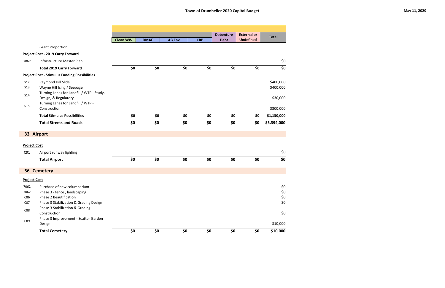|                     |                                                                   |                 |             |               |            | <b>Debenture</b> | <b>External or</b> | <b>Total</b> |
|---------------------|-------------------------------------------------------------------|-----------------|-------------|---------------|------------|------------------|--------------------|--------------|
|                     |                                                                   | <b>Clean WW</b> | <b>DMAF</b> | <b>AB Env</b> | <b>CRP</b> | <b>Debt</b>      | <b>Undefined</b>   |              |
|                     | <b>Grant Proportion</b>                                           |                 |             |               |            |                  |                    |              |
|                     | <b>Project Cost - 2019 Carry Forward</b>                          |                 |             |               |            |                  |                    |              |
| 7067                | Infrastructure Master Plan                                        |                 |             |               |            |                  |                    | \$0          |
|                     | <b>Total 2019 Carry Forward</b>                                   | \$0             | \$0         | \$0           | \$0        | \$0              | \$0                | \$0          |
|                     | <b>Project Cost - Stimulus Funding Possibilities</b>              |                 |             |               |            |                  |                    |              |
| <b>S12</b>          | Raymond Hill Slide                                                |                 |             |               |            |                  |                    | \$400,000    |
| <b>S13</b>          | Wayne Hill Icing / Seepage                                        |                 |             |               |            |                  |                    | \$400,000    |
| <b>S14</b>          | Turning Lanes for Landfill / WTP - Study,<br>Design, & Regulatory |                 |             |               |            |                  |                    | \$30,000     |
| <b>S15</b>          | Turning Lanes for Landfill / WTP -<br>Construction                |                 |             |               |            |                  |                    | \$300,000    |
|                     | <b>Total Stimulus Possibilities</b>                               | \$0             | \$0         | \$0           | \$0        | \$0              | \$0                | \$1,130,000  |
|                     | <b>Total Streets and Roads</b>                                    | \$0             | \$0         | \$0           | \$0        | \$0              | \$0                | \$5,394,000  |
|                     | 33 Airport                                                        |                 |             |               |            |                  |                    |              |
| <b>Project Cost</b> |                                                                   |                 |             |               |            |                  |                    |              |
| C91                 | Airport runway lighting                                           |                 |             |               |            |                  |                    | \$0          |
|                     | <b>Total Airport</b>                                              | \$0             | \$0         | \$0           | \$0        | \$0              | \$0                | \$0          |
|                     | <b>56 Cemetery</b>                                                |                 |             |               |            |                  |                    |              |
| <b>Project Cost</b> |                                                                   |                 |             |               |            |                  |                    |              |
| 7062                | Purchase of new columbarium                                       |                 |             |               |            |                  |                    | \$0          |
| 7062                | Phase 3 - fence, landscaping                                      |                 |             |               |            |                  |                    | \$0          |
| C86                 | Phase 2 Beautification                                            |                 |             |               |            |                  |                    | $$0$$        |
| C87                 | Phase 3 Stabilization & Grading Design                            |                 |             |               |            |                  |                    | \$0          |
| C88                 | Phase 3 Stabilization & Grading<br>Construction                   |                 |             |               |            |                  |                    | \$0          |
| C89                 | Phase 3 Improvement - Scatter Garden<br>Design                    |                 |             |               |            |                  |                    | \$10,000     |
|                     | <b>Total Cemetery</b>                                             | \$0             | \$0         | \$0           | \$0        | \$0              | \$0                | \$10,000     |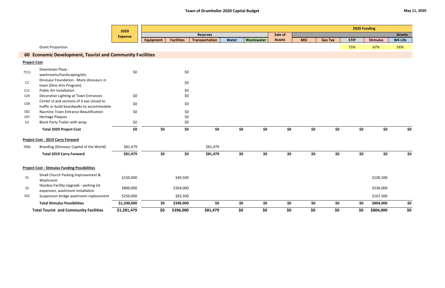|                     |                                                                                         | 2020           |           |                   |                       |       |            |               |            |                | 2020 Funding |                 |               |
|---------------------|-----------------------------------------------------------------------------------------|----------------|-----------|-------------------|-----------------------|-------|------------|---------------|------------|----------------|--------------|-----------------|---------------|
|                     |                                                                                         | <b>Expense</b> |           |                   | <b>Reserves</b>       |       |            | Sale of       |            |                |              |                 | <b>Grants</b> |
|                     |                                                                                         |                | Equipment | <b>Facilities</b> | <b>Transportation</b> | Water | Wastewater | <b>Assets</b> | <b>MSI</b> | <b>Gas Tax</b> | <b>STIP</b>  | <b>Stimulus</b> | W4 Life       |
|                     | <b>Grant Proportion</b>                                                                 |                |           |                   |                       |       |            |               |            |                | 75%          | 67%             | 56%           |
|                     | 60 Economic Development, Tourist and Community Facilities                               |                |           |                   |                       |       |            |               |            |                |              |                 |               |
| <b>Project Cost</b> |                                                                                         |                |           |                   |                       |       |            |               |            |                |              |                 |               |
| 7111                | Downtown Plaza -<br>washrooms/hardscaping/etc.                                          | \$0            |           | \$0               |                       |       |            |               |            |                |              |                 |               |
| C <sub>2</sub>      | Dinosaur Foundation - More dinosaurs in<br>town (Dino Arts Program)                     |                |           | \$0               |                       |       |            |               |            |                |              |                 |               |
| C11                 | <b>Public Art Installation</b>                                                          |                |           | \$0               |                       |       |            |               |            |                |              |                 |               |
| C <sub>29</sub>     | Decorative Lighting at Town Entrances                                                   | \$0            |           | \$0               |                       |       |            |               |            |                |              |                 |               |
| C58                 | Center st and sections of 3 ave closed to<br>traffic or build boardwalks to accommodate | \$0            |           | \$0               |                       |       |            |               |            |                |              |                 |               |
| C82                 | Nacmine Town Entrance Beautification                                                    | \$0            |           | \$0               |                       |       |            |               |            |                |              |                 |               |
| C97                 | <b>Heritage Plaques</b>                                                                 |                |           | \$0               |                       |       |            |               |            |                |              |                 |               |
| E3                  | <b>Block Party Trailer with wrap</b>                                                    | \$0            |           | \$0               |                       |       |            |               |            |                |              |                 |               |
|                     | <b>Total 2020 Project Cost</b>                                                          | \$0            | \$0       | \$0               | \$0                   |       | \$0<br>\$0 | \$0           | \$0        | \$0            | \$0          | \$0             | \$0           |
|                     | Project Cost - 2019 Carry Forward                                                       |                |           |                   |                       |       |            |               |            |                |              |                 |               |
| 7092                | Branding (Dinosaur Capital of the World)                                                | \$81,479       |           |                   | \$81,479              |       |            |               |            |                |              |                 |               |
|                     | <b>Total 2019 Carry Forward</b>                                                         | \$81,479       | \$0       | \$0               | \$81,479              |       | \$0<br>\$0 | \$0           | \$0        | \$0            | \$0          | \$0             | \$0           |
|                     | <b>Project Cost - Stimulus Funding Possibilities</b>                                    |                |           |                   |                       |       |            |               |            |                |              |                 |               |
| S <sub>1</sub>      | Small Church Parking Improvement &<br>Washroom                                          | \$150,000      |           | \$49,500          |                       |       |            |               |            |                |              | \$100,500       |               |
| S3                  | Hoodoo Facility Upgrade - parking lot<br>expansion, washroom installation               | \$800,000      |           | \$264,000         |                       |       |            |               |            |                |              | \$536,000       |               |
| <b>S22</b>          | Suspension bridge washroom replacement                                                  | \$250,000      |           | \$82,500          |                       |       |            |               |            |                |              | \$167,500       |               |
|                     | <b>Total Stimulus Possibilities</b>                                                     | \$1,200,000    | \$0       | \$396,000         | \$0                   |       | \$0<br>\$0 | \$0           | \$0        | \$0            | \$0\$        | \$804,000       | \$0           |
|                     | <b>Total Tourist and Community Facilities</b>                                           | \$1,281,479    | \$0\$     | \$396,000         | \$81,479              | \$0   | \$0        | \$0           | \$0        | \$0            | \$0          | \$804,000       | \$0           |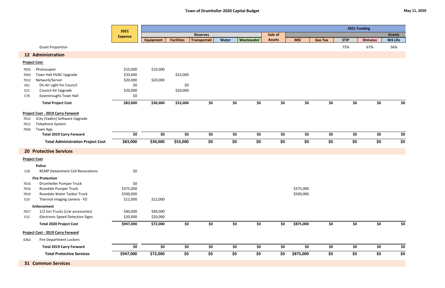|                                           |                                                                                                                                          | 2021                                                       | 2021 Funding                     |                             |                 |            |                              |               |                        |                |             |                 |               |
|-------------------------------------------|------------------------------------------------------------------------------------------------------------------------------------------|------------------------------------------------------------|----------------------------------|-----------------------------|-----------------|------------|------------------------------|---------------|------------------------|----------------|-------------|-----------------|---------------|
|                                           |                                                                                                                                          | <b>Expense</b>                                             |                                  |                             | <b>Reserves</b> |            |                              | Sale of       |                        |                |             |                 | <b>Grants</b> |
|                                           |                                                                                                                                          |                                                            | <b>Equipment</b>                 | <b>Facilities</b>           | Transportati    | Water      | Wastewater                   | <b>Assets</b> | <b>MSI</b>             | <b>Gas Tax</b> | <b>STIP</b> | <b>Stimulus</b> | W4 Life       |
|                                           | <b>Grant Proportion</b>                                                                                                                  |                                                            |                                  |                             |                 |            |                              |               |                        |                | 75%         | 67%             | 56%           |
|                                           | <b>12 Administration</b>                                                                                                                 |                                                            |                                  |                             |                 |            |                              |               |                        |                |             |                 |               |
| <b>Project Cost</b>                       |                                                                                                                                          |                                                            |                                  |                             |                 |            |                              |               |                        |                |             |                 |               |
| 7035<br>7043<br>7012<br>C61<br>E21<br>C78 | Photocopier<br>Town Hall HVAC Upgrade<br>Network/Server<br>On Air Light for Council<br>Council AV Upgrade<br>Eavestroughs Town Hall      | \$10,000<br>\$33,000<br>\$20,000<br>\$0<br>\$20,000<br>\$0 | \$10,000<br>\$20,000             | \$33,000<br>\$0<br>\$20,000 |                 |            |                              |               |                        |                |             |                 |               |
|                                           | <b>Total Project Cost</b>                                                                                                                | \$83,000                                                   | \$30,000                         | \$53,000                    | \$0             | \$0        | \$0                          | \$0           | \$0                    | \$0            | \$0         | \$0             | \$0           |
| 7012<br>7012<br>7026                      | <b>Project Cost - 2019 Carry Forward</b><br>iCity (Vadim) Software Upgrade<br>Telephone System<br>Town App                               |                                                            |                                  |                             |                 |            |                              |               |                        |                |             |                 |               |
|                                           | <b>Total 2019 Carry Forward</b>                                                                                                          | \$0                                                        | \$0                              | \$0                         | \$0             | \$0        | \$0                          | \$0           | \$0                    | \$0            | \$0         | \$0             | \$0           |
|                                           | <b>Total Administration Project Cost</b>                                                                                                 | \$83,000                                                   | \$30,000                         | \$53,000                    | \$0             | \$0        | \$0                          | \$0           | \$0                    | \$0            | \$0         | \$0             | \$0           |
|                                           | <b>20 Protective Services</b>                                                                                                            |                                                            |                                  |                             |                 |            |                              |               |                        |                |             |                 |               |
| <b>Project Cost</b>                       |                                                                                                                                          |                                                            |                                  |                             |                 |            |                              |               |                        |                |             |                 |               |
| C18                                       | <b>Police</b><br><b>RCMP Detainment Cell Renovations</b>                                                                                 | \$0                                                        |                                  |                             |                 |            |                              |               |                        |                |             |                 |               |
| 7016<br>7016<br>7016<br>E10               | <b>Fire Protection</b><br>Drumheller Pumper Truck<br>Rosedale Pumper Truck<br>Rosedale Water Tanker Truck<br>Thermal imaging camera - FD | \$0<br>\$375,000<br>\$500,000<br>\$12,000                  | \$12,000                         |                             |                 |            |                              |               | \$375,000<br>\$500,000 |                |             |                 |               |
|                                           | <b>Enforcement</b>                                                                                                                       |                                                            |                                  |                             |                 |            |                              |               |                        |                |             |                 |               |
| 7017<br>E15                               | 1/2 ton Trucks (c/w accessories)<br><b>Electronic Speed Detection Signs</b><br><b>Total 2020 Project Cost</b>                            | \$40,000<br>\$20,000<br>\$947,000                          | \$40,000<br>\$20,000<br>\$72,000 | \$0                         | \$0             | \$0        | $\overline{\boldsymbol{50}}$ | \$0           | \$875,000              | \$0            | \$0         | \$0             | \$0           |
|                                           |                                                                                                                                          |                                                            |                                  |                             |                 |            |                              |               |                        |                |             |                 |               |
|                                           | <b>Project Cost - 2019 Carry Forward</b>                                                                                                 |                                                            |                                  |                             |                 |            |                              |               |                        |                |             |                 |               |
| 6362                                      | <b>Fire Department Lockers</b>                                                                                                           |                                                            | \$0                              |                             | \$0             |            |                              |               |                        |                | \$0         |                 |               |
|                                           | <b>Total 2019 Carry Forward</b><br><b>Total Protective Services</b>                                                                      | \$0<br>\$947,000                                           |                                  | \$0<br>\$0                  | \$0             | \$0<br>\$0 | \$0<br>\$0                   | \$0<br>\$0    | \$0                    | \$0<br>\$0     | \$0         | \$0<br>\$0      | \$0<br>\$0    |
|                                           |                                                                                                                                          |                                                            | \$72,000                         |                             |                 |            |                              |               | \$875,000              |                |             |                 |               |
|                                           | <b>31 Common Services</b>                                                                                                                |                                                            |                                  |                             |                 |            |                              |               |                        |                |             |                 |               |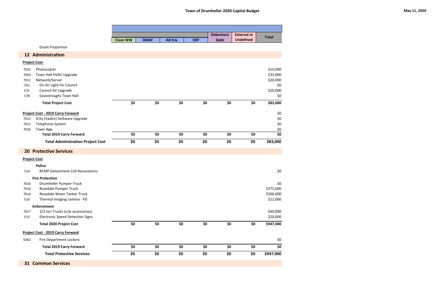|                                           |                                                                                                                                          |                 |             |               |            | <b>Debenture</b> | <b>External or</b> | <b>Total</b>                                               |
|-------------------------------------------|------------------------------------------------------------------------------------------------------------------------------------------|-----------------|-------------|---------------|------------|------------------|--------------------|------------------------------------------------------------|
|                                           |                                                                                                                                          | <b>Clean WW</b> | <b>DMAF</b> | <b>AB Env</b> | <b>CRP</b> | <b>Debt</b>      | <b>Undefined</b>   |                                                            |
|                                           | <b>Grant Proportion</b>                                                                                                                  |                 |             |               |            |                  |                    |                                                            |
|                                           | <b>12 Administration</b>                                                                                                                 |                 |             |               |            |                  |                    |                                                            |
| <b>Project Cost</b>                       |                                                                                                                                          |                 |             |               |            |                  |                    |                                                            |
| 7035<br>7043<br>7012<br>C61<br>E21<br>C78 | Photocopier<br>Town Hall HVAC Upgrade<br>Network/Server<br>On Air Light for Council<br>Council AV Upgrade<br>Eavestroughs Town Hall      |                 |             |               |            |                  |                    | \$10,000<br>\$33,000<br>\$20,000<br>\$0<br>\$20,000<br>\$0 |
|                                           | <b>Total Project Cost</b>                                                                                                                | \$0             | \$0         | \$0           | \$0        | \$0              | \$0                | \$83,000                                                   |
| 7012<br>7012<br>7026                      | <b>Project Cost - 2019 Carry Forward</b><br>iCity (Vadim) Software Upgrade<br>Telephone System<br><b>Town App</b>                        |                 |             |               |            |                  |                    | \$0<br>\$0<br>\$0<br>$\frac{$0}{$0}$                       |
|                                           | <b>Total 2019 Carry Forward</b>                                                                                                          | \$0             | \$0         | \$0           | \$0        | \$0              | \$0                |                                                            |
|                                           | <b>Total Administration Project Cost</b>                                                                                                 | \$0             | \$0         | \$0           | \$0        | \$0              | \$0                | \$83,000                                                   |
|                                           | <b>20 Protective Services</b>                                                                                                            |                 |             |               |            |                  |                    |                                                            |
| <b>Project Cost</b>                       |                                                                                                                                          |                 |             |               |            |                  |                    |                                                            |
| C18                                       | <b>Police</b><br><b>RCMP Detainment Cell Renovations</b>                                                                                 |                 |             |               |            |                  |                    | \$0                                                        |
| 7016<br>7016<br>7016<br>E10               | <b>Fire Protection</b><br>Drumheller Pumper Truck<br>Rosedale Pumper Truck<br>Rosedale Water Tanker Truck<br>Thermal imaging camera - FD |                 |             |               |            |                  |                    | \$0<br>\$375,000<br>\$500,000<br>\$12,000                  |
|                                           | <b>Enforcement</b>                                                                                                                       |                 |             |               |            |                  |                    |                                                            |
| 7017<br>E15                               | 1/2 ton Trucks (c/w accessories)<br><b>Electronic Speed Detection Signs</b>                                                              |                 |             |               |            |                  |                    | \$40,000<br>\$20,000                                       |
|                                           | <b>Total 2020 Project Cost</b>                                                                                                           | \$0             | \$0         | \$0           | \$0        | \$0              | \$0                | \$947,000                                                  |
|                                           | <b>Project Cost - 2019 Carry Forward</b>                                                                                                 |                 |             |               |            |                  |                    |                                                            |
| 6362                                      | <b>Fire Department Lockers</b>                                                                                                           |                 |             |               |            |                  |                    | \$0                                                        |
|                                           | <b>Total 2019 Carry Forward</b>                                                                                                          | \$0             | \$0         | \$0           | \$0        | \$0              | \$0                | \$0                                                        |
|                                           | <b>Total Protective Services</b>                                                                                                         | \$0             | \$0         | \$0           | \$0        | \$0              | \$0                | \$947,000                                                  |
|                                           | <b>31 Common Services</b>                                                                                                                |                 |             |               |            |                  |                    |                                                            |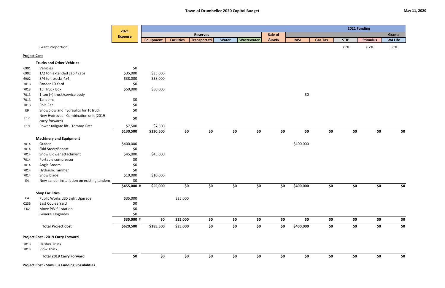|                     |                                                      | 2021           |                  |                   |                 |              |            |               | 2021 Funding |                |             |                 |               |
|---------------------|------------------------------------------------------|----------------|------------------|-------------------|-----------------|--------------|------------|---------------|--------------|----------------|-------------|-----------------|---------------|
|                     |                                                      | <b>Expense</b> |                  |                   | <b>Reserves</b> |              |            | Sale of       |              |                |             |                 | <b>Grants</b> |
|                     |                                                      |                | <b>Equipment</b> | <b>Facilities</b> | Transportati    | <b>Water</b> | Wastewater | <b>Assets</b> | <b>MSI</b>   | <b>Gas Tax</b> | <b>STIP</b> | <b>Stimulus</b> | W4 Life       |
|                     | <b>Grant Proportion</b>                              |                |                  |                   |                 |              |            |               |              |                | 75%         | 67%             | 56%           |
| <b>Project Cost</b> |                                                      |                |                  |                   |                 |              |            |               |              |                |             |                 |               |
|                     | <b>Trucks and Other Vehicles</b>                     |                |                  |                   |                 |              |            |               |              |                |             |                 |               |
| 6901                | Vehicles                                             | \$0            |                  |                   |                 |              |            |               |              |                |             |                 |               |
| 6902                | 1/2 ton extended cab / cabs                          | \$35,000       | \$35,000         |                   |                 |              |            |               |              |                |             |                 |               |
| 6902                | 3/4 ton trucks 4x4                                   | \$38,000       | \$38,000         |                   |                 |              |            |               |              |                |             |                 |               |
| 7013                | Sander 10 Yard                                       | \$0            |                  |                   |                 |              |            |               |              |                |             |                 |               |
| 7013                | 15' Truck Box                                        | \$50,000       | \$50,000         |                   |                 |              |            |               |              |                |             |                 |               |
| 7013                | 1 ton (+) truck/service body                         |                |                  |                   |                 |              |            |               | \$0          |                |             |                 |               |
| 7013                | Tandems                                              | \$0            |                  |                   |                 |              |            |               |              |                |             |                 |               |
| 7013                | Pole Cat                                             | \$0            |                  |                   |                 |              |            |               |              |                |             |                 |               |
| E9                  | Snowplow and hydraulics for 1t truck                 | \$0            |                  |                   |                 |              |            |               |              |                |             |                 |               |
|                     | New Hydrovac - Combination unit (2019                |                |                  |                   |                 |              |            |               |              |                |             |                 |               |
| E17                 | carry forward)                                       | \$0            |                  |                   |                 |              |            |               |              |                |             |                 |               |
| E19                 | Power tailgate lift - Tommy Gate                     | \$7,500        | \$7,500          |                   |                 |              |            |               |              |                |             |                 |               |
|                     |                                                      | \$130,500      | \$130,500        | \$0               | \$0             |              | \$0<br>\$0 | \$0           | \$0          | \$0            | \$0         | \$0             | \$0           |
|                     | <b>Machinery and Equipment</b>                       |                |                  |                   |                 |              |            |               |              |                |             |                 |               |
| 7014                | Grader                                               | \$400,000      |                  |                   |                 |              |            |               | \$400,000    |                |             |                 |               |
| 7014                | Skid Steer/Bobcat                                    | \$0            |                  |                   |                 |              |            |               |              |                |             |                 |               |
| 7014                | Snow Blower attachment                               | \$45,000       | \$45,000         |                   |                 |              |            |               |              |                |             |                 |               |
| 7014                | Portable compressor                                  | \$0            |                  |                   |                 |              |            |               |              |                |             |                 |               |
| 7014                | Angle Broom                                          | \$0            |                  |                   |                 |              |            |               |              |                |             |                 |               |
| 7014                | Hydraulic rammer                                     | \$0            |                  |                   |                 |              |            |               |              |                |             |                 |               |
| 7014                | Snow blade                                           | \$10,000       | \$10,000         |                   |                 |              |            |               |              |                |             |                 |               |
| E4                  | New sander installation on existing tandem           | \$0            |                  |                   |                 |              |            |               |              |                |             |                 |               |
|                     |                                                      | \$455,000 #    | \$55,000         | \$0               | \$0             |              | \$0<br>\$0 | \$0\$         | \$400,000    | \$0            | \$0         | \$0             | \$0           |
|                     | <b>Shop Facilities</b>                               |                |                  |                   |                 |              |            |               |              |                |             |                 |               |
| C4                  | Public Works LED Light Upgrade                       | \$35,000       |                  | \$35,000          |                 |              |            |               |              |                |             |                 |               |
| C23B                | East Coulee Yard                                     | \$0            |                  |                   |                 |              |            |               |              |                |             |                 |               |
| C62                 | Move PW fill station                                 | \$0            |                  |                   |                 |              |            |               |              |                |             |                 |               |
|                     | <b>General Upgrades</b>                              | \$0            |                  |                   |                 |              |            |               |              |                |             |                 |               |
|                     |                                                      | \$35,000 #     | \$0              | \$35,000          | \$0             |              | \$0<br>\$0 | \$0           | \$0          | \$0            | \$0         | \$0             | \$0           |
|                     | <b>Total Project Cost</b>                            | \$620,500      | \$185,500        | \$35,000          | \$0             |              | \$0<br>\$0 | \$0           | \$400,000    | \$0            | \$0         | \$0             | \$0           |
|                     |                                                      |                |                  |                   |                 |              |            |               |              |                |             |                 |               |
|                     | <b>Project Cost - 2019 Carry Forward</b>             |                |                  |                   |                 |              |            |               |              |                |             |                 |               |
| 7013                | <b>Flusher Truck</b>                                 |                |                  |                   |                 |              |            |               |              |                |             |                 |               |
| 7013                | Plow Truck                                           |                |                  |                   |                 |              |            |               |              |                |             |                 |               |
|                     | <b>Total 2019 Carry Forward</b>                      | \$0            | \$0              | \$0               | \$0             |              | \$0<br>\$0 | \$0           | \$0          | \$0            | \$0         | \$0             | \$0           |
|                     | <b>Project Cost - Stimulus Funding Possibilities</b> |                |                  |                   |                 |              |            |               |              |                |             |                 |               |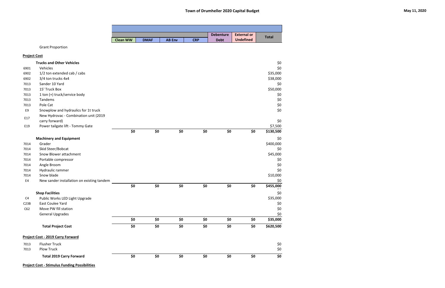|                |                                            |                 |             |               |            | <b>Debenture</b> | <b>External or</b> | <b>Total</b>              |
|----------------|--------------------------------------------|-----------------|-------------|---------------|------------|------------------|--------------------|---------------------------|
|                |                                            | <b>Clean WW</b> | <b>DMAF</b> | <b>AB Env</b> | <b>CRP</b> | <b>Debt</b>      | <b>Undefined</b>   |                           |
|                | <b>Grant Proportion</b>                    |                 |             |               |            |                  |                    |                           |
|                | <b>Project Cost</b>                        |                 |             |               |            |                  |                    |                           |
|                | <b>Trucks and Other Vehicles</b>           |                 |             |               |            |                  |                    | \$0                       |
| 6901           | Vehicles                                   |                 |             |               |            |                  |                    | \$0                       |
| 6902           | 1/2 ton extended cab / cabs                |                 |             |               |            |                  |                    | \$35,000                  |
| 6902           | 3/4 ton trucks 4x4                         |                 |             |               |            |                  |                    | \$38,000                  |
| 7013           | Sander 10 Yard                             |                 |             |               |            |                  |                    | \$0                       |
| 7013           | 15' Truck Box                              |                 |             |               |            |                  |                    | \$50,000                  |
| 7013           | 1 ton (+) truck/service body               |                 |             |               |            |                  |                    | \$0                       |
| 7013           | Tandems                                    |                 |             |               |            |                  |                    | \$0                       |
| 7013           | Pole Cat                                   |                 |             |               |            |                  |                    | $$0$$                     |
| E9             | Snowplow and hydraulics for 1t truck       |                 |             |               |            |                  |                    | \$0                       |
| E17            | New Hydrovac - Combination unit (2019      |                 |             |               |            |                  |                    |                           |
|                | carry forward)                             |                 |             |               |            |                  |                    | \$0                       |
| E19            | Power tailgate lift - Tommy Gate           |                 |             |               |            |                  |                    | \$7,500                   |
|                |                                            | \$0             | \$0         | \$0           | \$0        | \$0              | \$0                | \$130,500                 |
|                | <b>Machinery and Equipment</b>             |                 |             |               |            |                  |                    | \$0                       |
| 7014           | Grader                                     |                 |             |               |            |                  |                    | \$400,000                 |
| 7014           | Skid Steer/Bobcat                          |                 |             |               |            |                  |                    | \$0                       |
| 7014           | Snow Blower attachment                     |                 |             |               |            |                  |                    | \$45,000                  |
| 7014           | Portable compressor                        |                 |             |               |            |                  |                    | \$0                       |
| 7014           | Angle Broom                                |                 |             |               |            |                  |                    | \$0                       |
| 7014           | Hydraulic rammer                           |                 |             |               |            |                  |                    | \$0                       |
| 7014           | Snow blade                                 |                 |             |               |            |                  |                    | \$10,000                  |
| E4             | New sander installation on existing tandem |                 |             |               |            |                  |                    | \$0                       |
|                |                                            | \$0             | \$0         | \$0           | \$0        | \$0              | \$0                | \$455,000<br>$\mathbf{v}$ |
|                | <b>Shop Facilities</b>                     |                 |             |               |            |                  |                    | $$0$$                     |
| C <sub>4</sub> | Public Works LED Light Upgrade             |                 |             |               |            |                  |                    | \$35,000                  |
| C23B           | <b>East Coulee Yard</b>                    |                 |             |               |            |                  |                    | \$0                       |
| C62            | Move PW fill station                       |                 |             |               |            |                  |                    | $$0$$                     |
|                | <b>General Upgrades</b>                    |                 |             |               |            |                  |                    | $$0$$                     |
|                |                                            | \$0             | \$0         | \$0           | \$0        | \$0              | \$0                | \$35,000                  |
|                | <b>Total Project Cost</b>                  | \$0             | \$0         | \$0           | \$0        | \$0              | \$0                | \$620,500                 |
|                |                                            |                 |             |               |            |                  |                    |                           |
|                | <b>Project Cost - 2019 Carry Forward</b>   |                 |             |               |            |                  |                    |                           |
| 7013           | <b>Flusher Truck</b>                       |                 |             |               |            |                  |                    | \$0                       |
| 7013           | <b>Plow Truck</b>                          |                 |             |               |            |                  |                    | $$0$$                     |
|                | <b>Total 2019 Carry Forward</b>            | \$0             | \$0         | \$0           | \$0        | \$0              | \$0                | \$0                       |

**Project Cost - Stimulus Funding Possibilities**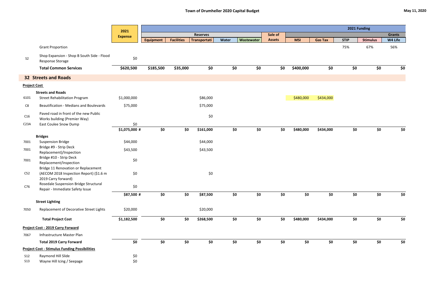|                     |                                                                                | 2021                 |                  |                   |                 |       |            |               |            |                |             | 2021 Funding    |               |
|---------------------|--------------------------------------------------------------------------------|----------------------|------------------|-------------------|-----------------|-------|------------|---------------|------------|----------------|-------------|-----------------|---------------|
|                     |                                                                                | <b>Expense</b>       |                  |                   | <b>Reserves</b> |       |            | Sale of       |            |                |             |                 | <b>Grants</b> |
|                     |                                                                                |                      | <b>Equipment</b> | <b>Facilities</b> | Transportati    | Water | Wastewater | <b>Assets</b> | <b>MSI</b> | <b>Gas Tax</b> | <b>STIP</b> | <b>Stimulus</b> | W4 Life       |
|                     | <b>Grant Proportion</b>                                                        |                      |                  |                   |                 |       |            |               |            |                | 75%         | 67%             | 56%           |
| S <sub>2</sub>      | Shop Expansion - Shop B South Side - Flood<br>Response Storage                 | \$0                  |                  |                   |                 |       |            |               |            |                |             |                 |               |
|                     | <b>Total Common Services</b>                                                   | \$620,500            | \$185,500        | \$35,000          | \$0             | \$0   | \$0        | \$0           | \$400,000  | \$0            | \$0         | \$0             | \$0           |
|                     | <b>32 Streets and Roads</b>                                                    |                      |                  |                   |                 |       |            |               |            |                |             |                 |               |
| <b>Project Cost</b> |                                                                                |                      |                  |                   |                 |       |            |               |            |                |             |                 |               |
|                     | <b>Streets and Roads</b>                                                       |                      |                  |                   |                 |       |            |               |            |                |             |                 |               |
| 6101                | <b>Street Rehabilitation Program</b>                                           | \$1,000,000          |                  |                   | \$86,000        |       |            |               | \$480,000  | \$434,000      |             |                 |               |
| C8                  | <b>Beautification - Medians and Boulevards</b>                                 | \$75,000             |                  |                   | \$75,000        |       |            |               |            |                |             |                 |               |
| C16                 | Paved road in front of the new Public                                          |                      |                  |                   | $$0$$           |       |            |               |            |                |             |                 |               |
|                     | Works building (Premier Way)                                                   |                      |                  |                   |                 |       |            |               |            |                |             |                 |               |
| C <sub>23A</sub>    | <b>East Coulee Snow Dump</b>                                                   | \$0<br>\$1,075,000 # | \$0              | \$0               | \$161,000       | \$0   | \$0        | \$0           | \$480,000  | \$434,000      | \$0         | \$0             | \$0           |
|                     | <b>Bridges</b>                                                                 |                      |                  |                   |                 |       |            |               |            |                |             |                 |               |
| 7001                | <b>Suspension Bridge</b>                                                       | \$44,000             |                  |                   | \$44,000        |       |            |               |            |                |             |                 |               |
|                     | Bridge #9 - Strip Deck                                                         |                      |                  |                   |                 |       |            |               |            |                |             |                 |               |
| 7001                | Replacement)/Inspection                                                        | \$43,500             |                  |                   | \$43,500        |       |            |               |            |                |             |                 |               |
| 7001                | Bridge #10 - Strip Deck                                                        | \$0                  |                  |                   |                 |       |            |               |            |                |             |                 |               |
|                     | Replacement/Inspection                                                         |                      |                  |                   |                 |       |            |               |            |                |             |                 |               |
| C52                 | Bridge 11 Renovation or Replacement<br>(AECOM 2018 Inspection Report) (\$1.6 m | \$0                  |                  |                   | $$0$$           |       |            |               |            |                |             |                 |               |
|                     | 2019 Carry forward)                                                            |                      |                  |                   |                 |       |            |               |            |                |             |                 |               |
|                     | Rosedale Suspension Bridge Structural                                          |                      |                  |                   |                 |       |            |               |            |                |             |                 |               |
| C76                 | Repair - Immediate Safety Issue                                                | \$0                  |                  |                   |                 |       |            |               |            |                |             |                 |               |
|                     |                                                                                | \$87,500 #           | \$0              | \$0               | \$87,500        | \$0   | \$0        | \$0           | \$0        | \$0            | \$0         | \$0             | \$0           |
|                     | <b>Street Lighting</b>                                                         |                      |                  |                   |                 |       |            |               |            |                |             |                 |               |
| 7050                | Replacement of Decorative Street Lights                                        | \$20,000             |                  |                   | \$20,000        |       |            |               |            |                |             |                 |               |
|                     | <b>Total Project Cost</b>                                                      | \$1,182,500          | \$0              | \$0               | \$268,500       | \$0   | \$0        | \$0           | \$480,000  | \$434,000      | \$0         | \$0             | \$0           |
|                     | <b>Project Cost - 2019 Carry Forward</b>                                       |                      |                  |                   |                 |       |            |               |            |                |             |                 |               |
| 7067                | Infrastructure Master Plan                                                     |                      |                  |                   |                 |       |            |               |            |                |             |                 |               |
|                     | <b>Total 2019 Carry Forward</b>                                                | \$0                  | \$0              | \$0               | \$0             | \$0   | \$0        | \$0           | \$0        | \$0            | \$0         | \$0             | \$0           |
|                     | <b>Project Cost - Stimulus Funding Possibilities</b>                           |                      |                  |                   |                 |       |            |               |            |                |             |                 |               |
| <b>S12</b>          | Raymond Hill Slide                                                             | \$0                  |                  |                   |                 |       |            |               |            |                |             |                 |               |
| <b>S13</b>          | Wayne Hill Icing / Seepage                                                     | \$0                  |                  |                   |                 |       |            |               |            |                |             |                 |               |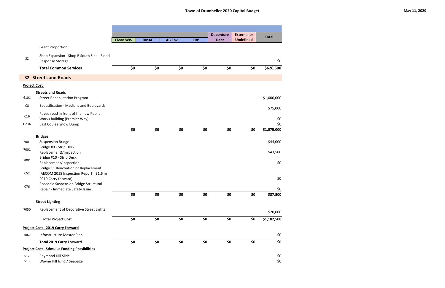|                     |                                                                                |                 |             |               |            | <b>Debenture</b> | <b>External or</b> | <b>Total</b> |
|---------------------|--------------------------------------------------------------------------------|-----------------|-------------|---------------|------------|------------------|--------------------|--------------|
|                     |                                                                                | <b>Clean WW</b> | <b>DMAF</b> | <b>AB Env</b> | <b>CRP</b> | <b>Debt</b>      | <b>Undefined</b>   |              |
|                     | <b>Grant Proportion</b>                                                        |                 |             |               |            |                  |                    |              |
| S <sub>2</sub>      | Shop Expansion - Shop B South Side - Flood<br><b>Response Storage</b>          |                 |             |               |            |                  |                    | \$0          |
|                     | <b>Total Common Services</b>                                                   | \$0             | \$0         | \$0           | \$0        | \$0              | \$0                | \$620,500    |
|                     | <b>32 Streets and Roads</b>                                                    |                 |             |               |            |                  |                    |              |
| <b>Project Cost</b> |                                                                                |                 |             |               |            |                  |                    |              |
|                     | <b>Streets and Roads</b>                                                       |                 |             |               |            |                  |                    |              |
| 6101                | <b>Street Rehabilitation Program</b>                                           |                 |             |               |            |                  |                    | \$1,000,000  |
| C8                  | <b>Beautification - Medians and Boulevards</b>                                 |                 |             |               |            |                  |                    | \$75,000     |
| C16                 | Paved road in front of the new Public                                          |                 |             |               |            |                  |                    |              |
| C <sub>23A</sub>    | Works building (Premier Way)<br><b>East Coulee Snow Dump</b>                   |                 |             |               |            |                  |                    | \$0<br>\$0   |
|                     |                                                                                | \$0             | \$0         | \$0           | \$0        | \$0              | \$0                | \$1,075,000  |
|                     | <b>Bridges</b>                                                                 |                 |             |               |            |                  |                    |              |
| 7001                | <b>Suspension Bridge</b>                                                       |                 |             |               |            |                  |                    | \$44,000     |
| 7001                | Bridge #9 - Strip Deck<br>Replacement)/Inspection                              |                 |             |               |            |                  |                    | \$43,500     |
|                     | Bridge #10 - Strip Deck                                                        |                 |             |               |            |                  |                    |              |
| 7001                | Replacement/Inspection                                                         |                 |             |               |            |                  |                    | \$0          |
| C52                 | Bridge 11 Renovation or Replacement<br>(AECOM 2018 Inspection Report) (\$1.6 m |                 |             |               |            |                  |                    |              |
|                     | 2019 Carry forward)                                                            |                 |             |               |            |                  |                    | \$0          |
| C76                 | Rosedale Suspension Bridge Structural                                          |                 |             |               |            |                  |                    |              |
|                     | Repair - Immediate Safety Issue                                                |                 |             |               |            |                  |                    | \$0          |
|                     |                                                                                | \$0             | \$0         | \$0           | \$0        | \$0              | \$0                | \$87,500     |
|                     | <b>Street Lighting</b>                                                         |                 |             |               |            |                  |                    |              |
| 7050                | Replacement of Decorative Street Lights                                        |                 |             |               |            |                  |                    | \$20,000     |
|                     | <b>Total Project Cost</b>                                                      | \$0             | \$0         | \$0           | \$0        | \$0              | \$0                | \$1,182,500  |
|                     | Project Cost - 2019 Carry Forward                                              |                 |             |               |            |                  |                    |              |
| 7067                | Infrastructure Master Plan                                                     |                 |             |               |            |                  |                    | \$0          |
|                     | <b>Total 2019 Carry Forward</b>                                                | \$0             | \$0         | \$0           | \$0        | \$0              | \$0                | \$0          |
|                     | <b>Project Cost - Stimulus Funding Possibilities</b>                           |                 |             |               |            |                  |                    |              |
| <b>S12</b>          | Raymond Hill Slide                                                             |                 |             |               |            |                  |                    | \$0          |
| <b>S13</b>          | Wayne Hill Icing / Seepage                                                     |                 |             |               |            |                  |                    | $$0$$        |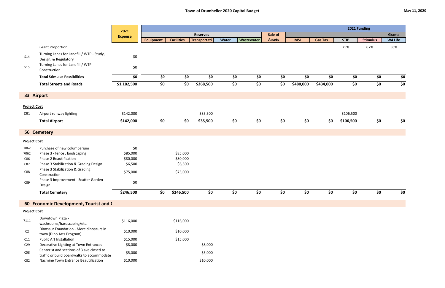|                     |                                                                                         | 2021           | 2021 Funding     |                   |                 |       |            |               |            |                |             |                 |               |
|---------------------|-----------------------------------------------------------------------------------------|----------------|------------------|-------------------|-----------------|-------|------------|---------------|------------|----------------|-------------|-----------------|---------------|
|                     |                                                                                         | <b>Expense</b> |                  |                   | <b>Reserves</b> |       |            | Sale of       |            |                |             |                 | <b>Grants</b> |
|                     |                                                                                         |                | <b>Equipment</b> | <b>Facilities</b> | Transportati    | Water | Wastewater | <b>Assets</b> | <b>MSI</b> | <b>Gas Tax</b> | <b>STIP</b> | <b>Stimulus</b> | W4 Life       |
|                     | <b>Grant Proportion</b>                                                                 |                |                  |                   |                 |       |            |               |            |                | 75%         | 67%             | 56%           |
| <b>S14</b>          | Turning Lanes for Landfill / WTP - Study,<br>Design, & Regulatory                       | \$0            |                  |                   |                 |       |            |               |            |                |             |                 |               |
| <b>S15</b>          | Turning Lanes for Landfill / WTP -<br>Construction                                      | \$0            |                  |                   |                 |       |            |               |            |                |             |                 |               |
|                     | <b>Total Stimulus Possibilities</b>                                                     | \$0            | \$0              | \$0               | \$0             | \$0   | \$0        | \$0           | \$0        | \$0            | \$0         | \$0             | \$0           |
|                     | <b>Total Streets and Roads</b>                                                          | \$1,182,500    | \$0              | \$0               | \$268,500       | \$0   | \$0        | \$0           | \$480,000  | \$434,000      | \$0         | \$0             | \$0           |
|                     | 33 Airport                                                                              |                |                  |                   |                 |       |            |               |            |                |             |                 |               |
| <b>Project Cost</b> |                                                                                         |                |                  |                   |                 |       |            |               |            |                |             |                 |               |
| C91                 | Airport runway lighting                                                                 | \$142,000      |                  |                   | \$35,500        |       |            |               |            |                | \$106,500   |                 |               |
|                     | <b>Total Airport</b>                                                                    | \$142,000      | \$0              | \$0               | \$35,500        | \$0   | \$0        | \$0           | \$0        | \$0            | \$106,500   | \$0             | \$0           |
|                     | 56 Cemetery                                                                             |                |                  |                   |                 |       |            |               |            |                |             |                 |               |
| <b>Project Cost</b> |                                                                                         |                |                  |                   |                 |       |            |               |            |                |             |                 |               |
| 7062                | Purchase of new columbarium                                                             | \$0            |                  |                   |                 |       |            |               |            |                |             |                 |               |
| 7062                | Phase 3 - fence, landscaping                                                            | \$85,000       |                  | \$85,000          |                 |       |            |               |            |                |             |                 |               |
| C86                 | Phase 2 Beautification                                                                  | \$80,000       |                  | \$80,000          |                 |       |            |               |            |                |             |                 |               |
| C87                 | Phase 3 Stabilization & Grading Design                                                  | \$6,500        |                  | \$6,500           |                 |       |            |               |            |                |             |                 |               |
| C88                 | Phase 3 Stabilization & Grading<br>Construction                                         | \$75,000       |                  | \$75,000          |                 |       |            |               |            |                |             |                 |               |
| C89                 | Phase 3 Improvement - Scatter Garden<br>Design                                          | \$0            |                  |                   |                 |       |            |               |            |                |             |                 |               |
|                     | <b>Total Cemetery</b>                                                                   | \$246,500      | \$0              | \$246,500         | \$0             | \$0   | \$0        | \$0           | \$0        | \$0            | \$0         | \$0             | \$0           |
|                     | 60 Economic Development, Tourist and (                                                  |                |                  |                   |                 |       |            |               |            |                |             |                 |               |
| <b>Project Cost</b> |                                                                                         |                |                  |                   |                 |       |            |               |            |                |             |                 |               |
|                     | Downtown Plaza -                                                                        |                |                  |                   |                 |       |            |               |            |                |             |                 |               |
| 7111                | washrooms/hardscaping/etc.                                                              | \$116,000      |                  | \$116,000         |                 |       |            |               |            |                |             |                 |               |
| C <sub>2</sub>      | Dinosaur Foundation - More dinosaurs in<br>town (Dino Arts Program)                     | \$10,000       |                  | \$10,000          |                 |       |            |               |            |                |             |                 |               |
| C11                 | <b>Public Art Installation</b>                                                          | \$15,000       |                  | \$15,000          |                 |       |            |               |            |                |             |                 |               |
| C <sub>29</sub>     | Decorative Lighting at Town Entrances                                                   | \$8,000        |                  |                   | \$8,000         |       |            |               |            |                |             |                 |               |
| C58                 | Center st and sections of 3 ave closed to<br>traffic or build boardwalks to accommodate | \$5,000        |                  |                   | \$5,000         |       |            |               |            |                |             |                 |               |
| C82                 | Nacmine Town Entrance Beautification                                                    | \$10,000       |                  |                   | \$10,000        |       |            |               |            |                |             |                 |               |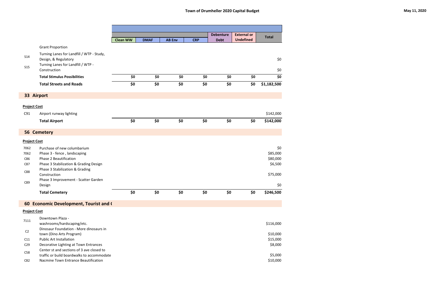|                            |                                                                                                                                                                    |                 |             |               |            | <b>Debenture</b> | <b>External or</b> | <b>Total</b>                           |
|----------------------------|--------------------------------------------------------------------------------------------------------------------------------------------------------------------|-----------------|-------------|---------------|------------|------------------|--------------------|----------------------------------------|
|                            |                                                                                                                                                                    | <b>Clean WW</b> | <b>DMAF</b> | <b>AB Env</b> | <b>CRP</b> | <b>Debt</b>      | <b>Undefined</b>   |                                        |
|                            | <b>Grant Proportion</b>                                                                                                                                            |                 |             |               |            |                  |                    |                                        |
| <b>S14</b>                 | Turning Lanes for Landfill / WTP - Study,<br>Design, & Regulatory<br>Turning Lanes for Landfill / WTP -                                                            |                 |             |               |            |                  |                    | \$0                                    |
| <b>S15</b>                 | Construction                                                                                                                                                       |                 |             |               |            |                  |                    | \$0                                    |
|                            | <b>Total Stimulus Possibilities</b>                                                                                                                                | \$0             | \$0         | \$0           | \$0        | \$0              | \$0                | \$0                                    |
|                            | <b>Total Streets and Roads</b>                                                                                                                                     | \$0             | \$0         | \$0           | \$0        | \$0              | \$0                | \$1,182,500                            |
|                            | 33 Airport                                                                                                                                                         |                 |             |               |            |                  |                    |                                        |
|                            | <b>Project Cost</b>                                                                                                                                                |                 |             |               |            |                  |                    |                                        |
| C91                        | Airport runway lighting                                                                                                                                            |                 |             |               |            |                  |                    | \$142,000                              |
|                            | <b>Total Airport</b>                                                                                                                                               | \$0             | \$0         | \$0           | \$0        | \$0              | \$0                | \$142,000                              |
|                            | 56 Cemetery                                                                                                                                                        |                 |             |               |            |                  |                    |                                        |
|                            | <b>Project Cost</b>                                                                                                                                                |                 |             |               |            |                  |                    |                                        |
| 7062<br>7062<br>C86<br>C87 | Purchase of new columbarium<br>Phase 3 - fence, landscaping<br>Phase 2 Beautification<br>Phase 3 Stabilization & Grading Design<br>Phase 3 Stabilization & Grading |                 |             |               |            |                  |                    | \$0<br>\$85,000<br>\$80,000<br>\$6,500 |
| C88                        | Construction<br>Phase 3 Improvement - Scatter Garden                                                                                                               |                 |             |               |            |                  |                    | \$75,000                               |
| C89                        | Design                                                                                                                                                             |                 |             |               |            |                  |                    | \$0                                    |
|                            | <b>Total Cemetery</b>                                                                                                                                              | \$0             | \$0         | \$0           | \$0        | \$0              | \$0                | \$246,500                              |
|                            | 60 Economic Development, Tourist and (                                                                                                                             |                 |             |               |            |                  |                    |                                        |
|                            | <b>Project Cost</b>                                                                                                                                                |                 |             |               |            |                  |                    |                                        |
| 7111                       | Downtown Plaza -<br>washrooms/hardscaping/etc.                                                                                                                     |                 |             |               |            |                  |                    | \$116,000                              |
| C <sub>2</sub>             | Dinosaur Foundation - More dinosaurs in<br>town (Dino Arts Program)                                                                                                |                 |             |               |            |                  |                    | \$10,000                               |
| C11<br>C <sub>29</sub>     | <b>Public Art Installation</b><br>Decorative Lighting at Town Entrances                                                                                            |                 |             |               |            |                  |                    | \$15,000<br>\$8,000                    |
| C58                        | Center st and sections of 3 ave closed to<br>traffic or build boardwalks to accommodate                                                                            |                 |             |               |            |                  |                    | \$5,000                                |
| C82                        | Nacmine Town Entrance Beautification                                                                                                                               |                 |             |               |            |                  |                    | \$10,000                               |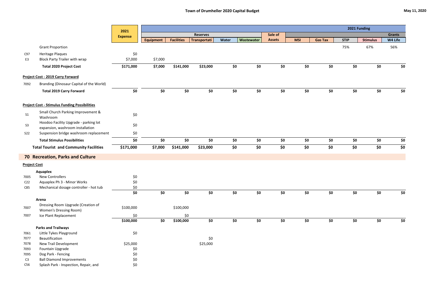|                     |                                                                           | 2021           |                  |                   |                 |       |            | 2021 Funding  |            |                |             |                 |               |
|---------------------|---------------------------------------------------------------------------|----------------|------------------|-------------------|-----------------|-------|------------|---------------|------------|----------------|-------------|-----------------|---------------|
|                     |                                                                           | <b>Expense</b> |                  |                   | <b>Reserves</b> |       |            | Sale of       |            |                |             |                 | <b>Grants</b> |
|                     |                                                                           |                | <b>Equipment</b> | <b>Facilities</b> | Transportati    | Water | Wastewater | <b>Assets</b> | <b>MSI</b> | <b>Gas Tax</b> | <b>STIP</b> | <b>Stimulus</b> | W4 Life       |
|                     | <b>Grant Proportion</b>                                                   |                |                  |                   |                 |       |            |               |            |                | 75%         | 67%             | 56%           |
| C97                 | Heritage Plaques                                                          | \$0            |                  |                   |                 |       |            |               |            |                |             |                 |               |
| E <sub>3</sub>      | <b>Block Party Trailer with wrap</b>                                      | \$7,000        | \$7,000          |                   |                 |       |            |               |            |                |             |                 |               |
|                     | <b>Total 2020 Project Cost</b>                                            | \$171,000      | \$7,000          | \$141,000         | \$23,000        | \$0   | \$0        | \$0           | \$0        | \$0            | \$0         | \$0             | \$0           |
|                     | Project Cost - 2019 Carry Forward                                         |                |                  |                   |                 |       |            |               |            |                |             |                 |               |
| 7092                | Branding (Dinosaur Capital of the World)                                  |                |                  |                   |                 |       |            |               |            |                |             |                 |               |
|                     | <b>Total 2019 Carry Forward</b>                                           | \$0            | \$0              | \$0               | \$0             | \$0   | \$0        | \$0           | \$0        | \$0            | \$0         | \$0             | \$0           |
|                     | <b>Project Cost - Stimulus Funding Possibilities</b>                      |                |                  |                   |                 |       |            |               |            |                |             |                 |               |
| S <sub>1</sub>      | Small Church Parking Improvement &<br>Washroom                            | \$0            |                  |                   |                 |       |            |               |            |                |             |                 |               |
| S <sub>3</sub>      | Hoodoo Facility Upgrade - parking lot<br>expansion, washroom installation | \$0            |                  |                   |                 |       |            |               |            |                |             |                 |               |
| <b>S22</b>          | Suspension bridge washroom replacement                                    | \$0            |                  |                   |                 |       |            |               |            |                |             |                 |               |
|                     | <b>Total Stimulus Possibilities</b>                                       | \$0            | \$0              | \$0               | \$0             | \$0   | \$0        | \$0           | \$0        | \$0            | \$0         | \$0             | \$0           |
|                     | <b>Total Tourist and Community Facilities</b>                             | \$171,000      | \$7,000          | \$141,000         | \$23,000        | \$0   | \$0        | \$0           | \$0        | \$0            | \$0         | \$0             | \$0           |
|                     | <b>70 Recreation, Parks and Culture</b>                                   |                |                  |                   |                 |       |            |               |            |                |             |                 |               |
| <b>Project Cost</b> |                                                                           |                |                  |                   |                 |       |            |               |            |                |             |                 |               |
|                     | Aquaplex                                                                  |                |                  |                   |                 |       |            |               |            |                |             |                 |               |
| 7005                | <b>New Controllers</b>                                                    | \$0            |                  |                   |                 |       |            |               |            |                |             |                 |               |
| C <sub>22</sub>     | Aquaplex Ph 3 - Minor Works                                               | \$0            |                  |                   |                 |       |            |               |            |                |             |                 |               |
| C85                 | Mechanical dosage controller - hot tub                                    | \$0            |                  |                   |                 |       |            |               |            |                |             |                 |               |
|                     |                                                                           | \$0            | \$0              | \$0               | \$0             | \$0   | \$0        | \$0           | \$0        | \$0            | \$0         | \$0             | \$0           |
|                     | Arena                                                                     |                |                  |                   |                 |       |            |               |            |                |             |                 |               |
| 7007                | Dressing Room Upgrade (Creation of                                        | \$100,000      |                  | \$100,000         |                 |       |            |               |            |                |             |                 |               |
|                     | <b>Women's Dressing Room)</b>                                             |                |                  |                   |                 |       |            |               |            |                |             |                 |               |
| 7007                | Ice Plant Replacement                                                     | \$0            |                  | \$0               |                 |       |            |               |            |                |             |                 |               |
|                     |                                                                           | \$100,000      | \$0              | \$100,000         | \$0             | \$0   | \$0        | \$0           | \$0        | \$0            | \$0         | \$0             | \$0           |
|                     | <b>Parks and Trailways</b>                                                |                |                  |                   |                 |       |            |               |            |                |             |                 |               |
| 7061                | Little Tykes Playground                                                   | \$0            |                  |                   |                 |       |            |               |            |                |             |                 |               |
| 7077                | Beautification                                                            |                |                  |                   | \$0             |       |            |               |            |                |             |                 |               |
| 7078                | New Trail Development                                                     | \$25,000       |                  |                   | \$25,000        |       |            |               |            |                |             |                 |               |
| 7093                | Fountain Upgrade                                                          | \$0            |                  |                   |                 |       |            |               |            |                |             |                 |               |
| 7095                | Dog Park - Fencing                                                        | \$0            |                  |                   |                 |       |            |               |            |                |             |                 |               |
| C3                  | <b>Ball Diamond Improvements</b><br>Splash Park - Inspection, Repair, and | $$0$$          |                  |                   |                 |       |            |               |            |                |             |                 |               |
| C56                 |                                                                           | \$0            |                  |                   |                 |       |            |               |            |                |             |                 |               |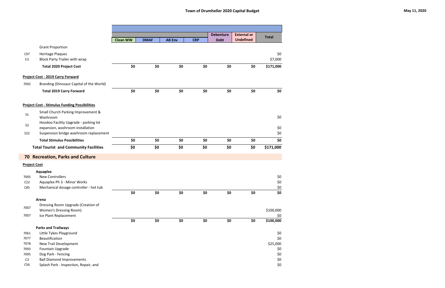|                     |                                                                 |                 |             |               |            | <b>Debenture</b> | <b>External or</b> | <b>Total</b>   |
|---------------------|-----------------------------------------------------------------|-----------------|-------------|---------------|------------|------------------|--------------------|----------------|
|                     |                                                                 | <b>Clean WW</b> | <b>DMAF</b> | <b>AB Env</b> | <b>CRP</b> | <b>Debt</b>      | <b>Undefined</b>   |                |
|                     | <b>Grant Proportion</b>                                         |                 |             |               |            |                  |                    |                |
| C97<br>E3           | <b>Heritage Plaques</b><br><b>Block Party Trailer with wrap</b> |                 |             |               |            |                  |                    | \$0<br>\$7,000 |
|                     | <b>Total 2020 Project Cost</b>                                  | \$0             | \$0         | \$0           | \$0        | \$0              | \$0                | \$171,000      |
|                     | <b>Project Cost - 2019 Carry Forward</b>                        |                 |             |               |            |                  |                    |                |
| 7092                | Branding (Dinosaur Capital of the World)                        |                 |             |               |            |                  |                    |                |
|                     | <b>Total 2019 Carry Forward</b>                                 | \$0             | \$0         | \$0           | \$0        | \$0              | \$0                | \$0            |
|                     | <b>Project Cost - Stimulus Funding Possibilities</b>            |                 |             |               |            |                  |                    |                |
| S <sub>1</sub>      | Small Church Parking Improvement &<br>Washroom                  |                 |             |               |            |                  |                    | \$0            |
| S <sub>3</sub>      | Hoodoo Facility Upgrade - parking lot                           |                 |             |               |            |                  |                    |                |
|                     | expansion, washroom installation                                |                 |             |               |            |                  |                    | \$0            |
| <b>S22</b>          | Suspension bridge washroom replacement                          |                 |             |               |            |                  |                    | \$0            |
|                     | <b>Total Stimulus Possibilities</b>                             | \$0             | \$0         | \$0           | \$0        | \$0              | \$0                | \$0            |
|                     | <b>Total Tourist and Community Facilities</b>                   | \$0             | \$0         | \$0           | \$0        | \$0              | \$0                | \$171,000      |
|                     | <b>70 Recreation, Parks and Culture</b>                         |                 |             |               |            |                  |                    |                |
| <b>Project Cost</b> |                                                                 |                 |             |               |            |                  |                    |                |
|                     | <b>Aquaplex</b>                                                 |                 |             |               |            |                  |                    |                |
| 7005                | <b>New Controllers</b>                                          |                 |             |               |            |                  |                    | \$0            |
| C <sub>22</sub>     | Aquaplex Ph 3 - Minor Works                                     |                 |             |               |            |                  |                    | \$0            |
| C85                 | Mechanical dosage controller - hot tub                          |                 |             |               |            |                  |                    | $rac{50}{50}$  |
|                     |                                                                 | \$0             | \$0         | \$0           | \$0        | \$0              | \$0                |                |
|                     | Arena                                                           |                 |             |               |            |                  |                    |                |
| 7007                | Dressing Room Upgrade (Creation of                              |                 |             |               |            |                  |                    | \$100,000      |
| 7007                | <b>Women's Dressing Room)</b><br>Ice Plant Replacement          |                 |             |               |            |                  |                    | \$0            |
|                     |                                                                 | \$0             | \$0         | \$0           | \$0        | \$0              | \$0                | \$100,000      |
|                     | <b>Parks and Trailways</b>                                      |                 |             |               |            |                  |                    |                |
| 7061                | Little Tykes Playground                                         |                 |             |               |            |                  |                    | \$0            |
| 7077                | Beautification                                                  |                 |             |               |            |                  |                    | \$0            |
| 7078                | New Trail Development                                           |                 |             |               |            |                  |                    | \$25,000       |
| 7093                | Fountain Upgrade                                                |                 |             |               |            |                  |                    | \$0            |
| 7095                | Dog Park - Fencing                                              |                 |             |               |            |                  |                    | \$0            |
| C <sub>3</sub>      | <b>Ball Diamond Improvements</b>                                |                 |             |               |            |                  |                    | \$0            |
| C56                 | Splash Park - Inspection, Repair, and                           |                 |             |               |            |                  |                    | \$0            |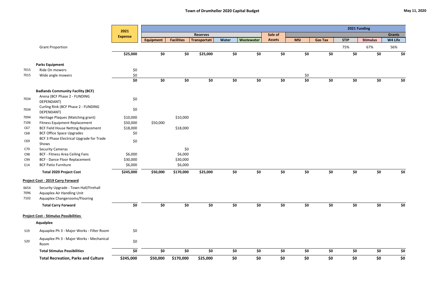|              |                                                             | 2021           |                  |                   |                 |       |            |               |            |                |             | 2021 Funding    |               |
|--------------|-------------------------------------------------------------|----------------|------------------|-------------------|-----------------|-------|------------|---------------|------------|----------------|-------------|-----------------|---------------|
|              |                                                             | <b>Expense</b> |                  |                   | <b>Reserves</b> |       |            | Sale of       |            |                |             |                 | <b>Grants</b> |
|              |                                                             |                | <b>Equipment</b> | <b>Facilities</b> | Transportati    | Water | Wastewater | <b>Assets</b> | <b>MSI</b> | <b>Gas Tax</b> | <b>STIP</b> | <b>Stimulus</b> | W4 Life       |
|              | <b>Grant Proportion</b>                                     |                |                  |                   |                 |       |            |               |            |                | 75%         | 67%             | 56%           |
|              |                                                             | \$25,000       | \$0              | \$0               | \$25,000        | \$0   | \$0        | \$0           | \$0        | \$0            | \$0         | \$0             | \$0           |
|              | <b>Parks Equipment</b>                                      |                |                  |                   |                 |       |            |               |            |                |             |                 |               |
| 7015         | Ride On mowers                                              | \$0            |                  |                   |                 |       |            |               |            |                |             |                 |               |
| 7015         | Wide angle mowers                                           | \$0            |                  |                   |                 |       |            |               | \$0        |                |             |                 |               |
|              |                                                             | \$0            | \$0              | \$0               | \$0             | \$0   | \$0        | \$0           | \$0        | \$0            | \$0         | \$0             | \$0           |
|              | <b>Badlands Community Facility (BCF)</b>                    |                |                  |                   |                 |       |            |               |            |                |             |                 |               |
| 7034         | Arena (BCF Phase 2 - FUNDING<br>DEPENDANT)                  | \$0            |                  |                   |                 |       |            |               |            |                |             |                 |               |
| 7034         | Curling Rink (BCF Phase 2 - FUNDING<br>DEPENDANT)           | \$0            |                  |                   |                 |       |            |               |            |                |             |                 |               |
| 7094         | Heritage Plaques (Matching grant)                           | \$10,000       |                  | \$10,000          |                 |       |            |               |            |                |             |                 |               |
| 7106         | <b>Fitness Equipment Replacement</b>                        | \$50,000       | \$50,000         |                   |                 |       |            |               |            |                |             |                 |               |
| C67          | <b>BCF Field House Netting Replacement</b>                  | \$18,000       |                  | \$18,000          |                 |       |            |               |            |                |             |                 |               |
| C68          | <b>BCF Office Space Upgrades</b>                            | \$0            |                  |                   |                 |       |            |               |            |                |             |                 |               |
| C69          | BCF 3 Phase Electrical Upgrade for Trade<br>Shows           | \$0            |                  |                   |                 |       |            |               |            |                |             |                 |               |
| C70          | <b>Security Cameras</b>                                     |                |                  | \$0               |                 |       |            |               |            |                |             |                 |               |
| C98          | <b>BCF - Fitness Area Ceiling Fans</b>                      | \$6,000        |                  | \$6,000           |                 |       |            |               |            |                |             |                 |               |
| C99          | <b>BCF - Dance Floor Replacement</b>                        | \$30,000       |                  | \$30,000          |                 |       |            |               |            |                |             |                 |               |
| E14          | <b>BCF Patio Furniture</b>                                  | \$6,000        |                  | \$6,000           |                 |       |            |               |            |                |             |                 |               |
|              | <b>Total 2020 Project Cost</b>                              | \$245,000      | \$50,000         | \$170,000         | \$25,000        | \$0   | \$0        | \$0           | \$0        | \$0            | \$0         | \$0             | \$0           |
|              | <b>Project Cost - 2019 Carry Forward</b>                    |                |                  |                   |                 |       |            |               |            |                |             |                 |               |
|              | 6654 Security Upgrade - Town Hall/Firehall                  |                |                  |                   |                 |       |            |               |            |                |             |                 |               |
| 7096<br>7102 | Aquaplex Air Handling Unit<br>Aquaplex Changerooms/Flooring |                |                  |                   |                 |       |            |               |            |                |             |                 |               |
|              |                                                             |                |                  |                   |                 |       |            |               |            |                |             |                 |               |
|              | <b>Total Carry Forward</b>                                  | \$0            | \$0              | \$0               | \$0             | \$0   | \$0        | \$0           | \$0        | \$0            | \$0         | \$0             | \$0           |
|              | <b>Project Cost - Stimulus Possibilities</b>                |                |                  |                   |                 |       |            |               |            |                |             |                 |               |
|              | <b>Aqualplex</b>                                            |                |                  |                   |                 |       |            |               |            |                |             |                 |               |
| <b>S19</b>   | Aquaplex Ph 3 - Major Works - Filter Room                   | \$0            |                  |                   |                 |       |            |               |            |                |             |                 |               |
| <b>S20</b>   | Aquaplex Ph 3 - Major Works - Mechanical<br>Room            | \$0            |                  |                   |                 |       |            |               |            |                |             |                 |               |
|              | <b>Total Stimulus Possibilities</b>                         | \$0            | \$0              | \$0               | \$0             | \$0   | \$0        | \$0           | \$0        | \$0            | \$0         | \$0             | \$0           |
|              | <b>Total Recreation, Parks and Culture</b>                  | \$245,000      | \$50,000         | \$170,000         | \$25,000        | \$0   | \$0        | \$0           | \$0        | \$0            | \$0         | \$0             | \$0           |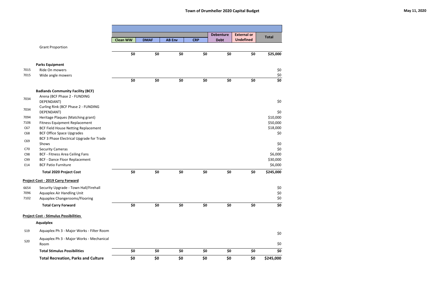|            |                                                   |                 |             |               |            | <b>Debenture</b> | <b>External or</b> | <b>Total</b> |
|------------|---------------------------------------------------|-----------------|-------------|---------------|------------|------------------|--------------------|--------------|
|            |                                                   | <b>Clean WW</b> | <b>DMAF</b> | <b>AB Env</b> | <b>CRP</b> | <b>Debt</b>      | <b>Undefined</b>   |              |
|            | <b>Grant Proportion</b>                           |                 |             |               |            |                  |                    |              |
|            |                                                   | \$0             | \$0         | \$0           | \$0        | \$0              | \$0                | \$25,000     |
|            | <b>Parks Equipment</b>                            |                 |             |               |            |                  |                    |              |
| 7015       | Ride On mowers                                    |                 |             |               |            |                  |                    | \$0          |
| 7015       | Wide angle mowers                                 |                 |             |               |            |                  |                    | \$0          |
|            |                                                   | \$0             | \$0         | \$0           | \$0        | \$0              | \$0                | \$0          |
|            | <b>Badlands Community Facility (BCF)</b>          |                 |             |               |            |                  |                    |              |
| 7034       | Arena (BCF Phase 2 - FUNDING<br>DEPENDANT)        |                 |             |               |            |                  |                    | \$0          |
| 7034       | Curling Rink (BCF Phase 2 - FUNDING<br>DEPENDANT) |                 |             |               |            |                  |                    | \$0          |
| 7094       | Heritage Plaques (Matching grant)                 |                 |             |               |            |                  |                    | \$10,000     |
| 7106       | <b>Fitness Equipment Replacement</b>              |                 |             |               |            |                  |                    | \$50,000     |
| C67        | <b>BCF Field House Netting Replacement</b>        |                 |             |               |            |                  |                    | \$18,000     |
| C68        | <b>BCF Office Space Upgrades</b>                  |                 |             |               |            |                  |                    | \$0          |
| C69        | BCF 3 Phase Electrical Upgrade for Trade<br>Shows |                 |             |               |            |                  |                    | \$0          |
| C70        | <b>Security Cameras</b>                           |                 |             |               |            |                  |                    | \$0          |
| C98        | <b>BCF - Fitness Area Ceiling Fans</b>            |                 |             |               |            |                  |                    | \$6,000      |
| C99        | <b>BCF - Dance Floor Replacement</b>              |                 |             |               |            |                  |                    | \$30,000     |
| E14        | <b>BCF Patio Furniture</b>                        |                 |             |               |            |                  |                    | \$6,000      |
|            | <b>Total 2020 Project Cost</b>                    | \$0             | \$0         | \$0           | \$0        | \$0              | \$0                | \$245,000    |
|            | <b>Project Cost - 2019 Carry Forward</b>          |                 |             |               |            |                  |                    |              |
| 6654       | Security Upgrade - Town Hall/Firehall             |                 |             |               |            |                  |                    | \$0          |
| 7096       | Aquaplex Air Handling Unit                        |                 |             |               |            |                  |                    | \$0          |
| 7102       | Aquaplex Changerooms/Flooring                     |                 |             |               |            |                  |                    | \$0          |
|            | <b>Total Carry Forward</b>                        | \$0             | \$0         | \$0           | \$0        | \$0              | \$0                | \$0          |
|            | <b>Project Cost - Stimulus Possibilities</b>      |                 |             |               |            |                  |                    |              |
|            | <b>Aqualplex</b>                                  |                 |             |               |            |                  |                    |              |
| <b>S19</b> | Aquaplex Ph 3 - Major Works - Filter Room         |                 |             |               |            |                  |                    | \$0          |
| <b>S20</b> | Aquaplex Ph 3 - Major Works - Mechanical          |                 |             |               |            |                  |                    |              |
|            | Room                                              |                 |             |               |            |                  |                    | \$0          |
|            | <b>Total Stimulus Possibilities</b>               | \$0             | \$0         | \$0           | \$0        | \$0              | \$0                | \$0          |
|            | <b>Total Recreation, Parks and Culture</b>        | \$0             | \$0         | \$0           | \$0        | \$0              | \$0                | \$245,000    |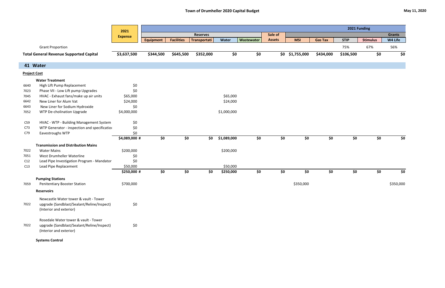|                     |                                                                                                                | 2021           |                  |                   |                 |             |            |               |                 |                |             | 2021 Funding    |               |
|---------------------|----------------------------------------------------------------------------------------------------------------|----------------|------------------|-------------------|-----------------|-------------|------------|---------------|-----------------|----------------|-------------|-----------------|---------------|
|                     |                                                                                                                | <b>Expense</b> |                  |                   | <b>Reserves</b> |             |            | Sale of       |                 |                |             |                 | <b>Grants</b> |
|                     |                                                                                                                |                | <b>Equipment</b> | <b>Facilities</b> | Transportati    | Water       | Wastewater | <b>Assets</b> | <b>MSI</b>      | <b>Gas Tax</b> | <b>STIP</b> | <b>Stimulus</b> | W4 Life       |
|                     | <b>Grant Proportion</b>                                                                                        |                |                  |                   |                 |             |            |               |                 |                | 75%         | 67%             | 56%           |
|                     | <b>Total General Revenue Supported Capital</b>                                                                 | \$3,637,500    | \$344,500        | \$645,500         | \$352,000       | \$0         | \$0        |               | \$0 \$1,755,000 | \$434,000      | \$106,500   | \$0             | \$0           |
|                     | 41 Water                                                                                                       |                |                  |                   |                 |             |            |               |                 |                |             |                 |               |
| <b>Project Cost</b> |                                                                                                                |                |                  |                   |                 |             |            |               |                 |                |             |                 |               |
|                     | <b>Water Treatment</b>                                                                                         |                |                  |                   |                 |             |            |               |                 |                |             |                 |               |
| 6640                | High Lift Pump Replacement                                                                                     | \$0            |                  |                   |                 |             |            |               |                 |                |             |                 |               |
| 7023                | Phase VII - Low Lift pump Upgrades                                                                             | \$0            |                  |                   |                 |             |            |               |                 |                |             |                 |               |
| 7045                | HVAC - Exhaust fans/make up air units                                                                          | \$65,000       |                  |                   |                 | \$65,000    |            |               |                 |                |             |                 |               |
| 6642                | New Liner for Alum Vat                                                                                         | \$24,000       |                  |                   |                 | \$24,000    |            |               |                 |                |             |                 |               |
| 6643                | New Liner for Sodium Hydroxide                                                                                 | \$0            |                  |                   |                 |             |            |               |                 |                |             |                 |               |
| 7052                | WTP De-cholination Upgrade                                                                                     | \$4,000,000    |                  |                   |                 | \$1,000,000 |            |               |                 |                |             |                 |               |
| C59                 | HVAC - WTP - Building Management System                                                                        | \$0            |                  |                   |                 |             |            |               |                 |                |             |                 |               |
| C <sub>73</sub>     | WTP Generator - inspection and specification                                                                   | \$0            |                  |                   |                 |             |            |               |                 |                |             |                 |               |
| C79                 | Eavestroughs WTP                                                                                               | \$0            |                  |                   |                 |             |            |               |                 |                |             |                 |               |
|                     |                                                                                                                | \$4,089,000 #  | \$0              | \$0               | \$0             | \$1,089,000 | \$0        | \$0           | \$0             | \$0            | \$0\$       | \$0             | \$0           |
|                     | <b>Transmission and Distribution Mains</b>                                                                     |                |                  |                   |                 |             |            |               |                 |                |             |                 |               |
| 7022                | <b>Water Mains</b>                                                                                             | \$200,000      |                  |                   |                 | \$200,000   |            |               |                 |                |             |                 |               |
| 7051                | West Drumheller Waterline                                                                                      | \$0            |                  |                   |                 |             |            |               |                 |                |             |                 |               |
| C12                 | Lead Pipe Investigation Program - Mandator                                                                     | \$0            |                  |                   |                 |             |            |               |                 |                |             |                 |               |
| C13                 | Lead Pipe Replacement                                                                                          | \$50,000       |                  |                   |                 | \$50,000    |            |               |                 |                |             |                 |               |
|                     |                                                                                                                | \$250,000 #    | \$0              | \$0               | \$0             | \$250,000   | \$0        | \$0           | \$0             | \$0            | \$0         | \$0             | \$0           |
|                     | <b>Pumping Stations</b>                                                                                        |                |                  |                   |                 |             |            |               |                 |                |             |                 |               |
| 7059                | <b>Penitentiary Booster Station</b>                                                                            | \$700,000      |                  |                   |                 |             |            |               | \$350,000       |                |             |                 | \$350,000     |
|                     | <b>Reservoirs</b>                                                                                              |                |                  |                   |                 |             |            |               |                 |                |             |                 |               |
| 7022                | Newcastle Water tower & vault - Tower<br>upgrade (Sandblast/Sealant/Reline/Inspect)<br>(Interior and exterior) | \$0            |                  |                   |                 |             |            |               |                 |                |             |                 |               |
| 7022                | Rosedale Water tower & vault - Tower<br>upgrade (Sandblast/Sealant/Reline/Inspect)<br>(Interior and exterior)  | \$0            |                  |                   |                 |             |            |               |                 |                |             |                 |               |
|                     | <b>Systems Control</b>                                                                                         |                |                  |                   |                 |             |            |               |                 |                |             |                 |               |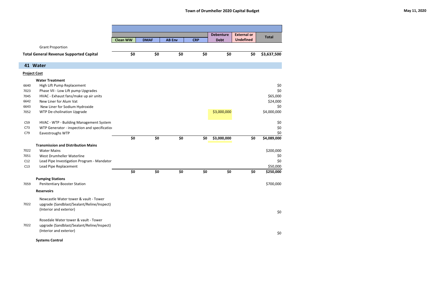|                 |                                                |                 |             |               |            | <b>Debenture</b> | <b>External or</b> | <b>Total</b> |
|-----------------|------------------------------------------------|-----------------|-------------|---------------|------------|------------------|--------------------|--------------|
|                 |                                                | <b>Clean WW</b> | <b>DMAF</b> | <b>AB Env</b> | <b>CRP</b> | <b>Debt</b>      | <b>Undefined</b>   |              |
|                 | <b>Grant Proportion</b>                        |                 |             |               |            |                  |                    |              |
|                 | <b>Total General Revenue Supported Capital</b> | \$0             | \$0         | \$0           | \$0        | \$0              | \$0                | \$3,637,500  |
|                 | 41 Water                                       |                 |             |               |            |                  |                    |              |
|                 | <b>Project Cost</b>                            |                 |             |               |            |                  |                    |              |
|                 | <b>Water Treatment</b>                         |                 |             |               |            |                  |                    |              |
| 6640            | High Lift Pump Replacement                     |                 |             |               |            |                  |                    | \$0          |
| 7023            | Phase VII - Low Lift pump Upgrades             |                 |             |               |            |                  |                    | \$0          |
| 7045            | HVAC - Exhaust fans/make up air units          |                 |             |               |            |                  |                    | \$65,000     |
| 6642            | New Liner for Alum Vat                         |                 |             |               |            |                  |                    | \$24,000     |
| 6643            | New Liner for Sodium Hydroxide                 |                 |             |               |            |                  |                    | \$0          |
| 7052            | WTP De-cholination Upgrade                     |                 |             |               |            | \$3,000,000      |                    | \$4,000,000  |
| C59             | HVAC - WTP - Building Management System        |                 |             |               |            |                  |                    | \$0          |
| C <sub>73</sub> | WTP Generator - inspection and specification   |                 |             |               |            |                  |                    | \$0          |
| C79             | Eavestroughs WTP                               |                 |             |               |            |                  |                    | \$0          |
|                 |                                                | \$0             | \$0         | \$0           | \$0        | \$3,000,000      | \$0                | \$4,089,000  |
|                 | <b>Transmission and Distribution Mains</b>     |                 |             |               |            |                  |                    |              |
| 7022            | <b>Water Mains</b>                             |                 |             |               |            |                  |                    | \$200,000    |
| 7051            | West Drumheller Waterline                      |                 |             |               |            |                  |                    | \$0          |
| C12             | Lead Pipe Investigation Program - Mandator     |                 |             |               |            |                  |                    | \$0          |
| C13             | Lead Pipe Replacement                          |                 |             |               |            |                  |                    | \$50,000     |
|                 |                                                | \$0             | \$0         | \$0           | \$0        | \$0              | \$0                | \$250,000    |
|                 | <b>Pumping Stations</b>                        |                 |             |               |            |                  |                    |              |
| 7059            | <b>Penitentiary Booster Station</b>            |                 |             |               |            |                  |                    | \$700,000    |
|                 | <b>Reservoirs</b>                              |                 |             |               |            |                  |                    |              |
|                 | Newcastle Water tower & vault - Tower          |                 |             |               |            |                  |                    |              |
| 7022            | upgrade (Sandblast/Sealant/Reline/Inspect)     |                 |             |               |            |                  |                    |              |
|                 | (Interior and exterior)                        |                 |             |               |            |                  |                    | \$0          |
|                 | Rosedale Water tower & vault - Tower           |                 |             |               |            |                  |                    |              |
| 7022            | upgrade (Sandblast/Sealant/Reline/Inspect)     |                 |             |               |            |                  |                    |              |
|                 | (Interior and exterior)                        |                 |             |               |            |                  |                    |              |
|                 |                                                |                 |             |               |            |                  |                    | \$0          |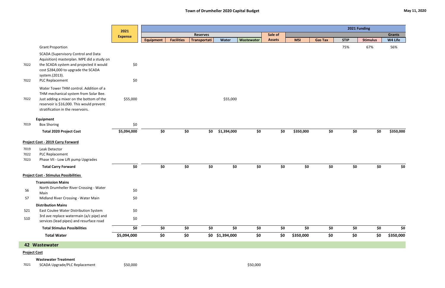|                      |                                                                                                                                                                                                                 | 2021           |                  |                   |                 |                 |            |               |            |                |             | 2021 Funding    |               |
|----------------------|-----------------------------------------------------------------------------------------------------------------------------------------------------------------------------------------------------------------|----------------|------------------|-------------------|-----------------|-----------------|------------|---------------|------------|----------------|-------------|-----------------|---------------|
|                      |                                                                                                                                                                                                                 | <b>Expense</b> |                  |                   | <b>Reserves</b> |                 |            | Sale of       |            |                |             |                 | <b>Grants</b> |
|                      |                                                                                                                                                                                                                 |                | <b>Equipment</b> | <b>Facilities</b> | Transportati    | Water           | Wastewater | <b>Assets</b> | <b>MSI</b> | <b>Gas Tax</b> | <b>STIP</b> | <b>Stimulus</b> | W4 Life       |
|                      | <b>Grant Proportion</b>                                                                                                                                                                                         |                |                  |                   |                 |                 |            |               |            |                | 75%         | 67%             | 56%           |
| 7022<br>7022         | <b>SCADA (Supervisory Control and Data</b><br>Aquisition) masterplan. MPE did a study on<br>the SCADA system and projected it would<br>cost \$284,000 to upgrade the SCADA<br>system.(2013).<br>PLC Replacement | \$0<br>\$0     |                  |                   |                 |                 |            |               |            |                |             |                 |               |
|                      |                                                                                                                                                                                                                 |                |                  |                   |                 |                 |            |               |            |                |             |                 |               |
| 7022                 | Water Tower THM control. Addition of a<br>THM mechanical system from Solar Bee.<br>Just adding a mixer on the bottom of the<br>reservoir is \$16,000. This would prevent<br>stratification in the reservoirs.   | \$55,000       |                  |                   |                 | \$55,000        |            |               |            |                |             |                 |               |
|                      | Equipment                                                                                                                                                                                                       |                |                  |                   |                 |                 |            |               |            |                |             |                 |               |
| 7019                 | <b>Box Shoring</b>                                                                                                                                                                                              | \$0            |                  |                   |                 |                 |            |               |            |                |             |                 |               |
|                      | <b>Total 2020 Project Cost</b>                                                                                                                                                                                  | \$5,094,000    | \$0              |                   | \$0<br>\$0      | \$1,394,000     | \$0        | \$0           | \$350,000  | \$0            | \$0         | \$0             | \$350,000     |
|                      | <b>Project Cost - 2019 Carry Forward</b>                                                                                                                                                                        |                |                  |                   |                 |                 |            |               |            |                |             |                 |               |
| 7019<br>7022<br>7023 | Leak Detector<br>PLC Replacement<br>Phase VII - Low Lift pump Upgrades                                                                                                                                          |                |                  |                   |                 |                 |            |               |            |                |             |                 |               |
|                      | <b>Total Carry Forward</b>                                                                                                                                                                                      | \$0            | \$0              |                   | \$0<br>\$0      | \$0             | \$0        | \$0           | \$0        | \$0            | \$0         | \$0             | \$0           |
|                      | <b>Project Cost - Stimulus Possibilities</b>                                                                                                                                                                    |                |                  |                   |                 |                 |            |               |            |                |             |                 |               |
|                      | <b>Transmission Mains</b>                                                                                                                                                                                       |                |                  |                   |                 |                 |            |               |            |                |             |                 |               |
| S <sub>6</sub>       | North Drumheller River Crossing - Water<br>Main                                                                                                                                                                 | \$0            |                  |                   |                 |                 |            |               |            |                |             |                 |               |
| S7                   | Midland River Crossing - Water Main                                                                                                                                                                             | \$0            |                  |                   |                 |                 |            |               |            |                |             |                 |               |
|                      | <b>Distribution Mains</b>                                                                                                                                                                                       |                |                  |                   |                 |                 |            |               |            |                |             |                 |               |
| S21                  | East Coulee Water Distribution System                                                                                                                                                                           | \$0            |                  |                   |                 |                 |            |               |            |                |             |                 |               |
| <b>S10</b>           | 3rd ave replace watermain (a/c pipe) and<br>services (lead pipes) and resurface road                                                                                                                            | \$0            |                  |                   |                 |                 |            |               |            |                |             |                 |               |
|                      | <b>Total Stimulus Possibilities</b>                                                                                                                                                                             | \$0            | \$0              |                   | \$0<br>\$0      | \$0             | \$0        | \$0           | \$0        | \$0            | \$0         | \$0             | \$0           |
|                      | <b>Total Water</b>                                                                                                                                                                                              | \$5,094,000    | \$0              |                   | \$0             | \$0 \$1,394,000 | \$0        | \$0           | \$350,000  | \$0            | \$0         | \$0             | \$350,000     |
|                      | 42 Wastewater                                                                                                                                                                                                   |                |                  |                   |                 |                 |            |               |            |                |             |                 |               |
| <b>Project Cost</b>  |                                                                                                                                                                                                                 |                |                  |                   |                 |                 |            |               |            |                |             |                 |               |
|                      | <b>Wastewater Treatment</b>                                                                                                                                                                                     |                |                  |                   |                 |                 |            |               |            |                |             |                 |               |
| 7021                 | SCADA Upgrade/PLC Replacement                                                                                                                                                                                   | \$50,000       |                  |                   |                 |                 | \$50,000   |               |            |                |             |                 |               |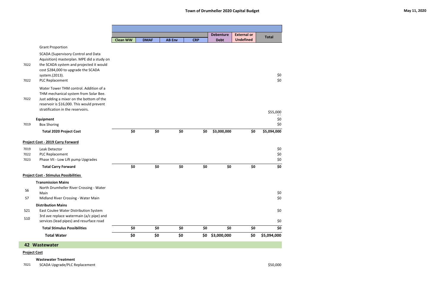|                |                                                                                                                                                                                                               |                 |             |               |            | <b>Debenture</b> | <b>External or</b> | <b>Total</b> |
|----------------|---------------------------------------------------------------------------------------------------------------------------------------------------------------------------------------------------------------|-----------------|-------------|---------------|------------|------------------|--------------------|--------------|
|                |                                                                                                                                                                                                               | <b>Clean WW</b> | <b>DMAF</b> | <b>AB Env</b> | <b>CRP</b> | <b>Debt</b>      | <b>Undefined</b>   |              |
|                | <b>Grant Proportion</b>                                                                                                                                                                                       |                 |             |               |            |                  |                    |              |
| 7022           | <b>SCADA (Supervisory Control and Data</b><br>Aquisition) masterplan. MPE did a study on<br>the SCADA system and projected it would<br>cost \$284,000 to upgrade the SCADA<br>system.(2013).                  |                 |             |               |            |                  |                    | \$0          |
| 7022           | PLC Replacement                                                                                                                                                                                               |                 |             |               |            |                  |                    | \$0\$        |
| 7022           | Water Tower THM control. Addition of a<br>THM mechanical system from Solar Bee.<br>Just adding a mixer on the bottom of the<br>reservoir is \$16,000. This would prevent<br>stratification in the reservoirs. |                 |             |               |            |                  |                    |              |
|                |                                                                                                                                                                                                               |                 |             |               |            |                  |                    | \$55,000     |
|                | Equipment                                                                                                                                                                                                     |                 |             |               |            |                  |                    | \$0          |
| 7019           | <b>Box Shoring</b>                                                                                                                                                                                            |                 |             |               |            |                  |                    | \$0          |
|                | <b>Total 2020 Project Cost</b>                                                                                                                                                                                | \$0             | \$0         | \$0           | \$0        | \$3,000,000      | \$0                | \$5,094,000  |
|                | <b>Project Cost - 2019 Carry Forward</b>                                                                                                                                                                      |                 |             |               |            |                  |                    |              |
| 7019           | Leak Detector                                                                                                                                                                                                 |                 |             |               |            |                  |                    | \$0          |
| 7022           | PLC Replacement                                                                                                                                                                                               |                 |             |               |            |                  |                    | \$0          |
| 7023           | Phase VII - Low Lift pump Upgrades                                                                                                                                                                            |                 |             |               |            |                  |                    | \$0          |
|                | <b>Total Carry Forward</b>                                                                                                                                                                                    | \$0             | \$0         | \$0           | \$0        | \$0              | \$0                | \$0          |
|                | <b>Project Cost - Stimulus Possibilities</b>                                                                                                                                                                  |                 |             |               |            |                  |                    |              |
| S <sub>6</sub> | <b>Transmission Mains</b><br>North Drumheller River Crossing - Water<br>Main                                                                                                                                  |                 |             |               |            |                  |                    | \$0          |
| S7             | Midland River Crossing - Water Main                                                                                                                                                                           |                 |             |               |            |                  |                    | \$0          |
|                | <b>Distribution Mains</b>                                                                                                                                                                                     |                 |             |               |            |                  |                    |              |
| <b>S21</b>     | East Coulee Water Distribution System                                                                                                                                                                         |                 |             |               |            |                  |                    | \$0          |
| <b>S10</b>     | 3rd ave replace watermain (a/c pipe) and<br>services (lead pipes) and resurface road                                                                                                                          |                 |             |               |            |                  |                    | \$0          |
|                | <b>Total Stimulus Possibilities</b>                                                                                                                                                                           | \$0             | \$0         | \$0           | \$0        | \$0              | \$0                | \$0          |
|                | <b>Total Water</b>                                                                                                                                                                                            | \$0             | \$0         | \$0           | \$0        | \$3,000,000      | \$0                | \$5,094,000  |
|                | 42 Wastewater                                                                                                                                                                                                 |                 |             |               |            |                  |                    |              |

#### **Project Cost**

#### **Wastewater Treatment**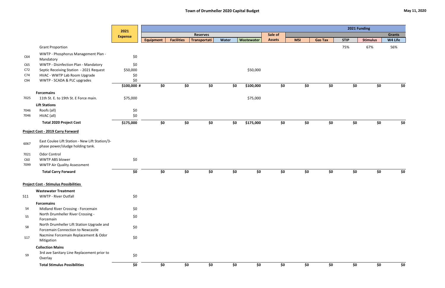|                        |                                                                                    | 2021            | 2021 Funding     |                   |                 |       |            |               |            |                |             |                 |               |
|------------------------|------------------------------------------------------------------------------------|-----------------|------------------|-------------------|-----------------|-------|------------|---------------|------------|----------------|-------------|-----------------|---------------|
|                        |                                                                                    | <b>Expense</b>  |                  |                   | <b>Reserves</b> |       |            | Sale of       |            |                |             |                 | <b>Grants</b> |
|                        |                                                                                    |                 | <b>Equipment</b> | <b>Facilities</b> | Transportati    | Water | Wastewater | <b>Assets</b> | <b>MSI</b> | <b>Gas Tax</b> | <b>STIP</b> | <b>Stimulus</b> | W4 Life       |
|                        | <b>Grant Proportion</b>                                                            |                 |                  |                   |                 |       |            |               |            |                | 75%         | 67%             | 56%           |
| C64                    | WWTP - Phosphorus Management Plan -<br>Mandatory                                   | \$0             |                  |                   |                 |       |            |               |            |                |             |                 |               |
| C65                    | WWTP - Disinfection Plan - Mandatory                                               | \$0             |                  |                   |                 |       |            |               |            |                |             |                 |               |
| C72<br>C <sub>74</sub> | Septic Receiving Station - 2021 Request<br>HVAC - WWTP Lab Room Upgrade            | \$50,000<br>\$0 |                  |                   |                 |       | \$50,000   |               |            |                |             |                 |               |
| C94                    | WWTP - SCADA & PLC upgrades                                                        | \$0             |                  |                   |                 |       |            |               |            |                |             |                 |               |
|                        |                                                                                    | \$100,000 #     | \$0              | \$0               | \$0             | \$0\$ | \$100,000  | \$0           | \$0        | \$0            | \$0         | \$0             | \$0           |
| 7025                   | <b>Forcemains</b><br>11th St. E. to 19th St. E Force main.                         | \$75,000        |                  |                   |                 |       | \$75,000   |               |            |                |             |                 |               |
|                        | <b>Lift Stations</b>                                                               |                 |                  |                   |                 |       |            |               |            |                |             |                 |               |
| 7046                   | Roofs (all)                                                                        | \$0             |                  |                   |                 |       |            |               |            |                |             |                 |               |
| 7046                   | HVAC (all)                                                                         | \$0             |                  |                   |                 |       |            |               |            |                |             |                 |               |
|                        | <b>Total 2020 Project Cost</b>                                                     | \$175,000       | \$0              | \$0               | \$0             | \$0   | \$175,000  | \$0           | \$0        | \$0            | \$0         | \$0             | \$0           |
|                        | <b>Project Cost - 2019 Carry Forward</b>                                           |                 |                  |                   |                 |       |            |               |            |                |             |                 |               |
| 6067                   | East Coulee Lift Station - New Lift Station/3-<br>phase power/sludge holding tank. |                 |                  |                   |                 |       |            |               |            |                |             |                 |               |
| 7021<br>C60            | Odor Control<br><b>WWTP ABS blower</b>                                             | \$0             |                  |                   |                 |       |            |               |            |                |             |                 |               |
| 7099                   | <b>WWTP Air Quality Assessment</b>                                                 |                 |                  |                   |                 |       |            |               |            |                |             |                 |               |
|                        | <b>Total Carry Forward</b>                                                         | \$0             | \$0              | \$0               | \$0             | \$0   | \$0        | \$0           | \$0        | \$0            | \$0         | \$0             | \$0           |
|                        | <b>Project Cost - Stimulus Possibilities</b>                                       |                 |                  |                   |                 |       |            |               |            |                |             |                 |               |
|                        | <b>Wastewater Treatment</b>                                                        |                 |                  |                   |                 |       |            |               |            |                |             |                 |               |
| <b>S11</b>             | <b>WWTP - River Outfall</b>                                                        | \$0             |                  |                   |                 |       |            |               |            |                |             |                 |               |
|                        | <b>Forcemains</b>                                                                  |                 |                  |                   |                 |       |            |               |            |                |             |                 |               |
| S <sub>4</sub>         | Midland River Crossing - Forcemain                                                 | \$0             |                  |                   |                 |       |            |               |            |                |             |                 |               |
| S <sub>5</sub>         | North Drumheller River Crossing -<br>Forcemain                                     | \$0             |                  |                   |                 |       |            |               |            |                |             |                 |               |
| S8                     | North Drumheller Lift Station Upgrade and<br>Forcemain Connection to Newcastle     | \$0             |                  |                   |                 |       |            |               |            |                |             |                 |               |
| <b>S17</b>             | Nacmine Forcemain Replacement & Odor<br>Mitigation                                 | \$0             |                  |                   |                 |       |            |               |            |                |             |                 |               |
|                        | <b>Collection Mains</b>                                                            |                 |                  |                   |                 |       |            |               |            |                |             |                 |               |
| <b>S9</b>              | 3rd ave Sanitary Line Replacement prior to<br>Overlay                              | \$0             |                  |                   |                 |       |            |               |            |                |             |                 |               |
|                        | <b>Total Stimulus Possibilities</b>                                                | \$0             | \$0              | \$0               | \$0             | \$0   | \$0        | \$0           | \$0        | \$0            | \$0         | \$0             | \$0           |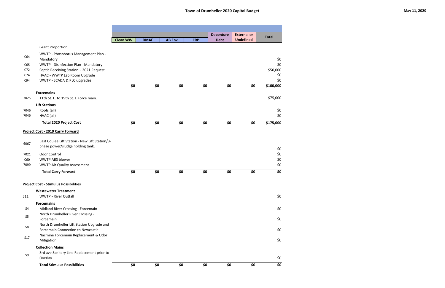|                          |                                                                                                                                                                     | <b>Clean WW</b> | <b>DMAF</b> | <b>AB Env</b> | <b>CRP</b> | <b>Debenture</b><br><b>Debt</b> | <b>External or</b><br><b>Undefined</b> | <b>Total</b>                  |
|--------------------------|---------------------------------------------------------------------------------------------------------------------------------------------------------------------|-----------------|-------------|---------------|------------|---------------------------------|----------------------------------------|-------------------------------|
|                          | <b>Grant Proportion</b>                                                                                                                                             |                 |             |               |            |                                 |                                        |                               |
| C64<br>C65<br>C72<br>C74 | WWTP - Phosphorus Management Plan -<br>Mandatory<br>WWTP - Disinfection Plan - Mandatory<br>Septic Receiving Station - 2021 Request<br>HVAC - WWTP Lab Room Upgrade |                 |             |               |            |                                 |                                        | \$0<br>\$0<br>\$50,000<br>\$0 |
| C94                      | WWTP - SCADA & PLC upgrades                                                                                                                                         | \$0             | \$0         | \$0           | \$0        | \$0                             | \$0                                    | \$0<br>\$100,000              |
| 7025                     | <b>Forcemains</b><br>11th St. E. to 19th St. E Force main.                                                                                                          |                 |             |               |            |                                 |                                        | \$75,000                      |
| 7046<br>7046             | <b>Lift Stations</b><br>Roofs (all)<br>HVAC (all)                                                                                                                   |                 |             |               |            |                                 |                                        | \$0<br>\$0                    |
|                          | <b>Total 2020 Project Cost</b>                                                                                                                                      | \$0             | \$0         | \$0           | \$0        | \$0                             | \$0                                    | \$175,000                     |
|                          | Project Cost - 2019 Carry Forward                                                                                                                                   |                 |             |               |            |                                 |                                        |                               |
| 6067                     | East Coulee Lift Station - New Lift Station/3-<br>phase power/sludge holding tank.                                                                                  |                 |             |               |            |                                 |                                        | \$0                           |
| 7021<br>C60<br>7099      | <b>Odor Control</b><br><b>WWTP ABS blower</b><br><b>WWTP Air Quality Assessment</b>                                                                                 |                 |             |               |            |                                 |                                        | $$0$$<br>$$0$$<br>\$0         |
|                          | <b>Total Carry Forward</b>                                                                                                                                          | \$0             | \$0         | \$0           | \$0        | \$0                             | \$0                                    | \$0                           |
|                          | <b>Project Cost - Stimulus Possibilities</b>                                                                                                                        |                 |             |               |            |                                 |                                        |                               |
| <b>S11</b>               | <b>Wastewater Treatment</b><br><b>WWTP - River Outfall</b>                                                                                                          |                 |             |               |            |                                 |                                        | \$0                           |
| S4                       | <b>Forcemains</b><br>Midland River Crossing - Forcemain<br>North Drumheller River Crossing -                                                                        |                 |             |               |            |                                 |                                        | \$0                           |
| S <sub>5</sub><br>S8     | Forcemain<br>North Drumheller Lift Station Upgrade and                                                                                                              |                 |             |               |            |                                 |                                        | \$0                           |
| <b>S17</b>               | <b>Forcemain Connection to Newcastle</b><br>Nacmine Forcemain Replacement & Odor                                                                                    |                 |             |               |            |                                 |                                        | \$0<br>\$0                    |
|                          | Mitigation<br><b>Collection Mains</b>                                                                                                                               |                 |             |               |            |                                 |                                        |                               |
| S <sub>9</sub>           | 3rd ave Sanitary Line Replacement prior to<br>Overlay                                                                                                               |                 |             |               |            |                                 |                                        | \$0                           |
|                          | <b>Total Stimulus Possibilities</b>                                                                                                                                 | \$0             | \$0         | \$0           | \$0        | \$0                             | \$0                                    | \$0                           |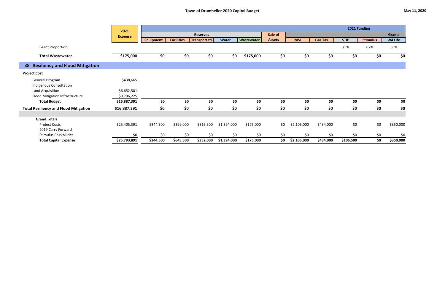|                                              | 2021           |                  |                   |                 |             |            |               |             |                |             | 2021 Funding    |               |
|----------------------------------------------|----------------|------------------|-------------------|-----------------|-------------|------------|---------------|-------------|----------------|-------------|-----------------|---------------|
|                                              | <b>Expense</b> |                  |                   | <b>Reserves</b> |             |            | Sale of       |             |                |             |                 | <b>Grants</b> |
|                                              |                | <b>Equipment</b> | <b>Facilities</b> | Transportati    | Water       | Wastewater | <b>Assets</b> | <b>MSI</b>  | <b>Gas Tax</b> | <b>STIP</b> | <b>Stimulus</b> | W4 Life       |
| <b>Grant Proportion</b>                      |                |                  |                   |                 |             |            |               |             |                | 75%         | 67%             | 56%           |
| <b>Total Wastewater</b>                      | \$175,000      | \$0              | \$0               | \$0             | \$0         | \$175,000  | \$0           | \$0         | \$0            | \$0         | \$0             | \$0           |
| 38 Resiliency and Flood Mitigation           |                |                  |                   |                 |             |            |               |             |                |             |                 |               |
| <b>Project Cost</b>                          |                |                  |                   |                 |             |            |               |             |                |             |                 |               |
| General Program                              | \$438,665      |                  |                   |                 |             |            |               |             |                |             |                 |               |
| <b>Indigenous Consultation</b>               |                |                  |                   |                 |             |            |               |             |                |             |                 |               |
| Land Acquisition                             | \$6,652,501    |                  |                   |                 |             |            |               |             |                |             |                 |               |
| Flood Mitigation Infrastructure              | \$9,796,225    |                  |                   |                 |             |            |               |             |                |             |                 |               |
| <b>Total Budget</b>                          | \$16,887,391   | \$0              | \$0               | \$0             | \$0         | \$0        | \$0           | \$0         | \$0            | \$0         | \$0             | \$0           |
| <b>Total Resiliency and Flood Mitigation</b> | \$16,887,391   | \$0              | \$0               | \$0             | \$0         | \$0        | \$0           | \$0         | \$0            | \$0         | \$0             | \$0           |
| <b>Grand Totals</b>                          |                |                  |                   |                 |             |            |               |             |                |             |                 |               |
| <b>Project Costs</b>                         | \$25,405,391   | \$344,500        | \$399,000         | \$316,500       | \$1,394,000 | \$175,000  | \$0           | \$2,105,000 | \$434,000      | \$0         | \$0             | \$350,000     |
| 2019 Carry Forward                           |                |                  |                   |                 |             |            |               |             |                |             |                 |               |
| <b>Stimulus Possibilities</b>                | \$0            | \$0              | \$0               | \$0             | \$0         | \$0        | \$0           | \$0         | \$0            | \$0         | \$0             | \$0           |
| <b>Total Capital Expense</b>                 | \$25,793,891   | \$344,500        | \$645,500         | \$352,000       | \$1,394,000 | \$175,000  | \$0           | \$2,105,000 | \$434,000      | \$106,500   | \$0             | \$350,000     |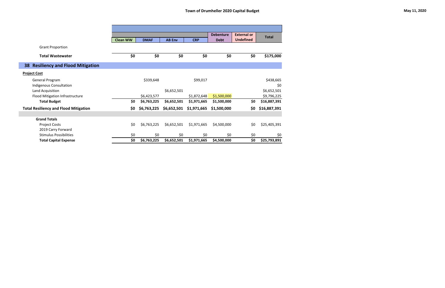|                                                           |                 |             |               |             | <b>Debenture</b> | <b>External or</b> |              |
|-----------------------------------------------------------|-----------------|-------------|---------------|-------------|------------------|--------------------|--------------|
|                                                           | <b>Clean WW</b> | <b>DMAF</b> | <b>AB Env</b> | <b>CRP</b>  | <b>Debt</b>      | <b>Undefined</b>   | <b>Total</b> |
| <b>Grant Proportion</b>                                   |                 |             |               |             |                  |                    |              |
|                                                           |                 |             |               |             |                  |                    |              |
| <b>Total Wastewater</b>                                   | \$0             | \$0         | \$0           | \$0         | \$0              | \$0                | \$175,000    |
| <b>Resiliency and Flood Mitigation</b><br>38 <sup>°</sup> |                 |             |               |             |                  |                    |              |
| <b>Project Cost</b>                                       |                 |             |               |             |                  |                    |              |
| General Program                                           |                 | \$339,648   |               | \$99,017    |                  |                    | \$438,665    |
| Indigenous Consultation                                   |                 |             |               |             |                  |                    | \$0          |
| Land Acquisition                                          |                 |             | \$6,652,501   |             |                  |                    | \$6,652,501  |
| Flood Mitigation Infrastructure                           |                 | \$6,423,577 |               | \$1,872,648 | \$1,500,000      |                    | \$9,796,225  |
| <b>Total Budget</b>                                       | \$0             | \$6,763,225 | \$6,652,501   | \$1,971,665 | \$1,500,000      | \$0                | \$16,887,391 |
| <b>Total Resiliency and Flood Mitigation</b>              | \$0             | \$6,763,225 | \$6,652,501   | \$1,971,665 | \$1,500,000      | \$0                | \$16,887,391 |
|                                                           |                 |             |               |             |                  |                    |              |
| <b>Grand Totals</b>                                       |                 |             |               |             |                  |                    |              |
| <b>Project Costs</b>                                      | \$0             | \$6,763,225 | \$6,652,501   | \$1,971,665 | \$4,500,000      | \$0                | \$25,405,391 |
| 2019 Carry Forward                                        |                 |             |               |             |                  |                    |              |
| <b>Stimulus Possibilities</b>                             | \$0             | \$0         | \$0           | \$0         | \$0              | \$0                | \$0          |
| <b>Total Capital Expense</b>                              | \$0             | \$6,763,225 | \$6,652,501   | \$1,971,665 | \$4,500,000      | \$0                | \$25,793,891 |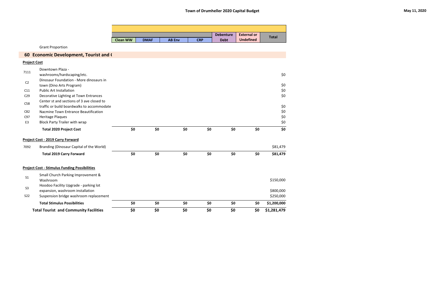|                     |                                                      |                 |             |               |            | <b>Debenture</b> | <b>External or</b> |              |
|---------------------|------------------------------------------------------|-----------------|-------------|---------------|------------|------------------|--------------------|--------------|
|                     |                                                      | <b>Clean WW</b> | <b>DMAF</b> | <b>AB Env</b> | <b>CRP</b> | <b>Debt</b>      | <b>Undefined</b>   | <b>Total</b> |
|                     | <b>Grant Proportion</b>                              |                 |             |               |            |                  |                    |              |
|                     | 60 Economic Development, Tourist and (               |                 |             |               |            |                  |                    |              |
| <b>Project Cost</b> |                                                      |                 |             |               |            |                  |                    |              |
|                     | Downtown Plaza -                                     |                 |             |               |            |                  |                    |              |
| 7111                | washrooms/hardscaping/etc.                           |                 |             |               |            |                  |                    | \$0          |
| C <sub>2</sub>      | Dinosaur Foundation - More dinosaurs in              |                 |             |               |            |                  |                    |              |
|                     | town (Dino Arts Program)                             |                 |             |               |            |                  |                    | \$0          |
| C11                 | <b>Public Art Installation</b>                       |                 |             |               |            |                  |                    | \$0          |
| C <sub>29</sub>     | Decorative Lighting at Town Entrances                |                 |             |               |            |                  |                    | \$0          |
| C58                 | Center st and sections of 3 ave closed to            |                 |             |               |            |                  |                    |              |
|                     | traffic or build boardwalks to accommodate           |                 |             |               |            |                  |                    | \$0          |
| C82                 | Nacmine Town Entrance Beautification                 |                 |             |               |            |                  |                    | \$0          |
| C97                 | <b>Heritage Plaques</b>                              |                 |             |               |            |                  |                    | \$0          |
| E <sub>3</sub>      | <b>Block Party Trailer with wrap</b>                 |                 |             |               |            |                  |                    | \$0          |
|                     | <b>Total 2020 Project Cost</b>                       | \$0             | \$0         | \$0           | \$0        | \$0              | \$0                | \$0          |
|                     | <b>Project Cost - 2019 Carry Forward</b>             |                 |             |               |            |                  |                    |              |
| 7092                | Branding (Dinosaur Capital of the World)             |                 |             |               |            |                  |                    | \$81,479     |
|                     | <b>Total 2019 Carry Forward</b>                      | \$0             | \$0         | \$0           | \$0        | \$0              | \$0                | \$81,479     |
|                     | <b>Project Cost - Stimulus Funding Possibilities</b> |                 |             |               |            |                  |                    |              |
| S <sub>1</sub>      | Small Church Parking Improvement &                   |                 |             |               |            |                  |                    |              |
|                     | Washroom                                             |                 |             |               |            |                  |                    | \$150,000    |
| S <sub>3</sub>      | Hoodoo Facility Upgrade - parking lot                |                 |             |               |            |                  |                    |              |
|                     | expansion, washroom installation                     |                 |             |               |            |                  |                    | \$800,000    |
| S <sub>22</sub>     | Suspension bridge washroom replacement               |                 |             |               |            |                  |                    | \$250,000    |
|                     | <b>Total Stimulus Possibilities</b>                  | \$0             | \$0         | \$0           | \$0        | \$0              | \$0                | \$1,200,000  |
|                     | <b>Total Tourist and Community Facilities</b>        | \$0             | \$0         | \$0           | \$0        | \$0              | \$0                | \$1,281,479  |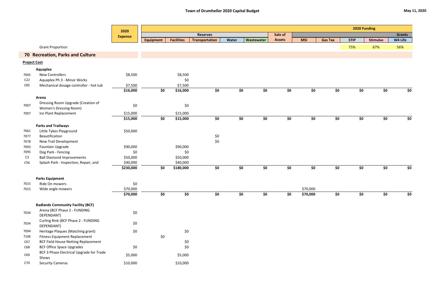|                     |                                                   | 2020           |                  |                   |                       |       |            |               |            | 2020 Funding<br><b>Stimulus</b><br><b>Gas Tax</b><br><b>STIP</b> |     |     |               |
|---------------------|---------------------------------------------------|----------------|------------------|-------------------|-----------------------|-------|------------|---------------|------------|------------------------------------------------------------------|-----|-----|---------------|
|                     |                                                   | <b>Expense</b> |                  |                   | <b>Reserves</b>       |       |            | Sale of       |            |                                                                  |     |     | <b>Grants</b> |
|                     |                                                   |                | <b>Equipment</b> | <b>Facilities</b> | <b>Transportation</b> | Water | Wastewater | <b>Assets</b> | <b>MSI</b> |                                                                  |     |     | W4 Life       |
|                     | <b>Grant Proportion</b>                           |                |                  |                   |                       |       |            |               |            |                                                                  | 75% | 67% | 56%           |
|                     | 70 Recreation, Parks and Culture                  |                |                  |                   |                       |       |            |               |            |                                                                  |     |     |               |
| <b>Project Cost</b> |                                                   |                |                  |                   |                       |       |            |               |            |                                                                  |     |     |               |
|                     | <b>Aquaplex</b>                                   |                |                  |                   |                       |       |            |               |            |                                                                  |     |     |               |
| 7005                | <b>New Controllers</b>                            | \$8,500        |                  | \$8,500           |                       |       |            |               |            |                                                                  |     |     |               |
| C <sub>22</sub>     | Aquaplex Ph 3 - Minor Works                       |                |                  | \$0               |                       |       |            |               |            |                                                                  |     |     |               |
| C85                 | Mechanical dosage controller - hot tub            | \$7,500        |                  | \$7,500           |                       |       |            |               |            |                                                                  |     |     |               |
|                     |                                                   | \$16,000       | \$0              | \$16,000          | \$0                   | \$0   | \$0        | \$0           | \$0        | \$0                                                              | \$0 | \$0 | \$0           |
|                     | Arena                                             |                |                  |                   |                       |       |            |               |            |                                                                  |     |     |               |
| 7007                | Dressing Room Upgrade (Creation of                | \$0            |                  | $$0$$             |                       |       |            |               |            |                                                                  |     |     |               |
|                     | <b>Women's Dressing Room)</b>                     |                |                  |                   |                       |       |            |               |            |                                                                  |     |     |               |
| 7007                | Ice Plant Replacement                             | \$15,000       |                  | \$15,000          |                       |       |            |               |            |                                                                  |     |     |               |
|                     |                                                   | \$15,000       | \$0              | \$15,000          | \$0                   | \$0   | \$0        | \$0           | \$0        | \$0                                                              | \$0 | \$0 | \$0           |
|                     | <b>Parks and Trailways</b>                        |                |                  |                   |                       |       |            |               |            |                                                                  |     |     |               |
| 7061                | Little Tykes Playground                           | \$50,000       |                  |                   |                       |       |            |               |            |                                                                  |     |     |               |
| 7077                | Beautification                                    |                |                  |                   | $$0$$                 |       |            |               |            |                                                                  |     |     |               |
| 7078                | New Trail Development                             |                |                  |                   | \$0                   |       |            |               |            |                                                                  |     |     |               |
| 7093                | Fountain Upgrade                                  | \$90,000       |                  | \$90,000          |                       |       |            |               |            |                                                                  |     |     |               |
| 7095                | Dog Park - Fencing                                | \$0            |                  | \$0               |                       |       |            |               |            |                                                                  |     |     |               |
| C <sub>3</sub>      | <b>Ball Diamond Improvements</b>                  | \$50,000       |                  | \$50,000          |                       |       |            |               |            |                                                                  |     |     |               |
| C56                 | Splash Park - Inspection, Repair, and             | \$40,000       |                  | \$40,000          |                       |       |            |               |            |                                                                  |     |     |               |
|                     |                                                   | \$230,000      | \$0              | \$180,000         | \$0                   | \$0   | \$0        | \$0           | \$0        | \$0                                                              | \$0 | \$0 | \$0           |
|                     | <b>Parks Equipment</b>                            |                |                  |                   |                       |       |            |               |            |                                                                  |     |     |               |
| 7015                | Ride On mowers                                    | \$0            |                  |                   |                       |       |            |               |            |                                                                  |     |     |               |
| 7015                | Wide angle mowers                                 | \$70,000       |                  |                   |                       |       |            |               | \$70,000   |                                                                  |     |     |               |
|                     |                                                   | \$70,000       | \$0              | \$0               | \$0                   | \$0   | \$0        | \$0           | \$70,000   | \$0                                                              | \$0 | \$0 | \$0           |
|                     | <b>Badlands Community Facility (BCF)</b>          |                |                  |                   |                       |       |            |               |            |                                                                  |     |     |               |
|                     | Arena (BCF Phase 2 - FUNDING                      |                |                  |                   |                       |       |            |               |            |                                                                  |     |     |               |
| 7034                | DEPENDANT)                                        | \$0            |                  |                   |                       |       |            |               |            |                                                                  |     |     |               |
|                     | Curling Rink (BCF Phase 2 - FUNDING               |                |                  |                   |                       |       |            |               |            |                                                                  |     |     |               |
| 7034                | DEPENDANT)                                        | \$0            |                  |                   |                       |       |            |               |            |                                                                  |     |     |               |
| 7094                | Heritage Plaques (Matching grant)                 | \$0            |                  | \$0               |                       |       |            |               |            |                                                                  |     |     |               |
| 7106                | <b>Fitness Equipment Replacement</b>              |                | \$0              |                   |                       |       |            |               |            |                                                                  |     |     |               |
| C67                 | BCF Field House Netting Replacement               |                |                  | \$0               |                       |       |            |               |            |                                                                  |     |     |               |
| C68                 | <b>BCF Office Space Upgrades</b>                  | \$0            |                  | \$0               |                       |       |            |               |            |                                                                  |     |     |               |
| C69                 | BCF 3 Phase Electrical Upgrade for Trade<br>Shows | \$5,000        |                  | \$5,000           |                       |       |            |               |            |                                                                  |     |     |               |
| C70                 | <b>Security Cameras</b>                           | \$10,000       |                  | \$10,000          |                       |       |            |               |            |                                                                  |     |     |               |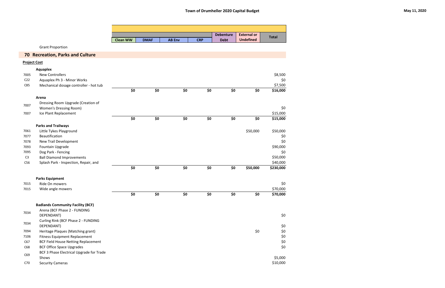|                 |                                            |                 |             |               |            | <b>Debenture</b> | <b>External or</b> | <b>Total</b> |
|-----------------|--------------------------------------------|-----------------|-------------|---------------|------------|------------------|--------------------|--------------|
|                 |                                            | <b>Clean WW</b> | <b>DMAF</b> | <b>AB Env</b> | <b>CRP</b> | <b>Debt</b>      | <b>Undefined</b>   |              |
|                 | <b>Grant Proportion</b>                    |                 |             |               |            |                  |                    |              |
|                 | <b>70 Recreation, Parks and Culture</b>    |                 |             |               |            |                  |                    |              |
|                 | <b>Project Cost</b>                        |                 |             |               |            |                  |                    |              |
|                 | <b>Aquaplex</b>                            |                 |             |               |            |                  |                    |              |
| 7005            | <b>New Controllers</b>                     |                 |             |               |            |                  |                    | \$8,500      |
| C <sub>22</sub> | Aquaplex Ph 3 - Minor Works                |                 |             |               |            |                  |                    | \$0          |
| C85             | Mechanical dosage controller - hot tub     |                 |             |               |            |                  |                    | \$7,500      |
|                 |                                            | \$0             | \$0         | \$0           | \$0        | \$0              | \$0                | \$16,000     |
|                 | Arena                                      |                 |             |               |            |                  |                    |              |
|                 | Dressing Room Upgrade (Creation of         |                 |             |               |            |                  |                    |              |
| 7007            | Women's Dressing Room)                     |                 |             |               |            |                  |                    | \$0          |
| 7007            | Ice Plant Replacement                      |                 |             |               |            |                  |                    | \$15,000     |
|                 |                                            | \$0             | \$0         | \$0           | \$0        | \$0              | \$0                | \$15,000     |
|                 | <b>Parks and Trailways</b>                 |                 |             |               |            |                  |                    |              |
| 7061            | Little Tykes Playground                    |                 |             |               |            |                  | \$50,000           | \$50,000     |
| 7077            | Beautification                             |                 |             |               |            |                  |                    | \$0          |
| 7078            | New Trail Development                      |                 |             |               |            |                  |                    | \$0          |
| 7093            | Fountain Upgrade                           |                 |             |               |            |                  |                    | \$90,000     |
| 7095            | Dog Park - Fencing                         |                 |             |               |            |                  |                    | \$0          |
| C <sub>3</sub>  | <b>Ball Diamond Improvements</b>           |                 |             |               |            |                  |                    | \$50,000     |
| C56             | Splash Park - Inspection, Repair, and      |                 |             |               |            |                  |                    | \$40,000     |
|                 |                                            | \$0             | \$0         | \$0           | \$0        | \$0              | \$50,000           | \$230,000    |
|                 |                                            |                 |             |               |            |                  |                    |              |
|                 | <b>Parks Equipment</b>                     |                 |             |               |            |                  |                    |              |
| 7015            | Ride On mowers                             |                 |             |               |            |                  |                    | \$0          |
| 7015            | Wide angle mowers                          |                 |             |               |            |                  |                    | \$70,000     |
|                 |                                            | \$0             | \$0         | \$0           | \$0        | \$0              | \$0                | \$70,000     |
|                 | <b>Badlands Community Facility (BCF)</b>   |                 |             |               |            |                  |                    |              |
|                 | Arena (BCF Phase 2 - FUNDING               |                 |             |               |            |                  |                    |              |
| 7034            | DEPENDANT)                                 |                 |             |               |            |                  |                    | \$0          |
|                 | Curling Rink (BCF Phase 2 - FUNDING        |                 |             |               |            |                  |                    |              |
| 7034            | DEPENDANT)                                 |                 |             |               |            |                  |                    | \$0          |
| 7094            | Heritage Plaques (Matching grant)          |                 |             |               |            |                  | \$0                | \$0          |
| 7106            | <b>Fitness Equipment Replacement</b>       |                 |             |               |            |                  |                    | \$0          |
| C67             | <b>BCF Field House Netting Replacement</b> |                 |             |               |            |                  |                    | \$0          |
| C68             | <b>BCF Office Space Upgrades</b>           |                 |             |               |            |                  |                    | \$0          |
|                 | BCF 3 Phase Electrical Upgrade for Trade   |                 |             |               |            |                  |                    |              |
| C69             | Shows                                      |                 |             |               |            |                  |                    | \$5,000      |
| C70             | <b>Security Cameras</b>                    |                 |             |               |            |                  |                    | \$10,000     |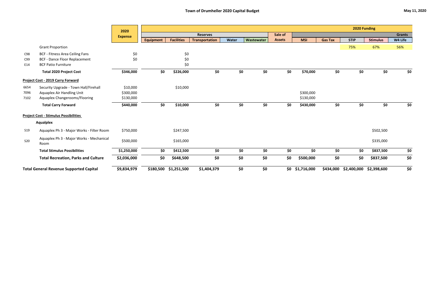|                 |                                                  | 2020           |                  |                       |                       |       |            |               |             |                | 2020 Funding          |                 |               |
|-----------------|--------------------------------------------------|----------------|------------------|-----------------------|-----------------------|-------|------------|---------------|-------------|----------------|-----------------------|-----------------|---------------|
|                 |                                                  | <b>Expense</b> |                  |                       | <b>Reserves</b>       |       |            | Sale of       |             |                |                       |                 | <b>Grants</b> |
|                 |                                                  |                | <b>Equipment</b> | <b>Facilities</b>     | <b>Transportation</b> | Water | Wastewater | <b>Assets</b> | <b>MSI</b>  | <b>Gas Tax</b> | <b>STIP</b>           | <b>Stimulus</b> | W4 Life       |
|                 | <b>Grant Proportion</b>                          |                |                  |                       |                       |       |            |               |             |                | 75%                   | 67%             | 56%           |
| C98             | <b>BCF - Fitness Area Ceiling Fans</b>           | \$0            |                  | \$0                   |                       |       |            |               |             |                |                       |                 |               |
| C99             | <b>BCF - Dance Floor Replacement</b>             | \$0            |                  | \$0                   |                       |       |            |               |             |                |                       |                 |               |
| E14             | <b>BCF Patio Furniture</b>                       |                |                  | \$0                   |                       |       |            |               |             |                |                       |                 |               |
|                 | <b>Total 2020 Project Cost</b>                   | \$346,000      | \$0              | \$226,000             | \$0                   | \$0   | \$0        | \$0           | \$70,000    | \$0            | \$0                   | \$0             | \$0           |
|                 | Project Cost - 2019 Carry Forward                |                |                  |                       |                       |       |            |               |             |                |                       |                 |               |
| 6654            | Security Upgrade - Town Hall/Firehall            | \$10,000       |                  | \$10,000              |                       |       |            |               |             |                |                       |                 |               |
| 7096            | Aquaplex Air Handling Unit                       | \$300,000      |                  |                       |                       |       |            |               | \$300,000   |                |                       |                 |               |
| 7102            | Aquaplex Changerooms/Flooring                    | \$130,000      |                  |                       |                       |       |            |               | \$130,000   |                |                       |                 |               |
|                 | <b>Total Carry Forward</b>                       | \$440,000      | \$0              | \$10,000              | \$0                   | \$0   | \$0        | \$0           | \$430,000   | \$0            | \$0                   | \$0             | \$0           |
|                 | <b>Project Cost - Stimulus Possibilities</b>     |                |                  |                       |                       |       |            |               |             |                |                       |                 |               |
|                 | <b>Aqualplex</b>                                 |                |                  |                       |                       |       |            |               |             |                |                       |                 |               |
| S <sub>19</sub> | Aquaplex Ph 3 - Major Works - Filter Room        | \$750,000      |                  | \$247,500             |                       |       |            |               |             |                |                       | \$502,500       |               |
| <b>S20</b>      | Aquaplex Ph 3 - Major Works - Mechanical<br>Room | \$500,000      |                  | \$165,000             |                       |       |            |               |             |                |                       | \$335,000       |               |
|                 | <b>Total Stimulus Possibilities</b>              | \$1,250,000    | \$0              | \$412,500             | \$0                   | \$0   | \$0        | \$0           | \$0         | \$0            | \$0                   | \$837,500       | \$0           |
|                 | <b>Total Recreation, Parks and Culture</b>       | \$2,036,000    | \$0              | \$648,500             | \$0                   | \$0   | \$0        | \$0           | \$500,000   | \$0            | \$0                   | \$837,500       | \$0           |
|                 | <b>Total General Revenue Supported Capital</b>   | \$9,834,979    |                  | \$180,500 \$1,251,500 | \$1,404,379           | \$0   | \$0        | \$0           | \$1,716,000 |                | \$434,000 \$2,400,000 | \$2,398,600     | \$0           |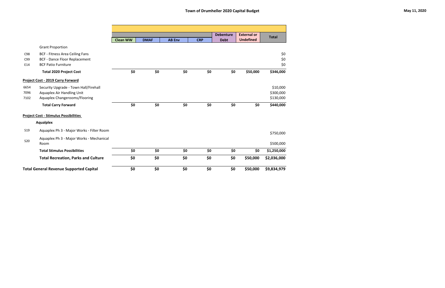|                      |                                                                                                              |                 |             |               |            | <b>Debenture</b> | <b>External or</b> |                                    |
|----------------------|--------------------------------------------------------------------------------------------------------------|-----------------|-------------|---------------|------------|------------------|--------------------|------------------------------------|
|                      |                                                                                                              | <b>Clean WW</b> | <b>DMAF</b> | <b>AB Env</b> | <b>CRP</b> | <b>Debt</b>      | <b>Undefined</b>   | <b>Total</b>                       |
|                      | <b>Grant Proportion</b>                                                                                      |                 |             |               |            |                  |                    |                                    |
| C98<br>C99<br>E14    | <b>BCF - Fitness Area Ceiling Fans</b><br><b>BCF - Dance Floor Replacement</b><br><b>BCF Patio Furniture</b> |                 |             |               |            |                  |                    | \$0<br>\$0<br>\$0                  |
|                      | <b>Total 2020 Project Cost</b>                                                                               | \$0             | \$0         | \$0           | \$0        | \$0              | \$50,000           | \$346,000                          |
|                      | <b>Project Cost - 2019 Carry Forward</b>                                                                     |                 |             |               |            |                  |                    |                                    |
| 6654<br>7096<br>7102 | Security Upgrade - Town Hall/Firehall<br>Aquaplex Air Handling Unit<br>Aquaplex Changerooms/Flooring         |                 |             |               |            |                  |                    | \$10,000<br>\$300,000<br>\$130,000 |
|                      | <b>Total Carry Forward</b>                                                                                   | \$0             | \$0         | \$0           | \$0        | \$0              | \$0                | \$440,000                          |
|                      | <b>Project Cost - Stimulus Possibilities</b>                                                                 |                 |             |               |            |                  |                    |                                    |
|                      | <b>Aqualplex</b>                                                                                             |                 |             |               |            |                  |                    |                                    |
| <b>S19</b>           | Aquaplex Ph 3 - Major Works - Filter Room                                                                    |                 |             |               |            |                  |                    | \$750,000                          |
| <b>S20</b>           | Aquaplex Ph 3 - Major Works - Mechanical<br>Room                                                             |                 |             |               |            |                  |                    | \$500,000                          |
|                      | <b>Total Stimulus Possibilities</b>                                                                          | \$0             | \$0         | \$0           | \$0        | \$0              | \$0                | \$1,250,000                        |
|                      | <b>Total Recreation, Parks and Culture</b>                                                                   | \$0             | \$0         | \$0           | \$0        | \$0              | \$50,000           | \$2,036,000                        |
|                      | <b>Total General Revenue Supported Capital</b>                                                               | \$0             | \$0         | \$0           | \$0        | \$0              | \$50,000           | \$9,834,979                        |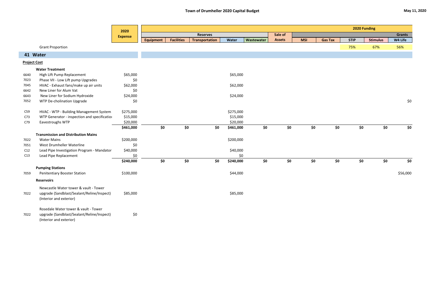|                     |                                              | 2020           |           |                   |                       |           |            |               |            |     |                |             | 2020 Funding    |     |               |
|---------------------|----------------------------------------------|----------------|-----------|-------------------|-----------------------|-----------|------------|---------------|------------|-----|----------------|-------------|-----------------|-----|---------------|
|                     |                                              | <b>Expense</b> |           |                   | <b>Reserves</b>       |           |            | Sale of       |            |     |                |             |                 |     | <b>Grants</b> |
|                     |                                              |                | Equipment | <b>Facilities</b> | <b>Transportation</b> | Water     | Wastewater | <b>Assets</b> | <b>MSI</b> |     | <b>Gas Tax</b> | <b>STIP</b> | <b>Stimulus</b> |     | W4 Life       |
|                     | <b>Grant Proportion</b>                      |                |           |                   |                       |           |            |               |            |     |                | 75%         | 67%             |     | 56%           |
|                     | 41 Water                                     |                |           |                   |                       |           |            |               |            |     |                |             |                 |     |               |
| <b>Project Cost</b> |                                              |                |           |                   |                       |           |            |               |            |     |                |             |                 |     |               |
|                     | <b>Water Treatment</b>                       |                |           |                   |                       |           |            |               |            |     |                |             |                 |     |               |
| 6640                | High Lift Pump Replacement                   | \$65,000       |           |                   |                       | \$65,000  |            |               |            |     |                |             |                 |     |               |
| 7023                | Phase VII - Low Lift pump Upgrades           | \$0            |           |                   |                       |           |            |               |            |     |                |             |                 |     |               |
| 7045                | HVAC - Exhaust fans/make up air units        | \$62,000       |           |                   |                       | \$62,000  |            |               |            |     |                |             |                 |     |               |
| 6642                | New Liner for Alum Vat                       | \$0            |           |                   |                       |           |            |               |            |     |                |             |                 |     |               |
| 6643                | New Liner for Sodium Hydroxide               | \$24,000       |           |                   |                       | \$24,000  |            |               |            |     |                |             |                 |     |               |
| 7052                | WTP De-cholination Upgrade                   | \$0            |           |                   |                       |           |            |               |            |     |                |             |                 |     | \$0           |
| C59                 | HVAC - WTP - Building Management System      | \$275,000      |           |                   |                       | \$275,000 |            |               |            |     |                |             |                 |     |               |
| C73                 | WTP Generator - inspection and specification | \$15,000       |           |                   |                       | \$15,000  |            |               |            |     |                |             |                 |     |               |
| C79                 | Eavestroughs WTP                             | \$20,000       |           |                   |                       | \$20,000  |            |               |            |     |                |             |                 |     |               |
|                     |                                              | \$461,000      | \$0       | \$0               | \$0                   | \$461,000 | \$0        | \$0           |            | \$0 | \$0            |             | \$0             | \$0 | \$0           |
|                     | <b>Transmission and Distribution Mains</b>   |                |           |                   |                       |           |            |               |            |     |                |             |                 |     |               |
| 7022                | <b>Water Mains</b>                           | \$200,000      |           |                   |                       | \$200,000 |            |               |            |     |                |             |                 |     |               |
| 7051                | West Drumheller Waterline                    | \$0            |           |                   |                       |           |            |               |            |     |                |             |                 |     |               |
| C12                 | Lead Pipe Investigation Program - Mandator   | \$40,000       |           |                   |                       | \$40,000  |            |               |            |     |                |             |                 |     |               |
| C13                 | Lead Pipe Replacement                        | \$0            |           |                   |                       | \$0       |            |               |            |     |                |             |                 |     |               |
|                     |                                              | \$240,000      | \$0       | \$0               | \$0                   | \$240,000 | \$0        | \$0           |            | \$0 | \$0            |             | \$0             | \$0 | \$0           |
|                     | <b>Pumping Stations</b>                      |                |           |                   |                       |           |            |               |            |     |                |             |                 |     |               |
| 7059                | <b>Penitentiary Booster Station</b>          | \$100,000      |           |                   |                       | \$44,000  |            |               |            |     |                |             |                 |     | \$56,000      |
|                     | <b>Reservoirs</b>                            |                |           |                   |                       |           |            |               |            |     |                |             |                 |     |               |
|                     | Newcastle Water tower & vault - Tower        |                |           |                   |                       |           |            |               |            |     |                |             |                 |     |               |
| 7022                | upgrade (Sandblast/Sealant/Reline/Inspect)   | \$85,000       |           |                   |                       | \$85,000  |            |               |            |     |                |             |                 |     |               |
|                     | (Interior and exterior)                      |                |           |                   |                       |           |            |               |            |     |                |             |                 |     |               |
|                     |                                              |                |           |                   |                       |           |            |               |            |     |                |             |                 |     |               |
|                     | Rosedale Water tower & vault - Tower         |                |           |                   |                       |           |            |               |            |     |                |             |                 |     |               |
| 7022                | upgrade (Sandblast/Sealant/Reline/Inspect)   | \$0            |           |                   |                       |           |            |               |            |     |                |             |                 |     |               |
|                     | (Interior and exterior)                      |                |           |                   |                       |           |            |               |            |     |                |             |                 |     |               |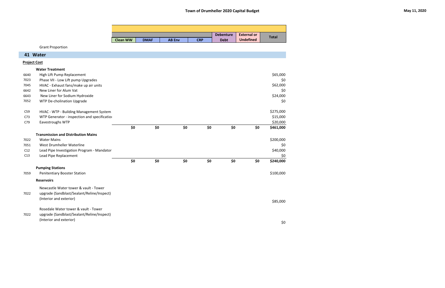|                     |                                              |                 |             |               |            | <b>Debenture</b> | <b>External or</b> |              |
|---------------------|----------------------------------------------|-----------------|-------------|---------------|------------|------------------|--------------------|--------------|
|                     |                                              | <b>Clean WW</b> | <b>DMAF</b> | <b>AB Env</b> | <b>CRP</b> | <b>Debt</b>      | <b>Undefined</b>   | <b>Total</b> |
|                     | <b>Grant Proportion</b>                      |                 |             |               |            |                  |                    |              |
|                     |                                              |                 |             |               |            |                  |                    |              |
|                     | 41 Water                                     |                 |             |               |            |                  |                    |              |
| <b>Project Cost</b> |                                              |                 |             |               |            |                  |                    |              |
|                     | <b>Water Treatment</b>                       |                 |             |               |            |                  |                    |              |
| 6640                | High Lift Pump Replacement                   |                 |             |               |            |                  |                    | \$65,000     |
| 7023                | Phase VII - Low Lift pump Upgrades           |                 |             |               |            |                  |                    | \$0          |
| 7045                | HVAC - Exhaust fans/make up air units        |                 |             |               |            |                  |                    | \$62,000     |
| 6642                | New Liner for Alum Vat                       |                 |             |               |            |                  |                    | \$0          |
| 6643                | New Liner for Sodium Hydroxide               |                 |             |               |            |                  |                    | \$24,000     |
| 7052                | WTP De-cholination Upgrade                   |                 |             |               |            |                  |                    | \$0          |
| C59                 | HVAC - WTP - Building Management System      |                 |             |               |            |                  |                    | \$275,000    |
| C <sub>73</sub>     | WTP Generator - inspection and specification |                 |             |               |            |                  |                    | \$15,000     |
| C79                 | Eavestroughs WTP                             |                 |             |               |            |                  |                    | \$20,000     |
|                     |                                              | \$0             | \$0         | \$0           | \$0        | \$0              | \$0                | \$461,000    |
|                     | <b>Transmission and Distribution Mains</b>   |                 |             |               |            |                  |                    |              |
| 7022                | <b>Water Mains</b>                           |                 |             |               |            |                  |                    | \$200,000    |
| 7051                | West Drumheller Waterline                    |                 |             |               |            |                  |                    | \$0          |
| C12                 | Lead Pipe Investigation Program - Mandator   |                 |             |               |            |                  |                    | \$40,000     |
| C13                 | Lead Pipe Replacement                        |                 |             |               |            |                  |                    | \$0          |
|                     |                                              | \$0             | \$0         | \$0           | \$0        | \$0              | \$0                | \$240,000    |
|                     | <b>Pumping Stations</b>                      |                 |             |               |            |                  |                    |              |
| 7059                | <b>Penitentiary Booster Station</b>          |                 |             |               |            |                  |                    | \$100,000    |
|                     | <b>Reservoirs</b>                            |                 |             |               |            |                  |                    |              |
|                     | Newcastle Water tower & vault - Tower        |                 |             |               |            |                  |                    |              |
| 7022                | upgrade (Sandblast/Sealant/Reline/Inspect)   |                 |             |               |            |                  |                    |              |
|                     | (Interior and exterior)                      |                 |             |               |            |                  |                    |              |
|                     |                                              |                 |             |               |            |                  |                    | \$85,000     |
|                     | Rosedale Water tower & vault - Tower         |                 |             |               |            |                  |                    |              |
| 7022                | upgrade (Sandblast/Sealant/Reline/Inspect)   |                 |             |               |            |                  |                    |              |
|                     | (Interior and exterior)                      |                 |             |               |            |                  |                    |              |
|                     |                                              |                 |             |               |            |                  |                    | \$0          |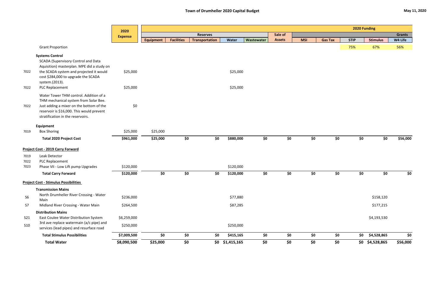|                |                                                                                                                                                                                                               | 2020           |                  |                   |                       |                   |            |               |            |                |             | 2020 Funding    |               |
|----------------|---------------------------------------------------------------------------------------------------------------------------------------------------------------------------------------------------------------|----------------|------------------|-------------------|-----------------------|-------------------|------------|---------------|------------|----------------|-------------|-----------------|---------------|
|                |                                                                                                                                                                                                               | <b>Expense</b> |                  |                   | <b>Reserves</b>       |                   |            | Sale of       |            |                |             |                 | <b>Grants</b> |
|                |                                                                                                                                                                                                               |                | <b>Equipment</b> | <b>Facilities</b> | <b>Transportation</b> | <b>Water</b>      | Wastewater | <b>Assets</b> | <b>MSI</b> | <b>Gas Tax</b> | <b>STIP</b> | <b>Stimulus</b> | W4 Life       |
|                | <b>Grant Proportion</b>                                                                                                                                                                                       |                |                  |                   |                       |                   |            |               |            |                | 75%         | 67%             | 56%           |
|                | <b>Systems Control</b><br>SCADA (Supervisory Control and Data                                                                                                                                                 |                |                  |                   |                       |                   |            |               |            |                |             |                 |               |
| 7022           | Aquisition) masterplan. MPE did a study on<br>the SCADA system and projected it would<br>cost \$284,000 to upgrade the SCADA<br>system.(2013).                                                                | \$25,000       |                  |                   |                       | \$25,000          |            |               |            |                |             |                 |               |
| 7022           | PLC Replacement                                                                                                                                                                                               | \$25,000       |                  |                   |                       | \$25,000          |            |               |            |                |             |                 |               |
| 7022           | Water Tower THM control. Addition of a<br>THM mechanical system from Solar Bee.<br>Just adding a mixer on the bottom of the<br>reservoir is \$16,000. This would prevent<br>stratification in the reservoirs. | \$0            |                  |                   |                       |                   |            |               |            |                |             |                 |               |
|                | Equipment                                                                                                                                                                                                     |                |                  |                   |                       |                   |            |               |            |                |             |                 |               |
| 7019           | <b>Box Shoring</b>                                                                                                                                                                                            | \$25,000       | \$25,000         |                   |                       |                   |            |               |            |                |             |                 |               |
|                | <b>Total 2020 Project Cost</b>                                                                                                                                                                                | \$961,000      | \$25,000         | \$0               | \$0                   | \$880,000         | \$0        | \$0           | \$0        | \$0            | \$0\$       | \$0             | \$56,000      |
|                | <b>Project Cost - 2019 Carry Forward</b>                                                                                                                                                                      |                |                  |                   |                       |                   |            |               |            |                |             |                 |               |
| 7019           | Leak Detector                                                                                                                                                                                                 |                |                  |                   |                       |                   |            |               |            |                |             |                 |               |
| 7022           | PLC Replacement                                                                                                                                                                                               |                |                  |                   |                       |                   |            |               |            |                |             |                 |               |
| 7023           | Phase VII - Low Lift pump Upgrades                                                                                                                                                                            | \$120,000      |                  |                   |                       | \$120,000         |            |               |            |                |             |                 |               |
|                | <b>Total Carry Forward</b>                                                                                                                                                                                    | \$120,000      | \$0              | \$0               | \$0                   | \$120,000         | \$0        | \$0           | \$0        | \$0            | \$0         | \$0             | \$0           |
|                | <b>Project Cost - Stimulus Possibilities</b>                                                                                                                                                                  |                |                  |                   |                       |                   |            |               |            |                |             |                 |               |
| S <sub>6</sub> | <b>Transmission Mains</b><br>North Drumheller River Crossing - Water<br>Main                                                                                                                                  | \$236,000      |                  |                   |                       | \$77,880          |            |               |            |                |             | \$158,120       |               |
| S7             | Midland River Crossing - Water Main                                                                                                                                                                           | \$264,500      |                  |                   |                       | \$87,285          |            |               |            |                |             | \$177,215       |               |
|                | <b>Distribution Mains</b>                                                                                                                                                                                     |                |                  |                   |                       |                   |            |               |            |                |             |                 |               |
| S21            | East Coulee Water Distribution System                                                                                                                                                                         | \$6,259,000    |                  |                   |                       |                   |            |               |            |                |             | \$4,193,530     |               |
| S10            | 3rd ave replace watermain (a/c pipe) and<br>services (lead pipes) and resurface road                                                                                                                          | \$250,000      |                  |                   |                       | \$250,000         |            |               |            |                |             |                 |               |
|                | <b>Total Stimulus Possibilities</b>                                                                                                                                                                           | \$7,009,500    | \$0              | \$0               | \$0                   | \$415,165         | \$0        | \$0           | \$0        | \$0            | \$0         | \$4,528,865     | \$0           |
|                | <b>Total Water</b>                                                                                                                                                                                            | \$8,090,500    | \$25,000         | \$0               |                       | $$0$ $$1,415,165$ | \$0        | \$0           | \$0        | \$0            |             | \$0 \$4,528,865 | \$56,000      |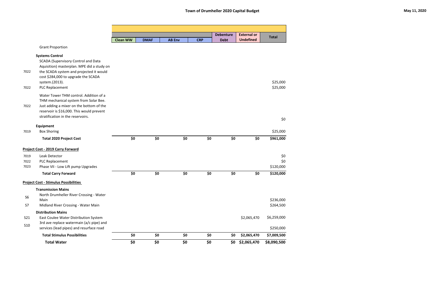|                |                                                                                          | <b>Clean WW</b> | <b>DMAF</b> | <b>AB Env</b> |     | <b>CRP</b> | <b>Debenture</b><br><b>Debt</b> | <b>External or</b><br><b>Undefined</b> | <b>Total</b> |
|----------------|------------------------------------------------------------------------------------------|-----------------|-------------|---------------|-----|------------|---------------------------------|----------------------------------------|--------------|
|                | <b>Grant Proportion</b>                                                                  |                 |             |               |     |            |                                 |                                        |              |
|                |                                                                                          |                 |             |               |     |            |                                 |                                        |              |
|                | <b>Systems Control</b>                                                                   |                 |             |               |     |            |                                 |                                        |              |
|                | <b>SCADA (Supervisory Control and Data</b><br>Aquisition) masterplan. MPE did a study on |                 |             |               |     |            |                                 |                                        |              |
| 7022           | the SCADA system and projected it would                                                  |                 |             |               |     |            |                                 |                                        |              |
|                | cost \$284,000 to upgrade the SCADA                                                      |                 |             |               |     |            |                                 |                                        |              |
|                | system.(2013).                                                                           |                 |             |               |     |            |                                 |                                        | \$25,000     |
| 7022           | PLC Replacement                                                                          |                 |             |               |     |            |                                 |                                        | \$25,000     |
|                | Water Tower THM control. Addition of a                                                   |                 |             |               |     |            |                                 |                                        |              |
|                | THM mechanical system from Solar Bee.                                                    |                 |             |               |     |            |                                 |                                        |              |
| 7022           | Just adding a mixer on the bottom of the<br>reservoir is \$16,000. This would prevent    |                 |             |               |     |            |                                 |                                        |              |
|                | stratification in the reservoirs.                                                        |                 |             |               |     |            |                                 |                                        |              |
|                |                                                                                          |                 |             |               |     |            |                                 |                                        | \$0          |
|                | Equipment                                                                                |                 |             |               |     |            |                                 |                                        |              |
| 7019           | <b>Box Shoring</b>                                                                       |                 |             |               |     |            |                                 |                                        | \$25,000     |
|                | <b>Total 2020 Project Cost</b>                                                           | \$0             | \$0         |               | \$0 | \$0        | \$0                             | \$0                                    | \$961,000    |
|                | <b>Project Cost - 2019 Carry Forward</b>                                                 |                 |             |               |     |            |                                 |                                        |              |
| 7019           | Leak Detector                                                                            |                 |             |               |     |            |                                 |                                        | \$0          |
| 7022           | PLC Replacement                                                                          |                 |             |               |     |            |                                 |                                        | \$0          |
| 7023           | Phase VII - Low Lift pump Upgrades                                                       |                 |             |               |     |            |                                 |                                        | \$120,000    |
|                | <b>Total Carry Forward</b>                                                               | \$0             | \$0         |               | \$0 | \$0        | \$0                             | \$0                                    | \$120,000    |
|                | <b>Project Cost - Stimulus Possibilities</b>                                             |                 |             |               |     |            |                                 |                                        |              |
|                | <b>Transmission Mains</b>                                                                |                 |             |               |     |            |                                 |                                        |              |
| S <sub>6</sub> | North Drumheller River Crossing - Water                                                  |                 |             |               |     |            |                                 |                                        |              |
|                | Main                                                                                     |                 |             |               |     |            |                                 |                                        | \$236,000    |
| S7             | Midland River Crossing - Water Main                                                      |                 |             |               |     |            |                                 |                                        | \$264,500    |
| S21            | <b>Distribution Mains</b><br>East Coulee Water Distribution System                       |                 |             |               |     |            |                                 | \$2,065,470                            | \$6,259,000  |
|                | 3rd ave replace watermain (a/c pipe) and                                                 |                 |             |               |     |            |                                 |                                        |              |
| <b>S10</b>     | services (lead pipes) and resurface road                                                 |                 |             |               |     |            |                                 |                                        | \$250,000    |
|                | <b>Total Stimulus Possibilities</b>                                                      | \$0             | \$0         |               | \$0 | \$0        | \$0                             | \$2,065,470                            | \$7,009,500  |
|                | <b>Total Water</b>                                                                       | \$0             | \$0         |               | \$0 | \$0        |                                 | \$0 \$2,065,470                        | \$8,090,500  |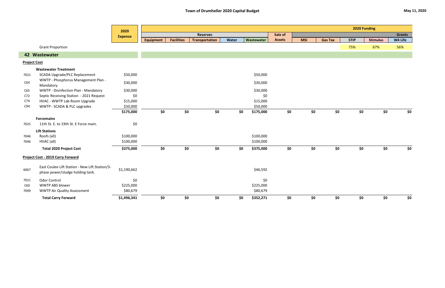|                     |                                                                                    | 2020           |                  |                   |                       |       |            |               |            |                |             | 2020 Funding    |               |     |
|---------------------|------------------------------------------------------------------------------------|----------------|------------------|-------------------|-----------------------|-------|------------|---------------|------------|----------------|-------------|-----------------|---------------|-----|
|                     |                                                                                    | <b>Expense</b> |                  |                   | <b>Reserves</b>       |       |            | Sale of       |            |                |             |                 | <b>Grants</b> |     |
|                     |                                                                                    |                | <b>Equipment</b> | <b>Facilities</b> | <b>Transportation</b> | Water | Wastewater | <b>Assets</b> | <b>MSI</b> | <b>Gas Tax</b> | <b>STIP</b> | <b>Stimulus</b> | W4 Life       |     |
|                     | <b>Grant Proportion</b>                                                            |                |                  |                   |                       |       |            |               |            |                | 75%         | 67%             | 56%           |     |
|                     | 42 Wastewater                                                                      |                |                  |                   |                       |       |            |               |            |                |             |                 |               |     |
| <b>Project Cost</b> |                                                                                    |                |                  |                   |                       |       |            |               |            |                |             |                 |               |     |
|                     | <b>Wastewater Treatment</b>                                                        |                |                  |                   |                       |       |            |               |            |                |             |                 |               |     |
| 7021                | <b>SCADA Upgrade/PLC Replacement</b>                                               | \$50,000       |                  |                   |                       |       | \$50,000   |               |            |                |             |                 |               |     |
| C64                 | WWTP - Phosphorus Management Plan -<br>Mandatory                                   | \$30,000       |                  |                   |                       |       | \$30,000   |               |            |                |             |                 |               |     |
| C65                 | WWTP - Disinfection Plan - Mandatory                                               | \$30,000       |                  |                   |                       |       | \$30,000   |               |            |                |             |                 |               |     |
| C72                 | Septic Receiving Station - 2021 Request                                            | \$0            |                  |                   |                       |       | \$0        |               |            |                |             |                 |               |     |
| C74                 | HVAC - WWTP Lab Room Upgrade                                                       | \$15,000       |                  |                   |                       |       | \$15,000   |               |            |                |             |                 |               |     |
| C94                 | WWTP - SCADA & PLC upgrades                                                        | \$50,000       |                  |                   |                       |       | \$50,000   |               |            |                |             |                 |               |     |
|                     |                                                                                    | \$175,000      | \$0              | \$0               | \$0\$                 | \$0   | \$175,000  | \$0           | \$0        | \$0            | \$0\$       | \$0             |               | \$0 |
|                     | <b>Forcemains</b>                                                                  |                |                  |                   |                       |       |            |               |            |                |             |                 |               |     |
| 7025                | 11th St. E. to 19th St. E Force main.                                              | \$0            |                  |                   |                       |       |            |               |            |                |             |                 |               |     |
|                     | <b>Lift Stations</b>                                                               |                |                  |                   |                       |       |            |               |            |                |             |                 |               |     |
| 7046                | Roofs (all)                                                                        | \$100,000      |                  |                   |                       |       | \$100,000  |               |            |                |             |                 |               |     |
| 7046                | HVAC (all)                                                                         | \$100,000      |                  |                   |                       |       | \$100,000  |               |            |                |             |                 |               |     |
|                     | <b>Total 2020 Project Cost</b>                                                     | \$375,000      | \$0              | \$0               | \$0\$                 | \$0   | \$375,000  | \$0\$         | \$0        | \$0            | \$0\$       | \$0             | \$0           |     |
|                     | <b>Project Cost - 2019 Carry Forward</b>                                           |                |                  |                   |                       |       |            |               |            |                |             |                 |               |     |
| 6067                | East Coulee Lift Station - New Lift Station/3-<br>phase power/sludge holding tank. | \$1,190,662    |                  |                   |                       |       | \$46,592   |               |            |                |             |                 |               |     |
| 7021                | <b>Odor Control</b>                                                                | \$0            |                  |                   |                       |       | \$0        |               |            |                |             |                 |               |     |
| C60                 | <b>WWTP ABS blower</b>                                                             | \$225,000      |                  |                   |                       |       | \$225,000  |               |            |                |             |                 |               |     |
| 7099                | <b>WWTP Air Quality Assessment</b>                                                 | \$80,679       |                  |                   |                       |       | \$80,679   |               |            |                |             |                 |               |     |
|                     | <b>Total Carry Forward</b>                                                         | \$1,496,341    | \$0              | \$0               | \$0\$                 | \$0   | \$352,271  | \$0           | \$0        | \$0            | \$0         | \$0             |               | \$0 |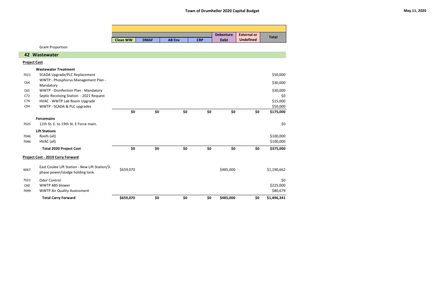|                     |                                                                                    |                 |             |               |            | <b>Debenture</b> | <b>External or</b> |              |
|---------------------|------------------------------------------------------------------------------------|-----------------|-------------|---------------|------------|------------------|--------------------|--------------|
|                     |                                                                                    | <b>Clean WW</b> | <b>DMAF</b> | <b>AB Env</b> | <b>CRP</b> | <b>Debt</b>      | <b>Undefined</b>   | <b>Total</b> |
|                     | <b>Grant Proportion</b>                                                            |                 |             |               |            |                  |                    |              |
|                     | 42 Wastewater                                                                      |                 |             |               |            |                  |                    |              |
| <b>Project Cost</b> |                                                                                    |                 |             |               |            |                  |                    |              |
|                     | <b>Wastewater Treatment</b>                                                        |                 |             |               |            |                  |                    |              |
| 7021                | <b>SCADA Upgrade/PLC Replacement</b>                                               |                 |             |               |            |                  |                    | \$50,000     |
| C64                 | WWTP - Phosphorus Management Plan -<br>Mandatory                                   |                 |             |               |            |                  |                    | \$30,000     |
| C65                 | WWTP - Disinfection Plan - Mandatory                                               |                 |             |               |            |                  |                    | \$30,000     |
| C <sub>72</sub>     | Septic Receiving Station - 2021 Request                                            |                 |             |               |            |                  |                    | \$0          |
| C74                 | HVAC - WWTP Lab Room Upgrade                                                       |                 |             |               |            |                  |                    | \$15,000     |
| C94                 | WWTP - SCADA & PLC upgrades                                                        |                 |             |               |            |                  |                    | \$50,000     |
|                     |                                                                                    | \$0             | \$0         | \$0           | \$0        | \$0              | \$0                | \$175,000    |
|                     | <b>Forcemains</b>                                                                  |                 |             |               |            |                  |                    |              |
| 7025                | 11th St. E. to 19th St. E Force main.                                              |                 |             |               |            |                  |                    | \$0          |
|                     | <b>Lift Stations</b>                                                               |                 |             |               |            |                  |                    |              |
| 7046                | Roofs (all)                                                                        |                 |             |               |            |                  |                    | \$100,000    |
| 7046                | HVAC (all)                                                                         |                 |             |               |            |                  |                    | \$100,000    |
|                     | <b>Total 2020 Project Cost</b>                                                     | \$0             | \$0         | \$0           | \$0        | \$0              | \$0                | \$375,000    |
|                     | <b>Project Cost - 2019 Carry Forward</b>                                           |                 |             |               |            |                  |                    |              |
| 6067                | East Coulee Lift Station - New Lift Station/3-<br>phase power/sludge holding tank. | \$659,070       |             |               |            | \$485,000        |                    | \$1,190,662  |
| 7021                | <b>Odor Control</b>                                                                |                 |             |               |            |                  |                    | \$0          |
| C60                 | <b>WWTP ABS blower</b>                                                             |                 |             |               |            |                  |                    | \$225,000    |
| 7099                | <b>WWTP Air Quality Assessment</b>                                                 |                 |             |               |            |                  |                    | \$80,679     |
|                     | <b>Total Carry Forward</b>                                                         | \$659,070       | \$0         | \$0           | \$0        | \$485,000        | \$0                | \$1,496,341  |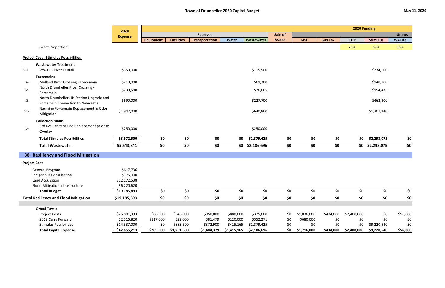|                     |                                                                                  | 2020           | 2020 Funding     |                   |                       |             |             |               |             |                |             |                 |               |
|---------------------|----------------------------------------------------------------------------------|----------------|------------------|-------------------|-----------------------|-------------|-------------|---------------|-------------|----------------|-------------|-----------------|---------------|
|                     |                                                                                  | <b>Expense</b> |                  |                   | <b>Reserves</b>       |             |             | Sale of       |             |                |             |                 | <b>Grants</b> |
|                     |                                                                                  |                | <b>Equipment</b> | <b>Facilities</b> | <b>Transportation</b> | Water       | Wastewater  | <b>Assets</b> | <b>MSI</b>  | <b>Gas Tax</b> | <b>STIP</b> | <b>Stimulus</b> | W4 Life       |
|                     | <b>Grant Proportion</b>                                                          |                |                  |                   |                       |             |             |               |             |                | 75%         | 67%             | 56%           |
|                     | <b>Project Cost - Stimulus Possibilities</b>                                     |                |                  |                   |                       |             |             |               |             |                |             |                 |               |
|                     | <b>Wastewater Treatment</b>                                                      |                |                  |                   |                       |             |             |               |             |                |             |                 |               |
| <b>S11</b>          | <b>WWTP - River Outfall</b>                                                      | \$350,000      |                  |                   |                       |             | \$115,500   |               |             |                |             | \$234,500       |               |
|                     | <b>Forcemains</b>                                                                |                |                  |                   |                       |             |             |               |             |                |             |                 |               |
| S <sub>4</sub>      | Midland River Crossing - Forcemain                                               | \$210,000      |                  |                   |                       |             | \$69,300    |               |             |                |             | \$140,700       |               |
| S5                  | North Drumheller River Crossing -<br>Forcemain                                   | \$230,500      |                  |                   |                       |             | \$76,065    |               |             |                |             | \$154,435       |               |
| S8                  | North Drumheller Lift Station Upgrade and<br>Forcemain Connection to Newcastle   | \$690,000      |                  |                   |                       |             | \$227,700   |               |             |                |             | \$462,300       |               |
| <b>S17</b>          | Nacmine Forcemain Replacement & Odor<br>Mitigation                               | \$1,942,000    |                  |                   |                       |             | \$640,860   |               |             |                |             | \$1,301,140     |               |
| S9                  | <b>Collection Mains</b><br>3rd ave Sanitary Line Replacement prior to<br>Overlay | \$250,000      |                  |                   |                       |             | \$250,000   |               |             |                |             |                 |               |
|                     | <b>Total Stimulus Possibilities</b>                                              | \$3,672,500    | \$0              | \$0               | \$0                   | \$0         | \$1,379,425 | \$0           | \$0         | \$0            | \$0         | \$2,293,075     | \$0           |
|                     | <b>Total Wastewater</b>                                                          | \$5,543,841    | \$0              | \$0               | \$0                   | \$0         | \$2,106,696 | \$0           | \$0         | \$0            |             | \$0 \$2,293,075 | \$0           |
|                     | 38 Resiliency and Flood Mitigation                                               |                |                  |                   |                       |             |             |               |             |                |             |                 |               |
| <b>Project Cost</b> |                                                                                  |                |                  |                   |                       |             |             |               |             |                |             |                 |               |
|                     | <b>General Program</b>                                                           | \$617,736      |                  |                   |                       |             |             |               |             |                |             |                 |               |
|                     | Indigenous Consultation                                                          | \$175,000      |                  |                   |                       |             |             |               |             |                |             |                 |               |
|                     | Land Acquisition                                                                 | \$12,172,538   |                  |                   |                       |             |             |               |             |                |             |                 |               |
|                     | Flood Mitigation Infrastructure                                                  | \$6,220,620    |                  |                   |                       |             |             |               |             |                |             |                 |               |
|                     | <b>Total Budget</b>                                                              | \$19,185,893   | \$0              | \$0               | \$0                   | \$0         | \$0         | \$0           | \$0         | \$0            | \$0         | \$0             | \$0           |
|                     | <b>Total Resiliency and Flood Mitigation</b>                                     | \$19,185,893   | \$0              | \$0               | \$0                   | \$0         | \$0         | \$0           | \$0         | \$0            | \$0         | \$0             | \$0           |
|                     |                                                                                  |                |                  |                   |                       |             |             |               |             |                |             |                 |               |
|                     | <b>Grand Totals</b>                                                              |                |                  |                   |                       |             |             |               |             |                |             |                 |               |
|                     | <b>Project Costs</b>                                                             | \$25,801,393   | \$88,500         | \$346,000         | \$950,000             | \$880,000   | \$375,000   | \$0           | \$1,036,000 | \$434,000      | \$2,400,000 | \$0             | \$56,000      |
|                     | 2019 Carry Forward                                                               | \$2,516,820    | \$117,000        | \$22,000          | \$81,479              | \$120,000   | \$352,271   | \$0           | \$680,000   | \$0            | \$0         | \$0             | \$0           |
|                     | <b>Stimulus Possibilities</b>                                                    | \$14,337,000   | \$0              | \$883,500         | \$372,900             | \$415,165   | \$1,379,425 | \$0           | \$0         | \$0            | \$0         | \$9,220,540     | \$0           |
|                     | <b>Total Capital Expense</b>                                                     | \$42,655,213   | \$205,500        | \$1,251,500       | \$1,404,379           | \$1,415,165 | \$2,106,696 | \$0           | \$1,716,000 | \$434,000      | \$2,400,000 | \$9,220,540     | \$56,000      |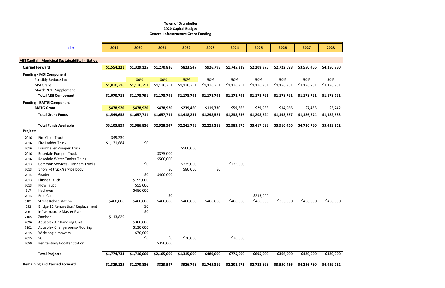|                 | Index                                                    | 2019        | 2020        | 2021        | 2022        | 2023        | 2024        | 2025        | 2026        | 2027        | 2028        |
|-----------------|----------------------------------------------------------|-------------|-------------|-------------|-------------|-------------|-------------|-------------|-------------|-------------|-------------|
|                 |                                                          |             |             |             |             |             |             |             |             |             |             |
|                 | <b>MSI Capital - Municipal Sustainability Initiative</b> |             |             |             |             |             |             |             |             |             |             |
|                 | <b>Carried Forward</b>                                   | \$1,554,221 | \$1,329,125 | \$1,270,836 | \$823,547   | \$926,798   | \$1,745,319 | \$2,208,975 | \$2,722,698 | \$3,550,456 | \$4,256,730 |
|                 | <b>Funding - MSI Component</b>                           |             |             |             |             |             |             |             |             |             |             |
|                 | Possibly Reduced to                                      |             | 100%        | 100%        | 50%         | 50%         | 50%         | 50%         | 50%         | 50%         | 50%         |
|                 | <b>MSI Grant</b>                                         | \$1,070,718 | \$1,178,791 | \$1,178,791 | \$1,178,791 | \$1,178,791 | \$1,178,791 | \$1,178,791 | \$1,178,791 | \$1,178,791 | \$1,178,791 |
|                 | March 2015 Supplement                                    |             |             |             |             |             |             |             |             |             |             |
|                 | <b>Total MSI Component</b>                               | \$1,070,718 | \$1,178,791 | \$1,178,791 | \$1,178,791 | \$1,178,791 | \$1,178,791 | \$1,178,791 | \$1,178,791 | \$1,178,791 | \$1,178,791 |
|                 | <b>Funding - BMTG Component</b>                          |             |             |             |             |             |             |             |             |             |             |
|                 | <b>BMTG Grant</b>                                        | \$478,920   | \$478,920   | \$478,920   | \$239,460   | \$119,730   | \$59,865    | \$29,933    | \$14,966    | \$7,483     | \$3,742     |
|                 | <b>Total Grant Funds</b>                                 | \$1,549,638 | \$1,657,711 | \$1,657,711 | \$1,418,251 | \$1,298,521 | \$1,238,656 | \$1,208,724 | \$1,193,757 | \$1,186,274 | \$1,182,533 |
|                 | <b>Total Funds Available</b>                             | \$3,103,859 | \$2,986,836 | \$2,928,547 | \$2,241,798 | \$2,225,319 | \$2,983,975 | \$3,417,698 | \$3,916,456 | \$4,736,730 | \$5,439,262 |
| <b>Projects</b> |                                                          |             |             |             |             |             |             |             |             |             |             |
| 7016            | <b>Fire Chief Truck</b>                                  | \$49,230    |             |             |             |             |             |             |             |             |             |
| 7016            | <b>Fire Ladder Truck</b>                                 | \$1,131,684 | \$0         |             |             |             |             |             |             |             |             |
| 7016            | Drumheller Pumper Truck                                  |             |             |             | \$500,000   |             |             |             |             |             |             |
| 7016            | Rosedale Pumper Truck                                    |             |             | \$375,000   |             |             |             |             |             |             |             |
| 7016            | Rosedale Water Tanker Truck                              |             |             | \$500,000   |             |             |             |             |             |             |             |
| 7013            | <b>Common Services - Tandem Trucks</b>                   |             | \$0         |             | \$225,000   |             | \$225,000   |             |             |             |             |
| 7013            | 1 ton (+) truck/service body                             |             |             | \$0         | \$80,000    | \$0         |             |             |             |             |             |
| 7014            | Grader                                                   |             | \$0         | \$400,000   |             |             |             |             |             |             |             |
| 7013            | <b>Flusher Truck</b>                                     |             | \$195,000   |             |             |             |             |             |             |             |             |
| 7013            | <b>Plow Truck</b>                                        |             | \$55,000    |             |             |             |             |             |             |             |             |
| E17             | Hydrovac                                                 |             | \$486,000   |             |             |             |             |             |             |             |             |
| 7013            | Pole Cat                                                 |             |             | \$0         |             |             |             | \$215,000   |             |             |             |
| 6101            | <b>Street Rehabilitation</b>                             | \$480,000   | \$480,000   | \$480,000   | \$480,000   | \$480,000   | \$480,000   | \$480,000   | \$366,000   | \$480,000   | \$480,000   |
| C52             | Bridge 11 Renovation/ Replacement                        |             | \$0         |             |             |             |             |             |             |             |             |
| 7067            | Infrastructure Master Plan                               |             | \$0         |             |             |             |             |             |             |             |             |
| 7105            | Zamboni                                                  | \$113,820   |             |             |             |             |             |             |             |             |             |
| 7096            | Aquaplex Air Handling Unit                               |             | \$300,000   |             |             |             |             |             |             |             |             |
| 7102            | Aquaplex Changerooms/Flooring                            |             | \$130,000   |             |             |             |             |             |             |             |             |
| 7015            | Wide angle mowers                                        |             | \$70,000    |             |             |             |             |             |             |             |             |
| 7015            | \$0                                                      |             | \$0         | \$0         | \$30,000    |             | \$70,000    |             |             |             |             |
| 7059            | <b>Penitentiary Booster Station</b>                      |             |             | \$350,000   |             |             |             |             |             |             |             |
|                 | <b>Total Projects</b>                                    | \$1,774,734 | \$1,716,000 | \$2,105,000 | \$1,315,000 | \$480,000   | \$775,000   | \$695,000   | \$366,000   | \$480,000   | \$480,000   |
|                 | <b>Remaining and Carried Forward</b>                     | \$1,329,125 | \$1,270,836 | \$823,547   | \$926,798   | \$1,745,319 | \$2,208,975 | \$2,722,698 | \$3,550,456 | \$4,256,730 | \$4,959,262 |

### **Town of Drumheller 2020 Capital Budget General Infrastructure Grant Funding**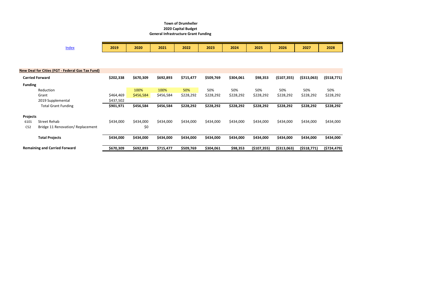#### **Town of Drumheller 2020 Capital Budget General Infrastructure Grant Funding**

|                                      | <b>Index</b>                                            | 2019      | 2020      | 2021      | 2022      | 2023      | 2024      | 2025        | 2026         | 2027         | 2028          |
|--------------------------------------|---------------------------------------------------------|-----------|-----------|-----------|-----------|-----------|-----------|-------------|--------------|--------------|---------------|
|                                      |                                                         |           |           |           |           |           |           |             |              |              |               |
|                                      | <b>New Deal for Cities (FGT - Federal Gas Tax Fund)</b> |           |           |           |           |           |           |             |              |              |               |
|                                      | <b>Carried Forward</b>                                  | \$202,338 | \$670,309 | \$692,893 | \$715,477 | \$509,769 | \$304,061 | \$98,353    | (\$107,355)  | ( \$313,063) | ( \$518,771]  |
| <b>Funding</b>                       |                                                         |           |           |           |           |           |           |             |              |              |               |
|                                      | Reduction                                               |           | 100%      | 100%      | 50%       | 50%       | 50%       | 50%         | 50%          | 50%          | 50%           |
|                                      | Grant                                                   | \$464,469 | \$456,584 | \$456,584 | \$228,292 | \$228,292 | \$228,292 | \$228,292   | \$228,292    | \$228,292    | \$228,292     |
|                                      | 2019 Supplemental                                       | \$437,502 |           |           |           |           |           |             |              |              |               |
|                                      | <b>Total Grant Funding</b>                              | \$901,971 | \$456,584 | \$456,584 | \$228,292 | \$228,292 | \$228,292 | \$228,292   | \$228,292    | \$228,292    | \$228,292     |
| <b>Projects</b>                      |                                                         |           |           |           |           |           |           |             |              |              |               |
| 6101                                 | <b>Street Rehab</b>                                     | \$434,000 | \$434,000 | \$434,000 | \$434,000 | \$434,000 | \$434,000 | \$434,000   | \$434,000    | \$434,000    | \$434,000     |
| C52                                  | Bridge 11 Renovation/ Replacement                       |           | \$0       |           |           |           |           |             |              |              |               |
|                                      | <b>Total Projects</b>                                   | \$434,000 | \$434,000 | \$434,000 | \$434,000 | \$434,000 | \$434,000 | \$434,000   | \$434,000    | \$434,000    | \$434,000     |
| <b>Remaining and Carried Forward</b> |                                                         | \$670,309 | \$692,893 | \$715,477 | \$509,769 | \$304,061 | \$98,353  | (\$107,355) | ( \$313,063) | (5518,771)   | ( \$724, 479] |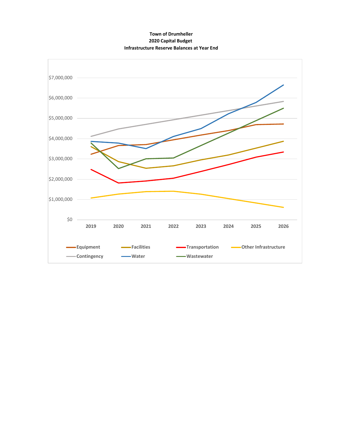#### **Town of Drumheller 2020 Capital Budget Infrastructure Reserve Balances at Year End**

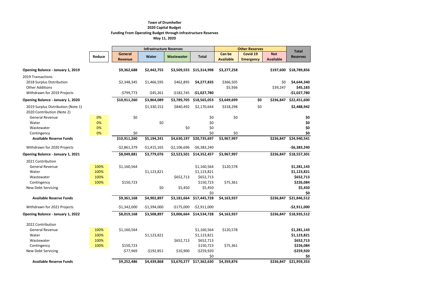|                                                                          |        |                | <b>Infrastructure Reserves</b> |               |               |                      | <b>Other Reserves</b> |                  | <b>Total</b>            |
|--------------------------------------------------------------------------|--------|----------------|--------------------------------|---------------|---------------|----------------------|-----------------------|------------------|-------------------------|
|                                                                          | Reduce | <b>General</b> | <b>Water</b>                   | Wastewater    | <b>Total</b>  | <b>Can be</b>        | Covid 19              | <b>Not</b>       | <b>Reserves</b>         |
|                                                                          |        | <b>Revenue</b> |                                |               |               | <b>Available</b>     | <b>Emergency</b>      | <b>Available</b> |                         |
| <b>Opening Balance - January 1, 2019</b>                                 |        | \$9,362,688    | \$2,442,755                    | \$3,509,555   | \$15,314,998  | \$3,277,258          |                       | \$197,600        | \$18,789,856            |
| 2019 Transactions<br>2018 Surplus Distribution<br><b>Other Additions</b> |        | \$2,348,345    | \$1,466,595                    | \$462,895     | \$4,277,835   | \$366,505<br>\$5,936 |                       | \$0<br>\$39,247  | \$4,644,340<br>\$45,183 |
| Withdrawn for 2019 Projects                                              |        | $-5799,773$    | $-545,261$                     | $-$182,745$   | $-$1,027,780$ |                      |                       |                  | $-$1,027,780$           |
| Opening Balance - January 1, 2020                                        |        | \$10,911,260   | \$3,864,089                    | \$3,789,705   | \$18,565,053  | \$3,649,699          | \$0                   | \$236,847        | \$22,451,600            |
| 2019 Surplus Distribution (Note 1)<br>2020 Contribution (Note 2)         |        |                | \$1,330,152                    | \$840,492     | \$2,170,644   | \$318,298            | \$0                   |                  | \$2,488,942             |
| <b>General Revenue</b>                                                   | 0%     | \$0            |                                |               | \$0           | \$0                  |                       |                  | \$0                     |
| Water                                                                    | 0%     |                | \$0                            |               | \$0           |                      |                       |                  | \$0                     |
| Wastewater                                                               | 0%     |                |                                | \$0           | \$0           |                      |                       |                  | \$0                     |
| Contingency                                                              | 0%     | \$0            |                                |               | \$0           | \$0                  |                       |                  | \$0                     |
| <b>Available Reserve Funds</b>                                           |        | \$10,911,260   | \$5,194,241                    | \$4,630,197   | \$20,735,697  | \$3,967,997          |                       | \$236,847        | \$24,940,541            |
| Withdrawn for 2020 Projects                                              |        | $-52,861,379$  | $-$1,415,165$                  | $-52,106,696$ | $-56,383,240$ |                      |                       |                  | $-56,383,240$           |
| Opening Balance - January 1, 2021                                        |        | \$8,049,881    | \$3,779,076                    | \$2,523,501   | \$14,352,457  | \$3,967,997          |                       | \$236,847        | \$18,557,301            |
| 2021 Contribution                                                        |        |                |                                |               |               |                      |                       |                  |                         |
| <b>General Revenue</b>                                                   | 100%   | \$1,160,564    |                                |               | \$1,160,564   | \$120,578            |                       |                  | \$1,281,143             |
| Water                                                                    | 100%   |                | \$1,123,821                    |               | \$1,123,821   |                      |                       |                  | \$1,123,821             |
| Wastewater                                                               | 100%   |                |                                | \$652,713     | \$652,713     |                      |                       |                  | \$652,713               |
| Contingency                                                              | 100%   | \$150,723      |                                |               | \$150,723     | \$75,361             |                       |                  | \$226,084               |
| <b>New Debt Servicing</b>                                                |        |                | \$0                            | \$5,450       | \$5,450       |                      |                       |                  | \$5,450                 |
|                                                                          |        |                |                                |               | \$0           |                      |                       |                  | \$0                     |
| <b>Available Reserve Funds</b>                                           |        | \$9,361,168    | \$4,902,897                    | \$3,181,664   | \$17,445,728  | \$4,163,937          |                       | \$236,847        | \$21,846,512            |
| Withdrawn for 2021 Projects                                              |        | $-51,342,000$  | $-$1,394,000$                  | $-$175,000$   | $-52,911,000$ |                      |                       |                  | $-52,911,000$           |
| <b>Opening Balance - January 1, 2022</b>                                 |        | \$8,019,168    | \$3,508,897                    | \$3,006,664   | \$14,534,728  | \$4,163,937          |                       | \$236,847        | \$18,935,512            |
| 2022 Contribution                                                        |        |                |                                |               |               |                      |                       |                  |                         |
| <b>General Revenue</b>                                                   | 100%   | \$1,160,564    |                                |               | \$1,160,564   | \$120,578            |                       |                  | \$1,281,143             |
| Water                                                                    | 100%   |                | \$1,123,821                    |               | \$1,123,821   |                      |                       |                  | \$1,123,821             |
| Wastewater                                                               | 100%   |                |                                | \$652,713     | \$652,713     |                      |                       |                  | \$652,713               |
| Contingency                                                              | 100%   | \$150,723      |                                |               | \$150,723     | \$75,361             |                       |                  | \$226,084               |
| New Debt Servicing                                                       |        | $-577,969$     | $-$192,851$                    | \$10,900      | $-5259,920$   |                      |                       |                  | -\$259,920              |
|                                                                          |        |                |                                |               | \$0           |                      |                       |                  | \$0                     |
| <b>Available Reserve Funds</b>                                           |        | \$9,252,486    | \$4,439,868                    | \$3,670,277   | \$17,362,630  | \$4,359,876          |                       | \$236,847        | \$21,959,353            |

# **Town of Drumheller 2020 Capital Budget Funding From Operating Budget through Infrastructure Reserves May 11, 2020**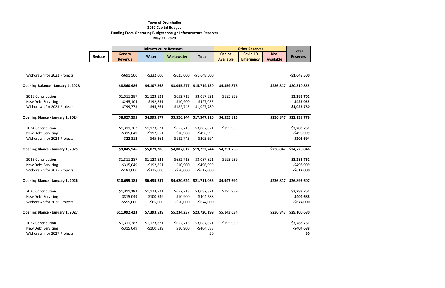# **Town of Drumheller 2020 Capital Budget Funding From Operating Budget through Infrastructure Reserves May 11, 2020**

|                                          |        |                                  | <b>Infrastructure Reserves</b> |             |               |                                   | <b>Other Reserves</b>        |                                |                                 |
|------------------------------------------|--------|----------------------------------|--------------------------------|-------------|---------------|-----------------------------------|------------------------------|--------------------------------|---------------------------------|
|                                          | Reduce | <b>General</b><br><b>Revenue</b> | <b>Water</b>                   | Wastewater  | <b>Total</b>  | <b>Can be</b><br><b>Available</b> | Covid 19<br><b>Emergency</b> | <b>Not</b><br><b>Available</b> | <b>Total</b><br><b>Reserves</b> |
|                                          |        |                                  |                                |             |               |                                   |                              |                                |                                 |
| Withdrawn for 2022 Projects              |        | $-$691,500$                      | $-$332,000$                    | $-$625,000$ | $-$1,648,500$ |                                   |                              |                                | $-$1,648,500$                   |
| <b>Opening Balance - January 1, 2023</b> |        | \$8,560,986                      | \$4,107,868                    | \$3,045,277 | \$15,714,130  | \$4,359,876                       |                              | \$236,847                      | \$20,310,853                    |
| 2023 Contribution                        |        | \$1,311,287                      | \$1,123,821                    | \$652,713   | \$3,087,821   | \$195,939                         |                              |                                | \$3,283,761                     |
| New Debt Servicing                       |        | $-5245,104$                      | $-$192,851$                    | \$10,900    | $-$427,055$   |                                   |                              |                                | $-$427,055$                     |
| Withdrawn for 2023 Projects              |        | $-5799,773$                      | $-545,261$                     | $-$182,745$ | $-$1,027,780$ |                                   |                              |                                | $-$1,027,780$                   |
| Opening Blance - January 1, 2024         |        | \$8,827,395                      | \$4,993,577                    | \$3,526,144 | \$17,347,116  | \$4,555,815                       |                              | \$236,847                      | \$22,139,779                    |
| 2024 Contribution                        |        | \$1,311,287                      | \$1,123,821                    | \$652,713   | \$3,087,821   | \$195,939                         |                              |                                | \$3,283,761                     |
| <b>New Debt Servicing</b>                |        | $-5315,049$                      | $-$192,851$                    | \$10,900    | $-$496,999$   |                                   |                              |                                | $-$496,999$                     |
| Withdrawn for 2024 Projects              |        | \$22,312                         | $-545,261$                     | $-$182,745$ | $-5205,694$   |                                   |                              |                                | $-$205,694$                     |
| <b>Opening Blance - January 1, 2025</b>  |        | \$9,845,946                      | \$5,879,286                    | \$4,007,012 | \$19,732,244  | \$4,751,755                       |                              | \$236,847                      | \$24,720,846                    |
| 2025 Contribution                        |        | \$1,311,287                      | \$1,123,821                    | \$652,713   | \$3,087,821   | \$195,939                         |                              |                                | \$3,283,761                     |
| New Debt Servicing                       |        | $-$315,049$                      | $-$192,851$                    | \$10,900    | $-$496,999$   |                                   |                              |                                | $-$496,999$                     |
| Withdrawn for 2025 Projects              |        | $-$187,000$                      | $-5375,000$                    | $-550,000$  | $-5612,000$   |                                   |                              |                                | $-$612,000$                     |
| Opening Blance - January 1, 2026         |        | \$10,655,185                     | \$6,435,257                    | \$4,620,624 | \$21,711,066  | \$4,947,694                       |                              | \$236,847                      | \$26,895,607                    |
| 2026 Contribution                        |        | \$1,311,287                      | \$1,123,821                    | \$652,713   | \$3,087,821   | \$195,939                         |                              |                                | \$3,283,761                     |
| New Debt Servicing                       |        | $-5315,049$                      | $-$100,539$                    | \$10,900    | $-$404,688$   |                                   |                              |                                | $-$404,688$                     |
| Withdrawn for 2026 Projects              |        | $-$559,000$                      | $-$65,000$                     | $-$50,000$  | $-$674,000$   |                                   |                              |                                | $-$674,000$                     |
| <b>Opening Blance - January 1, 2027</b>  |        | \$11,092,423                     | \$7,393,539                    | \$5,234,237 | \$23,720,199  | \$5,143,634                       |                              | \$236,847                      | \$29,100,680                    |
| 2027 Contribution                        |        | \$1,311,287                      | \$1,123,821                    | \$652,713   | \$3,087,821   | \$195,939                         |                              |                                | \$3,283,761                     |
| <b>New Debt Servicing</b>                |        | $-5315,049$                      | $-$100,539$                    | \$10,900    | $-$404,688$   |                                   |                              |                                | $-$404,688$                     |
| Withdrawn for 2027 Projects              |        |                                  |                                |             | \$0           |                                   |                              |                                | \$0                             |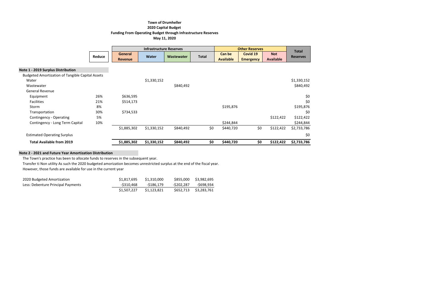### **Town of Drumheller 2020 Capital Budget Funding From Operating Budget through Infrastructure Reserves May 11, 2020**

|                                                         |        |                           | <b>Infrastructure Reserves</b> |            |              |                                   | <b>Other Reserves</b>        |                                | <b>Total</b>    |
|---------------------------------------------------------|--------|---------------------------|--------------------------------|------------|--------------|-----------------------------------|------------------------------|--------------------------------|-----------------|
|                                                         | Reduce | General<br><b>Revenue</b> | <b>Water</b>                   | Wastewater | <b>Total</b> | <b>Can be</b><br><b>Available</b> | Covid 19<br><b>Emergency</b> | <b>Not</b><br><b>Available</b> | <b>Reserves</b> |
| Note 1 - 2019 Surplus Distribution                      |        |                           |                                |            |              |                                   |                              |                                |                 |
| <b>Budgeted Amortization of Tangible Capital Assets</b> |        |                           |                                |            |              |                                   |                              |                                |                 |
| Water                                                   |        |                           | \$1,330,152                    |            |              |                                   |                              |                                | \$1,330,152     |
| Wastewater                                              |        |                           |                                | \$840,492  |              |                                   |                              |                                | \$840,492       |
| <b>General Revenue</b>                                  |        |                           |                                |            |              |                                   |                              |                                |                 |
| Equipment                                               | 26%    | \$636,595                 |                                |            |              |                                   |                              |                                | \$0             |
| <b>Facilities</b>                                       | 21%    | \$514,173                 |                                |            |              |                                   |                              |                                | \$0             |
| Storm                                                   | 8%     |                           |                                |            |              | \$195,876                         |                              |                                | \$195,876       |
| Transportation                                          | 30%    | \$734,533                 |                                |            |              |                                   |                              |                                | \$0             |
| Contingency - Operating                                 | 5%     |                           |                                |            |              |                                   |                              | \$122,422                      | \$122,422       |
| Contingency - Long Term Capital                         | 10%    |                           |                                |            |              | \$244,844                         |                              |                                | \$244,844       |
|                                                         |        | \$1,885,302               | \$1,330,152                    | \$840,492  | \$0          | \$440,720                         | \$0                          | \$122,422                      | \$2,733,786     |
| <b>Estimated Operating Surplus</b>                      |        |                           |                                |            |              |                                   |                              |                                | \$0             |
| <b>Total Available from 2019</b>                        |        | \$1,885,302               | \$1,330,152                    | \$840,492  | \$0          | \$440,720                         | \$0                          | \$122,422                      | \$2,733,786     |

#### **Note 2 - 2021 and Future Year Amortization Distribution**

The Town's practice has been to allocate funds to reserves in the subsequent year.

Transfer ti Non utility As such the 2020 budgeted amorization becomes unrestricted surplus at the end of the fiscal year.

However, those funds are available for use in the current year

| 2020 Budgeted Amortization         | \$1,817,695 | \$1,310,000 | \$855,000  | \$3,982,695 |
|------------------------------------|-------------|-------------|------------|-------------|
| Less: Debenture Principal Payments | -\$310.468  | -\$186.179  | -\$202.287 | -\$698.934  |
|                                    | \$1,507,227 | \$1.123.821 | \$652,713  | \$3,283,761 |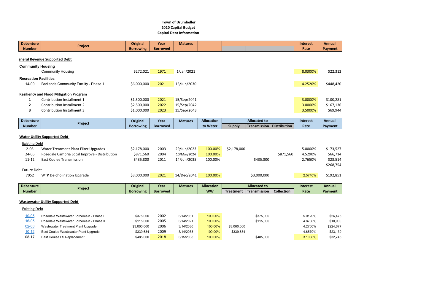| <b>Debenture</b>             | Project                                        | <b>Original</b>  | Year            | <b>Matures</b> |                   |                                  |                     | <b>Interest</b> | Annual         |
|------------------------------|------------------------------------------------|------------------|-----------------|----------------|-------------------|----------------------------------|---------------------|-----------------|----------------|
| <b>Number</b>                |                                                | <b>Borrowing</b> | <b>Borrowed</b> |                |                   |                                  |                     | Rate            | <b>Payment</b> |
|                              | eneral Revenue Supported Debt                  |                  |                 |                |                   |                                  |                     |                 |                |
| <b>Community Housing</b>     |                                                |                  |                 |                |                   |                                  |                     |                 |                |
|                              | <b>Community Housing</b>                       | \$272,021        | 1971            | 1/Jan/2021     |                   |                                  |                     | 8.0300%         | \$22,312       |
| <b>Recreation Facilities</b> |                                                |                  |                 |                |                   |                                  |                     |                 |                |
| 14-09                        | <b>Badlands Community Facility - Phase 1</b>   | \$6,000,000      | 2021            | 15/Jun/2030    |                   |                                  |                     | 4.2520%         | \$448,420      |
|                              |                                                |                  |                 |                |                   |                                  |                     |                 |                |
|                              | <b>Resiliency and Flood Mitigation Program</b> |                  |                 |                |                   |                                  |                     |                 |                |
| 1                            | Contribution Installment 1                     | \$1,500,000      | 2021            | 15/Sep/2041    |                   |                                  |                     | 3.0000%         | \$100,281      |
| $\mathbf{2}$                 | <b>Contribution Installment 2</b>              | \$2,500,000      | 2022            | 15/Sep/2042    |                   |                                  |                     | 3.0000%         | \$167,136      |
| 3                            | <b>Contribution Installment 3</b>              | \$1,000,000      | 2023            | 15/Sep/2043    |                   |                                  |                     | 3.5000%         | \$69,944       |
|                              |                                                |                  |                 |                |                   |                                  |                     |                 |                |
| <b>Debenture</b>             | Project                                        | Original         | Year            | <b>Matures</b> | <b>Allocation</b> | <b>Allocated to</b>              |                     | Interest        | <b>Annual</b>  |
| <b>Number</b>                |                                                | <b>Borrowing</b> | <b>Borrowed</b> |                | to Water          | <b>Supply</b><br>Transmission    | <b>Distribution</b> | Rate            | Payment        |
| <b>Existing Debt</b>         | <b>Water Utility Supported Debt</b>            |                  |                 |                |                   |                                  |                     |                 |                |
| $2 - 06$                     | Water Treatment Plant Filter Upgrades          | \$2,178,000      | 2003            | 29/Jun/2023    | 100.00%           | \$2,178,000                      |                     | 5.0000%         | \$173,527      |
| 24-06                        | Rosedale Cambria Local Improve - Distribution  | \$871,560        | 2004            | 10/Mar/2024    | 100.00%           |                                  | \$871,560           | 4.5290%         | \$66,714       |
| $11 - 12$                    | <b>East Coulee Transmission</b>                | \$435,800        | 2011            | 14/Jun/2035    | 100.00%           | \$435,800                        |                     | 2.7650%         | \$28,514       |
| <b>Future Debt</b>           |                                                |                  |                 |                |                   |                                  |                     |                 | \$268,754      |
| 7052                         | <b>WTP De-cholination Upgrade</b>              | \$3,000,000      | 2021            | 14/Dec/2041    | 100.00%           | \$3,000,000                      |                     | 2.5740%         | \$192,851      |
|                              |                                                |                  |                 |                |                   |                                  |                     |                 |                |
| <b>Debenture</b>             | Project                                        | <b>Original</b>  | Year            | <b>Matures</b> | <b>Allocation</b> | <b>Allocated to</b>              |                     | <b>Interest</b> | Annual         |
| <b>Number</b>                |                                                | <b>Borrowing</b> | <b>Borrowed</b> |                | <b>WW</b>         | Transmission<br><b>Treatment</b> | <b>Collection</b>   | Rate            | Payment        |
|                              |                                                |                  |                 |                |                   |                                  |                     |                 |                |
|                              | <b>Wastewater Utility Supported Debt</b>       |                  |                 |                |                   |                                  |                     |                 |                |
| <b>Existing Debt</b>         |                                                |                  |                 |                |                   |                                  |                     |                 |                |
| $10 - 05$                    | Rosedale Wastewater Forcemain - Phase I        | \$375,000        | 2002            | 6/14/2031      | 100.00%           | \$375,000                        |                     | 5.0120%         | \$26,475       |
| $16 - 05$                    | Rosedale Wastewater Forcemain - Phase II       | \$115,000        | 2005            | 6/14/2021      | 100.00%           | \$115,000                        |                     | 4.8780%         | \$10,900       |
| $02 - 08$                    | Wastewater Treatment Plant Upgrade             | \$3,000,000      | 2006            | 3/14/2030      | 100.00%           | \$3,000,000                      |                     | 4.2760%         | \$224,677      |
| $10 - 12$                    | East Coulee Wastewater Plant Upgrade           | \$339,684        | 2009            | 3/14/2033      | 100.00%           | \$339,684                        |                     | 4.6570%         | \$23,139       |
| $08-17$                      | East Coulee LS Replacement                     | \$485,000        | 2018            | 6/15/2038      | 100.00%           | \$485,000                        |                     | 3.1080%         | \$32,745       |

### **Town of Drumheller 2020 Capital Budget Capital Debt Information**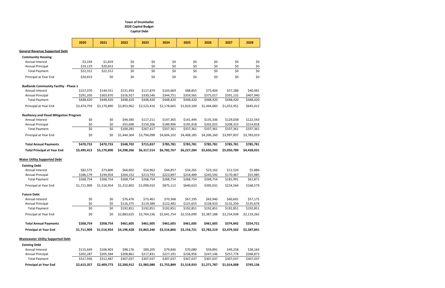|                                                | 2020        | 2021        | 2022        | 2023        | 2024        | 2025        | 2026        | 2027        | 2028             |
|------------------------------------------------|-------------|-------------|-------------|-------------|-------------|-------------|-------------|-------------|------------------|
| <b>General Revenue Supported Debt</b>          |             |             |             |             |             |             |             |             |                  |
| <b>Community Housing</b>                       |             |             |             |             |             |             |             |             |                  |
| Annual Interest                                | \$3,194     | \$1,659     | \$0         | \$0         | \$0         | \$0         | \$0         | \$0         | \$0              |
| <b>Annual Principal</b>                        | \$19,119    | \$20,653    | \$0         | \$0         | \$0         | \$0         | \$0         | \$0         | \$0              |
| <b>Total Payment</b>                           | \$22,312    | \$22,312    | \$0         | \$0         | \$0         | \$0         | \$0         | \$0         | $\overline{\xi}$ |
| Principal at Year End                          | \$20,653    | \$0         | \$0         | \$0         | \$0         | \$0         | \$0         | \$0         | \$0              |
| <b>Badlands Community Facility - Phase 1</b>   |             |             |             |             |             |             |             |             |                  |
| Annual Interest                                | \$157,070   | \$144,551   | \$131,493   | \$117,874   | \$103,669   | \$88,855    | \$73,404    | \$57,288    | \$40,481         |
| <b>Annual Principal</b>                        | \$291,350   | \$303,870   | \$316,927   | \$330,546   | \$344,751   | \$359,565   | \$375,017   | \$391,132   | \$407,940        |
| <b>Total Payment</b>                           | \$448,420   | \$448,420   | \$448,420   | \$448,420   | \$448,420   | \$448,420   | \$448,420   | \$448,420   | \$448,420        |
| Principal at Year End                          | \$3,474,759 | \$3,170,890 | \$2,853,962 | \$2,523,416 | \$2,178,665 | \$1,819,100 | \$1,444,083 | \$1,052,951 | \$645,012        |
| <b>Resiliency and Flood Mitigation Program</b> |             |             |             |             |             |             |             |             |                  |
| Annual Interest                                | \$0         | \$0         | \$44,585    | \$117,211   | \$147,365   | \$141,444   | \$135,336   | \$129,038   | \$122,543        |
| <b>Annual Principal</b>                        | \$0         | \$0         | \$55,696    | \$150,206   | \$189,996   | \$195,918   | \$202,025   | \$208,323   | \$214,818        |
| <b>Total Payment</b>                           | \$0         | \$0         | \$100,281   | \$267,417   | \$337,361   | \$337,361   | \$337,361   | \$337,361   | \$337,361        |
| Principal at Year End                          | \$0         | \$0         | \$1,444,304 | \$3,794,098 | \$4,604,102 | \$4,408,185 | \$4,206,160 | \$3,997,837 | \$3,783,019      |
| <b>Total Annual Payments</b>                   | \$470,733   | \$470,733   | \$548,702   | \$715,837   | \$785,781   | \$785,781   | \$785,781   | \$785,781   | \$785,781        |
| <b>Total Principal at Year End</b>             | \$3,495,413 | \$3,170,890 | \$4,298,266 | \$6,317,514 | \$6,782,767 | \$6,227,284 | \$5,650,243 | \$5,050,789 | \$4,428,031      |
| <b>Water Utility Supported Debt</b>            |             |             |             |             |             |             |             |             |                  |
| <b>Existing Debt</b>                           |             |             |             |             |             |             |             |             |                  |
| Annual Interest                                | \$82,575    | \$73,800    | \$64,602    | \$54,962    | \$44,857    | \$34,265    | \$23,162    | \$11,524    | \$5,886          |
| Annual Principal                               | \$186,179   | \$194,954   | \$204,152   | \$213,793   | \$223,897   | \$234,489   | \$245,592   | \$170,467   | \$55,985         |
| <b>Total Payment</b>                           | \$268,754   | \$268,754   | \$268,754   | \$268,754   | \$268,754   | \$268,754   | \$268,754   | \$181,991   | \$61,871         |
| Principal at Year End                          | \$1,711,909 | \$1,516,954 | \$1,312,802 | \$1,099,010 | \$875,112   | \$640,623   | \$395,031   | \$224,564   | \$168,579        |
| <b>Future Debt</b>                             |             |             |             |             |             |             |             |             |                  |
| Annual Interest                                | \$0         | \$0         | \$76,476    | \$73,461    | \$70,368    | \$67,195    | \$63,940    | \$60,601    | \$57,175         |
| <b>Annual Principal</b>                        | \$0         | \$0         | \$116,375   | \$119,389   | \$122,482   | \$125,655   | \$128,910   | \$132,250   | \$135,676        |
| <b>Total Payment</b>                           | \$0         | \$0         | \$192,851   | \$192,851   | \$192,851   | \$192,851   | \$192,851   | \$192,851   | \$192,851        |
| Principal at Year End                          | \$0         | \$0         | \$2,883,625 | \$2,764,236 | \$2,641,754 | \$2,516,099 | \$2,387,188 | \$2,254,938 | \$2,119,262      |
| <b>Total Annual Payments</b>                   | \$268,754   | \$268,754   | \$461,605   | \$461,605   | \$461,605   | \$461,605   | \$461,605   | \$374,842   | \$254,721        |
| <b>Principal at Year End</b>                   | \$1,711,909 | \$1,516,954 | \$4,196,428 | \$3,863,246 | \$3,516,866 | \$3,156,721 | \$2,782,219 | \$2,479,502 | \$2,287,841      |
| <b>Wastewater Utility Supported Debt</b>       |             |             |             |             |             |             |             |             |                  |
| <b>Existing Debt</b>                           |             |             |             |             |             |             |             |             |                  |
| Annual Interest                                | \$115,649   | \$106,903   | \$98,176    | \$89,205    | \$79,846    | \$70,080    | \$59,891    | \$49,258    | \$38,164         |

| <b>Principal at Year End</b> | \$2,615,357     | \$2.409.773 | \$2,200,912    | \$1,983,080 |                 | \$1,755,889 \$1,518,933 | \$1,271,787    | \$1.014.008    | \$745,136 |
|------------------------------|-----------------|-------------|----------------|-------------|-----------------|-------------------------|----------------|----------------|-----------|
| <b>Total Payment</b>         | \$317.936       | \$312.487   | \$307.037      | \$307.037   | \$307.037       | \$307.037               | \$307.037      | \$307.037      | \$307,037 |
| Annual Principal             | \$202.287       | \$205.584   | \$208.861      | \$217.831   | \$227.191       | \$236.956               | \$247.146      | \$257.778      | \$268,873 |
| AIIIIuaI IIILCI CSL          | <b>JIIJ.U4J</b> | JIUU.JUJ    | <b>JJ0.170</b> | JOJ.ZUJ     | <i>313.</i> 040 | <i>31</i> U.UOU         | <b>JJJ.0JI</b> | <b>J45.250</b> | 990,104   |

#### **Town of Drumheller 2020 Capital Budget Capital Debt**